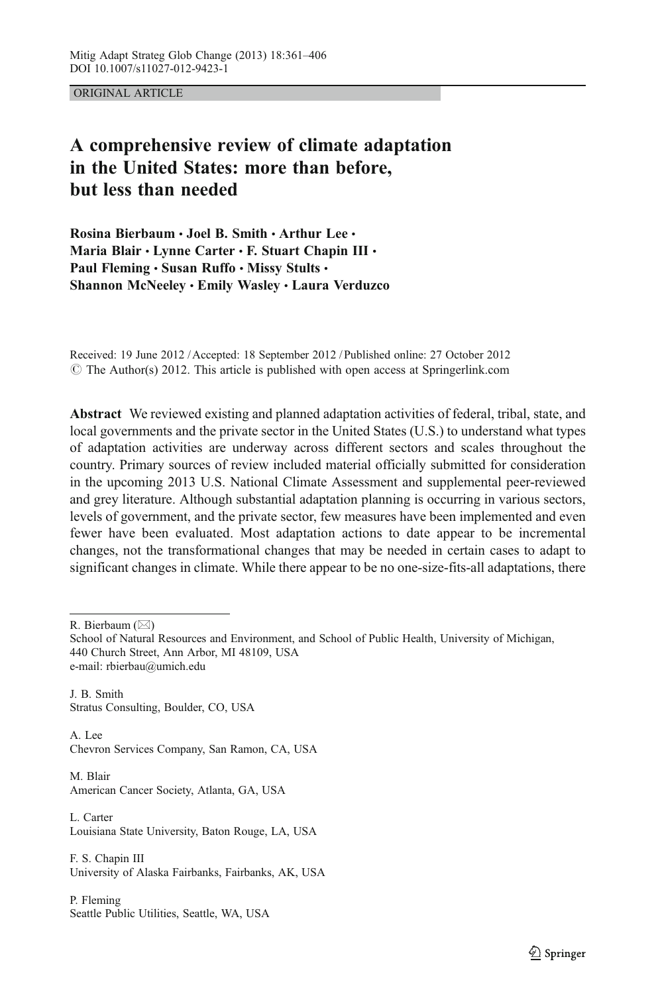ORIGINAL ARTICLE

# A comprehensive review of climate adaptation in the United States: more than before, but less than needed

Rosina Bierbaum  $\cdot$  Joel B. Smith  $\cdot$  Arthur Lee  $\cdot$ Maria Blair • Lynne Carter • F. Stuart Chapin III • Paul Fleming · Susan Ruffo · Missy Stults · Shannon McNeeley · Emily Wasley · Laura Verduzco

Received: 19 June 2012 / Accepted: 18 September 2012 / Published online: 27 October 2012  $\odot$  The Author(s) 2012. This article is published with open access at Springerlink.com

Abstract We reviewed existing and planned adaptation activities of federal, tribal, state, and local governments and the private sector in the United States (U.S.) to understand what types of adaptation activities are underway across different sectors and scales throughout the country. Primary sources of review included material officially submitted for consideration in the upcoming 2013 U.S. National Climate Assessment and supplemental peer-reviewed and grey literature. Although substantial adaptation planning is occurring in various sectors, levels of government, and the private sector, few measures have been implemented and even fewer have been evaluated. Most adaptation actions to date appear to be incremental changes, not the transformational changes that may be needed in certain cases to adapt to significant changes in climate. While there appear to be no one-size-fits-all adaptations, there

R. Bierbaum  $(\boxtimes)$ 

J. B. Smith Stratus Consulting, Boulder, CO, USA

A. Lee Chevron Services Company, San Ramon, CA, USA

M. Blair American Cancer Society, Atlanta, GA, USA

L. Carter Louisiana State University, Baton Rouge, LA, USA

F. S. Chapin III University of Alaska Fairbanks, Fairbanks, AK, USA

P. Fleming Seattle Public Utilities, Seattle, WA, USA

School of Natural Resources and Environment, and School of Public Health, University of Michigan, 440 Church Street, Ann Arbor, MI 48109, USA e-mail: rbierbau@umich.edu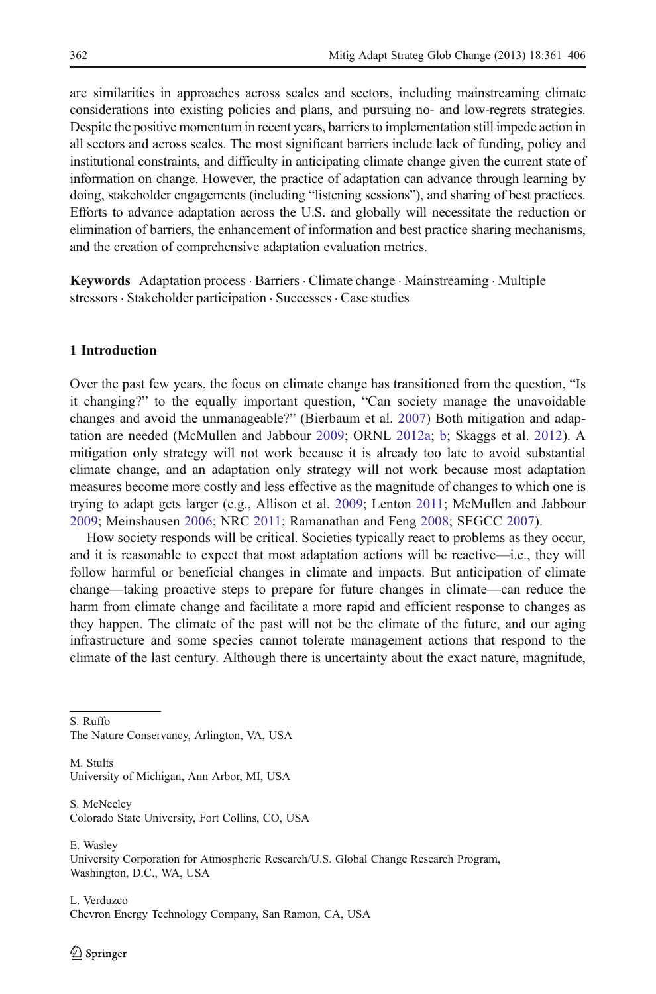are similarities in approaches across scales and sectors, including mainstreaming climate considerations into existing policies and plans, and pursuing no- and low-regrets strategies. Despite the positive momentum in recent years, barriers to implementation still impede action in all sectors and across scales. The most significant barriers include lack of funding, policy and institutional constraints, and difficulty in anticipating climate change given the current state of information on change. However, the practice of adaptation can advance through learning by doing, stakeholder engagements (including "listening sessions"), and sharing of best practices. Efforts to advance adaptation across the U.S. and globally will necessitate the reduction or elimination of barriers, the enhancement of information and best practice sharing mechanisms, and the creation of comprehensive adaptation evaluation metrics.

Keywords Adaptation process . Barriers . Climate change . Mainstreaming . Multiple stressors . Stakeholder participation . Successes . Case studies

# 1 Introduction

Over the past few years, the focus on climate change has transitioned from the question, "Is it changing?" to the equally important question, "Can society manage the unavoidable changes and avoid the unmanageable?" (Bierbaum et al. [2007\)](#page-37-0) Both mitigation and adaptation are needed (McMullen and Jabbour [2009;](#page-41-0) ORNL [2012a;](#page-42-0) [b](#page-42-0); Skaggs et al. [2012](#page-44-0)). A mitigation only strategy will not work because it is already too late to avoid substantial climate change, and an adaptation only strategy will not work because most adaptation measures become more costly and less effective as the magnitude of changes to which one is trying to adapt gets larger (e.g., Allison et al. [2009](#page-36-0); Lenton [2011;](#page-41-0) McMullen and Jabbour [2009;](#page-41-0) Meinshausen [2006](#page-41-0); NRC [2011;](#page-42-0) Ramanathan and Feng [2008;](#page-43-0) SEGCC [2007](#page-43-0)).

How society responds will be critical. Societies typically react to problems as they occur, and it is reasonable to expect that most adaptation actions will be reactive—i.e., they will follow harmful or beneficial changes in climate and impacts. But anticipation of climate change—taking proactive steps to prepare for future changes in climate—can reduce the harm from climate change and facilitate a more rapid and efficient response to changes as they happen. The climate of the past will not be the climate of the future, and our aging infrastructure and some species cannot tolerate management actions that respond to the climate of the last century. Although there is uncertainty about the exact nature, magnitude,

S. Ruffo The Nature Conservancy, Arlington, VA, USA

M. Stults University of Michigan, Ann Arbor, MI, USA

S. McNeeley Colorado State University, Fort Collins, CO, USA

E. Wasley University Corporation for Atmospheric Research/U.S. Global Change Research Program, Washington, D.C., WA, USA

L. Verduzco Chevron Energy Technology Company, San Ramon, CA, USA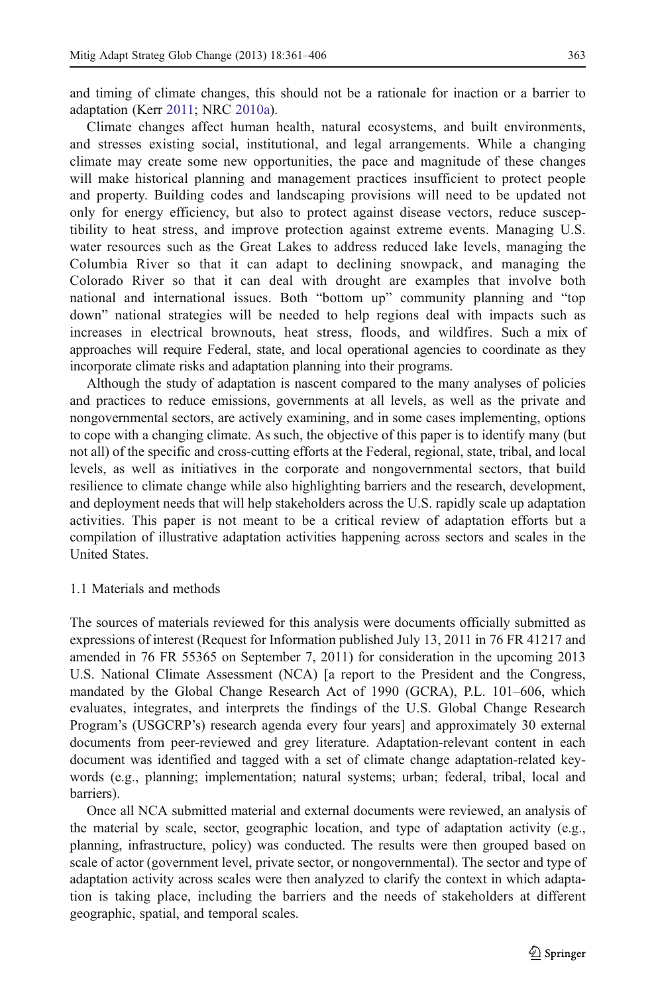and timing of climate changes, this should not be a rationale for inaction or a barrier to adaptation (Kerr [2011](#page-40-0); NRC [2010a\)](#page-42-0).

Climate changes affect human health, natural ecosystems, and built environments, and stresses existing social, institutional, and legal arrangements. While a changing climate may create some new opportunities, the pace and magnitude of these changes will make historical planning and management practices insufficient to protect people and property. Building codes and landscaping provisions will need to be updated not only for energy efficiency, but also to protect against disease vectors, reduce susceptibility to heat stress, and improve protection against extreme events. Managing U.S. water resources such as the Great Lakes to address reduced lake levels, managing the Columbia River so that it can adapt to declining snowpack, and managing the Colorado River so that it can deal with drought are examples that involve both national and international issues. Both "bottom up" community planning and "top down" national strategies will be needed to help regions deal with impacts such as increases in electrical brownouts, heat stress, floods, and wildfires. Such a mix of approaches will require Federal, state, and local operational agencies to coordinate as they incorporate climate risks and adaptation planning into their programs.

Although the study of adaptation is nascent compared to the many analyses of policies and practices to reduce emissions, governments at all levels, as well as the private and nongovernmental sectors, are actively examining, and in some cases implementing, options to cope with a changing climate. As such, the objective of this paper is to identify many (but not all) of the specific and cross-cutting efforts at the Federal, regional, state, tribal, and local levels, as well as initiatives in the corporate and nongovernmental sectors, that build resilience to climate change while also highlighting barriers and the research, development, and deployment needs that will help stakeholders across the U.S. rapidly scale up adaptation activities. This paper is not meant to be a critical review of adaptation efforts but a compilation of illustrative adaptation activities happening across sectors and scales in the United States.

# 1.1 Materials and methods

The sources of materials reviewed for this analysis were documents officially submitted as expressions of interest (Request for Information published July 13, 2011 in 76 FR 41217 and amended in 76 FR 55365 on September 7, 2011) for consideration in the upcoming 2013 U.S. National Climate Assessment (NCA) [a report to the President and the Congress, mandated by the Global Change Research Act of 1990 (GCRA), P.L. 101–606, which evaluates, integrates, and interprets the findings of the U.S. Global Change Research Program's (USGCRP's) research agenda every four years] and approximately 30 external documents from peer-reviewed and grey literature. Adaptation-relevant content in each document was identified and tagged with a set of climate change adaptation-related keywords (e.g., planning; implementation; natural systems; urban; federal, tribal, local and barriers).

Once all NCA submitted material and external documents were reviewed, an analysis of the material by scale, sector, geographic location, and type of adaptation activity (e.g., planning, infrastructure, policy) was conducted. The results were then grouped based on scale of actor (government level, private sector, or nongovernmental). The sector and type of adaptation activity across scales were then analyzed to clarify the context in which adaptation is taking place, including the barriers and the needs of stakeholders at different geographic, spatial, and temporal scales.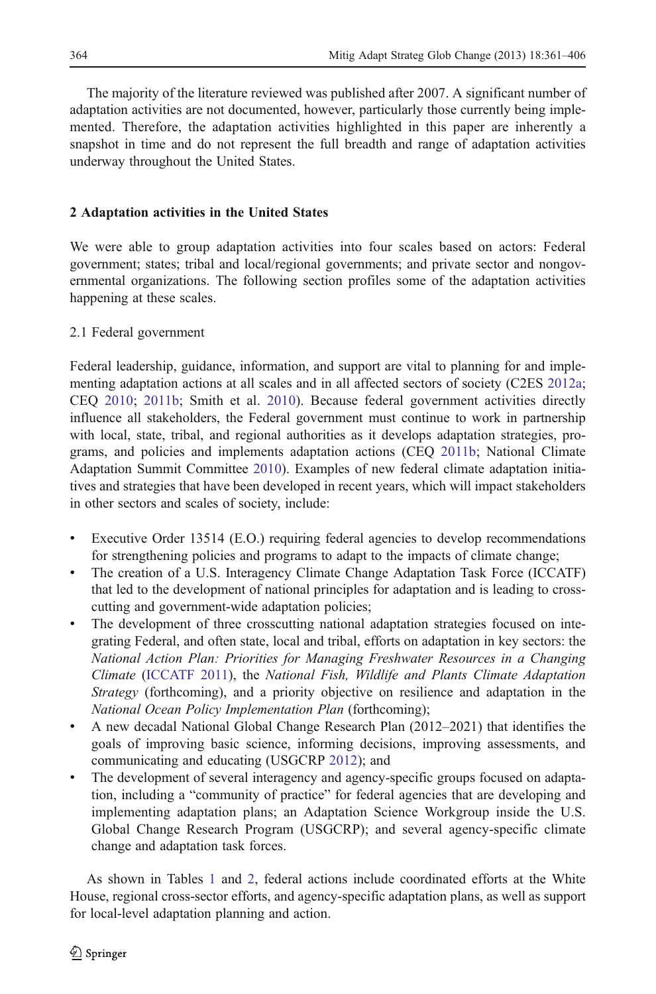The majority of the literature reviewed was published after 2007. A significant number of adaptation activities are not documented, however, particularly those currently being implemented. Therefore, the adaptation activities highlighted in this paper are inherently a snapshot in time and do not represent the full breadth and range of adaptation activities underway throughout the United States.

# 2 Adaptation activities in the United States

We were able to group adaptation activities into four scales based on actors: Federal government; states; tribal and local/regional governments; and private sector and nongovernmental organizations. The following section profiles some of the adaptation activities happening at these scales.

# 2.1 Federal government

Federal leadership, guidance, information, and support are vital to planning for and implementing adaptation actions at all scales and in all affected sectors of society (C2ES [2012a](#page-37-0); CEQ [2010](#page-37-0); [2011b](#page-37-0); Smith et al. [2010](#page-44-0)). Because federal government activities directly influence all stakeholders, the Federal government must continue to work in partnership with local, state, tribal, and regional authorities as it develops adaptation strategies, programs, and policies and implements adaptation actions (CEQ [2011b](#page-37-0); National Climate Adaptation Summit Committee [2010\)](#page-42-0). Examples of new federal climate adaptation initiatives and strategies that have been developed in recent years, which will impact stakeholders in other sectors and scales of society, include:

- & Executive Order 13514 (E.O.) requiring federal agencies to develop recommendations for strengthening policies and programs to adapt to the impacts of climate change;
- The creation of a U.S. Interagency Climate Change Adaptation Task Force (ICCATF) that led to the development of national principles for adaptation and is leading to crosscutting and government-wide adaptation policies;
- The development of three crosscutting national adaptation strategies focused on integrating Federal, and often state, local and tribal, efforts on adaptation in key sectors: the National Action Plan: Priorities for Managing Freshwater Resources in a Changing Climate [\(ICCATF 2011](#page-40-0)), the National Fish, Wildlife and Plants Climate Adaptation Strategy (forthcoming), and a priority objective on resilience and adaptation in the National Ocean Policy Implementation Plan (forthcoming);
- & A new decadal National Global Change Research Plan (2012–2021) that identifies the goals of improving basic science, informing decisions, improving assessments, and communicating and educating (USGCRP [2012\)](#page-44-0); and
- The development of several interagency and agency-specific groups focused on adaptation, including a "community of practice" for federal agencies that are developing and implementing adaptation plans; an Adaptation Science Workgroup inside the U.S. Global Change Research Program (USGCRP); and several agency-specific climate change and adaptation task forces.

As shown in Tables [1](#page-4-0) and [2,](#page-5-0) federal actions include coordinated efforts at the White House, regional cross-sector efforts, and agency-specific adaptation plans, as well as support for local-level adaptation planning and action.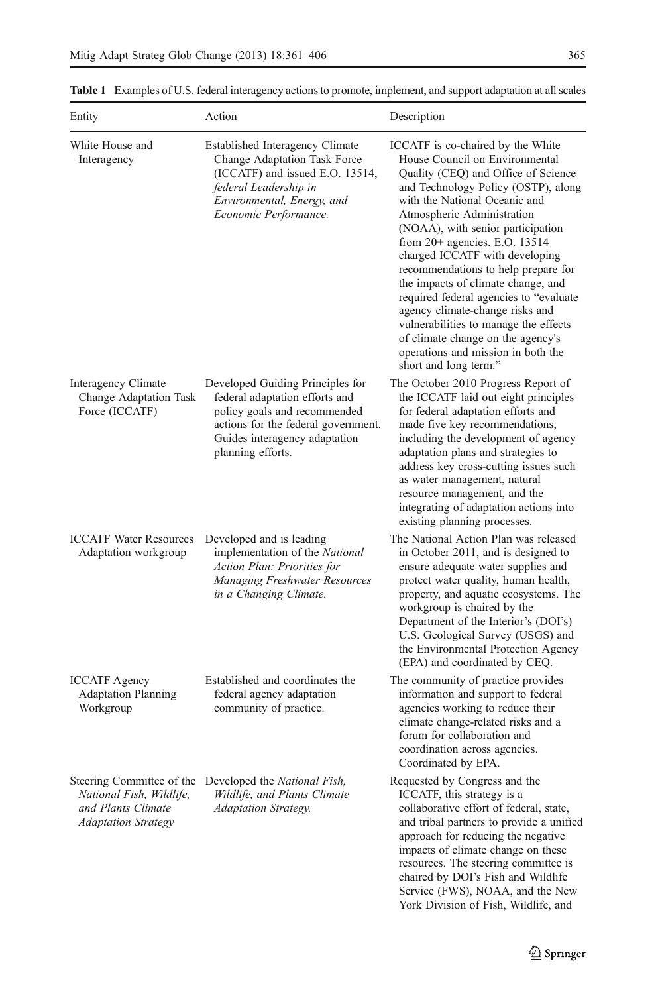| Entity                                                                                                    | Action                                                                                                                                                                                          | Description                                                                                                                                                                                                                                                                                                                                                                                                                                                                                                                                                                                                                       |
|-----------------------------------------------------------------------------------------------------------|-------------------------------------------------------------------------------------------------------------------------------------------------------------------------------------------------|-----------------------------------------------------------------------------------------------------------------------------------------------------------------------------------------------------------------------------------------------------------------------------------------------------------------------------------------------------------------------------------------------------------------------------------------------------------------------------------------------------------------------------------------------------------------------------------------------------------------------------------|
| White House and<br>Interagency                                                                            | Established Interagency Climate<br>Change Adaptation Task Force<br>(ICCATF) and issued E.O. 13514,<br>federal Leadership in<br>Environmental, Energy, and<br>Economic Performance.              | ICCATF is co-chaired by the White<br>House Council on Environmental<br>Quality (CEQ) and Office of Science<br>and Technology Policy (OSTP), along<br>with the National Oceanic and<br>Atmospheric Administration<br>(NOAA), with senior participation<br>from $20+$ agencies. E.O. 13514<br>charged ICCATF with developing<br>recommendations to help prepare for<br>the impacts of climate change, and<br>required federal agencies to "evaluate<br>agency climate-change risks and<br>vulnerabilities to manage the effects<br>of climate change on the agency's<br>operations and mission in both the<br>short and long term." |
| Interagency Climate<br>Change Adaptation Task<br>Force (ICCATF)                                           | Developed Guiding Principles for<br>federal adaptation efforts and<br>policy goals and recommended<br>actions for the federal government.<br>Guides interagency adaptation<br>planning efforts. | The October 2010 Progress Report of<br>the ICCATF laid out eight principles<br>for federal adaptation efforts and<br>made five key recommendations,<br>including the development of agency<br>adaptation plans and strategies to<br>address key cross-cutting issues such<br>as water management, natural<br>resource management, and the<br>integrating of adaptation actions into<br>existing planning processes.                                                                                                                                                                                                               |
| <b>ICCATF Water Resources</b><br>Adaptation workgroup                                                     | Developed and is leading<br>implementation of the National<br>Action Plan: Priorities for<br>Managing Freshwater Resources<br>in a Changing Climate.                                            | The National Action Plan was released<br>in October 2011, and is designed to<br>ensure adequate water supplies and<br>protect water quality, human health,<br>property, and aquatic ecosystems. The<br>workgroup is chaired by the<br>Department of the Interior's (DOI's)<br>U.S. Geological Survey (USGS) and<br>the Environmental Protection Agency<br>(EPA) and coordinated by CEQ.                                                                                                                                                                                                                                           |
| <b>ICCATF</b> Agency<br><b>Adaptation Planning</b><br>Workgroup                                           | Established and coordinates the<br>federal agency adaptation<br>community of practice.                                                                                                          | The community of practice provides<br>information and support to federal<br>agencies working to reduce their<br>climate change-related risks and a<br>forum for collaboration and<br>coordination across agencies.<br>Coordinated by EPA.                                                                                                                                                                                                                                                                                                                                                                                         |
| Steering Committee of the<br>National Fish, Wildlife,<br>and Plants Climate<br><b>Adaptation Strategy</b> | Developed the <i>National Fish</i> ,<br>Wildlife, and Plants Climate<br><b>Adaptation Strategy.</b>                                                                                             | Requested by Congress and the<br>ICCATF, this strategy is a<br>collaborative effort of federal, state,<br>and tribal partners to provide a unified<br>approach for reducing the negative<br>impacts of climate change on these<br>resources. The steering committee is<br>chaired by DOI's Fish and Wildlife<br>Service (FWS), NOAA, and the New<br>York Division of Fish, Wildlife, and                                                                                                                                                                                                                                          |

<span id="page-4-0"></span>Table 1 Examples of U.S. federal interagency actions to promote, implement, and support adaptation at all scales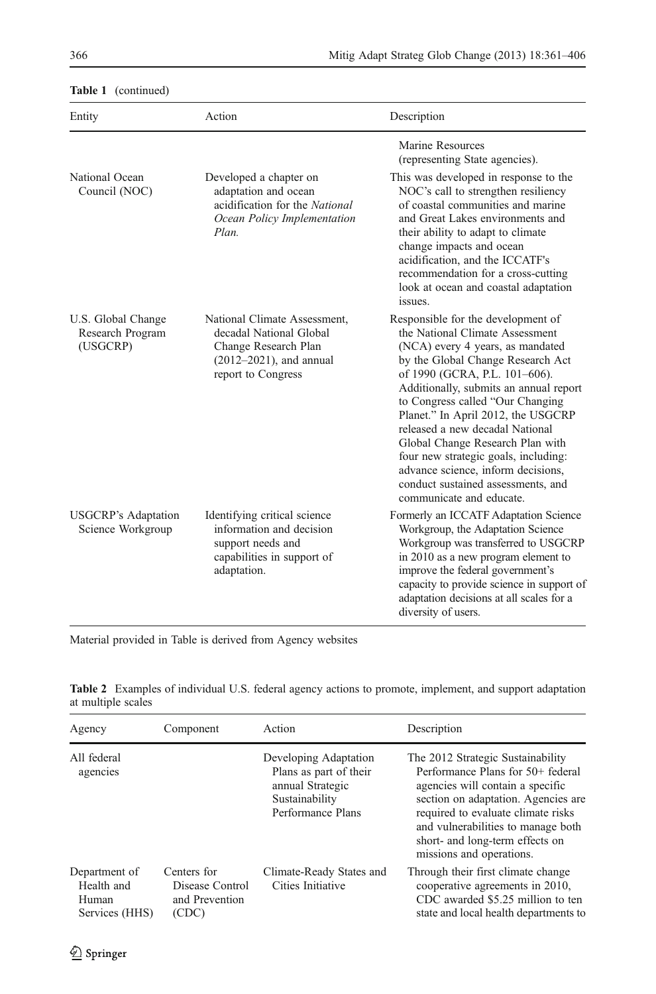| Entity                                             | Action                                                                                                                                | Description                                                                                                                                                                                                                                                                                                                                                                                                                                                                                                                 |
|----------------------------------------------------|---------------------------------------------------------------------------------------------------------------------------------------|-----------------------------------------------------------------------------------------------------------------------------------------------------------------------------------------------------------------------------------------------------------------------------------------------------------------------------------------------------------------------------------------------------------------------------------------------------------------------------------------------------------------------------|
| National Ocean<br>Council (NOC)                    | Developed a chapter on<br>adaptation and ocean                                                                                        | Marine Resources<br>(representing State agencies).<br>This was developed in response to the<br>NOC's call to strengthen resiliency                                                                                                                                                                                                                                                                                                                                                                                          |
|                                                    | acidification for the National<br>Ocean Policy Implementation<br>Plan                                                                 | of coastal communities and marine<br>and Great Lakes environments and<br>their ability to adapt to climate<br>change impacts and ocean<br>acidification, and the ICCATF's<br>recommendation for a cross-cutting<br>look at ocean and coastal adaptation<br>issues                                                                                                                                                                                                                                                           |
| U.S. Global Change<br>Research Program<br>(USGCRP) | National Climate Assessment,<br>decadal National Global<br>Change Research Plan<br>$(2012 - 2021)$ , and annual<br>report to Congress | Responsible for the development of<br>the National Climate Assessment<br>(NCA) every 4 years, as mandated<br>by the Global Change Research Act<br>of 1990 (GCRA, P.L. 101-606).<br>Additionally, submits an annual report<br>to Congress called "Our Changing"<br>Planet." In April 2012, the USGCRP<br>released a new decadal National<br>Global Change Research Plan with<br>four new strategic goals, including:<br>advance science, inform decisions,<br>conduct sustained assessments, and<br>communicate and educate. |
| <b>USGCRP's Adaptation</b><br>Science Workgroup    | Identifying critical science<br>information and decision<br>support needs and<br>capabilities in support of<br>adaptation.            | Formerly an ICCATF Adaptation Science<br>Workgroup, the Adaptation Science<br>Workgroup was transferred to USGCRP<br>in 2010 as a new program element to<br>improve the federal government's<br>capacity to provide science in support of<br>adaptation decisions at all scales for a<br>diversity of users.                                                                                                                                                                                                                |

<span id="page-5-0"></span>

| Table 1 | (continued) |
|---------|-------------|
|---------|-------------|

Material provided in Table is derived from Agency websites

|                    | Table 2 Examples of individual U.S. federal agency actions to promote, implement, and support adaptation |  |  |  |  |
|--------------------|----------------------------------------------------------------------------------------------------------|--|--|--|--|
| at multiple scales |                                                                                                          |  |  |  |  |

| Agency                                                 | Component                                                 | Action                                                                                                     | Description                                                                                                                                                                                                                                                                                  |
|--------------------------------------------------------|-----------------------------------------------------------|------------------------------------------------------------------------------------------------------------|----------------------------------------------------------------------------------------------------------------------------------------------------------------------------------------------------------------------------------------------------------------------------------------------|
| All federal<br>agencies                                |                                                           | Developing Adaptation<br>Plans as part of their<br>annual Strategic<br>Sustainability<br>Performance Plans | The 2012 Strategic Sustainability<br>Performance Plans for 50+ federal<br>agencies will contain a specific<br>section on adaptation. Agencies are<br>required to evaluate climate risks<br>and vulnerabilities to manage both<br>short- and long-term effects on<br>missions and operations. |
| Department of<br>Health and<br>Human<br>Services (HHS) | Centers for<br>Disease Control<br>and Prevention<br>(CDC) | Climate-Ready States and<br>Cities Initiative                                                              | Through their first climate change<br>cooperative agreements in 2010,<br>CDC awarded \$5.25 million to ten<br>state and local health departments to                                                                                                                                          |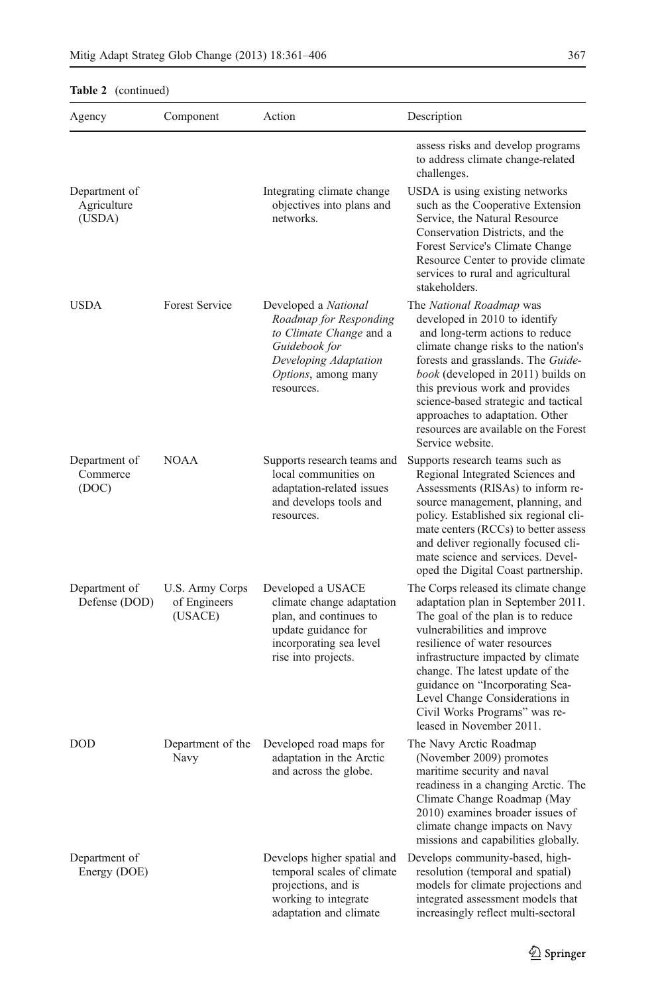| Agency                                 | Component                                  | Action                                                                                                                                                   | Description                                                                                                                                                                                                                                                                                                                                                                                  |
|----------------------------------------|--------------------------------------------|----------------------------------------------------------------------------------------------------------------------------------------------------------|----------------------------------------------------------------------------------------------------------------------------------------------------------------------------------------------------------------------------------------------------------------------------------------------------------------------------------------------------------------------------------------------|
|                                        |                                            |                                                                                                                                                          | assess risks and develop programs<br>to address climate change-related<br>challenges.                                                                                                                                                                                                                                                                                                        |
| Department of<br>Agriculture<br>(USDA) |                                            | Integrating climate change<br>objectives into plans and<br>networks.                                                                                     | USDA is using existing networks<br>such as the Cooperative Extension<br>Service, the Natural Resource<br>Conservation Districts, and the<br>Forest Service's Climate Change<br>Resource Center to provide climate<br>services to rural and agricultural<br>stakeholders.                                                                                                                     |
| <b>USDA</b>                            | <b>Forest Service</b>                      | Developed a National<br>Roadmap for Responding<br>to Climate Change and a<br>Guidebook for<br>Developing Adaptation<br>Options, among many<br>resources. | The National Roadmap was<br>developed in 2010 to identify<br>and long-term actions to reduce<br>climate change risks to the nation's<br>forests and grasslands. The Guide-<br>book (developed in 2011) builds on<br>this previous work and provides<br>science-based strategic and tactical<br>approaches to adaptation. Other<br>resources are available on the Forest<br>Service website.  |
| Department of<br>Commerce<br>(DOC)     | NOAA                                       | Supports research teams and<br>local communities on<br>adaptation-related issues<br>and develops tools and<br>resources.                                 | Supports research teams such as<br>Regional Integrated Sciences and<br>Assessments (RISAs) to inform re-<br>source management, planning, and<br>policy. Established six regional cli-<br>mate centers (RCCs) to better assess<br>and deliver regionally focused cli-<br>mate science and services. Devel-<br>oped the Digital Coast partnership.                                             |
| Department of<br>Defense (DOD)         | U.S. Army Corps<br>of Engineers<br>(USACE) | Developed a USACE<br>climate change adaptation<br>plan, and continues to<br>update guidance for<br>incorporating sea level<br>rise into projects.        | The Corps released its climate change<br>adaptation plan in September 2011.<br>The goal of the plan is to reduce<br>vulnerabilities and improve<br>resilience of water resources<br>infrastructure impacted by climate<br>change. The latest update of the<br>guidance on "Incorporating Sea-<br>Level Change Considerations in<br>Civil Works Programs" was re-<br>leased in November 2011. |
| <b>DOD</b>                             | Department of the<br>Navy                  | Developed road maps for<br>adaptation in the Arctic<br>and across the globe.                                                                             | The Navy Arctic Roadmap<br>(November 2009) promotes<br>maritime security and naval<br>readiness in a changing Arctic. The<br>Climate Change Roadmap (May<br>2010) examines broader issues of<br>climate change impacts on Navy<br>missions and capabilities globally.                                                                                                                        |
| Department of<br>Energy (DOE)          |                                            | Develops higher spatial and<br>temporal scales of climate<br>projections, and is<br>working to integrate<br>adaptation and climate                       | Develops community-based, high-<br>resolution (temporal and spatial)<br>models for climate projections and<br>integrated assessment models that<br>increasingly reflect multi-sectoral                                                                                                                                                                                                       |

# Table 2 (continued)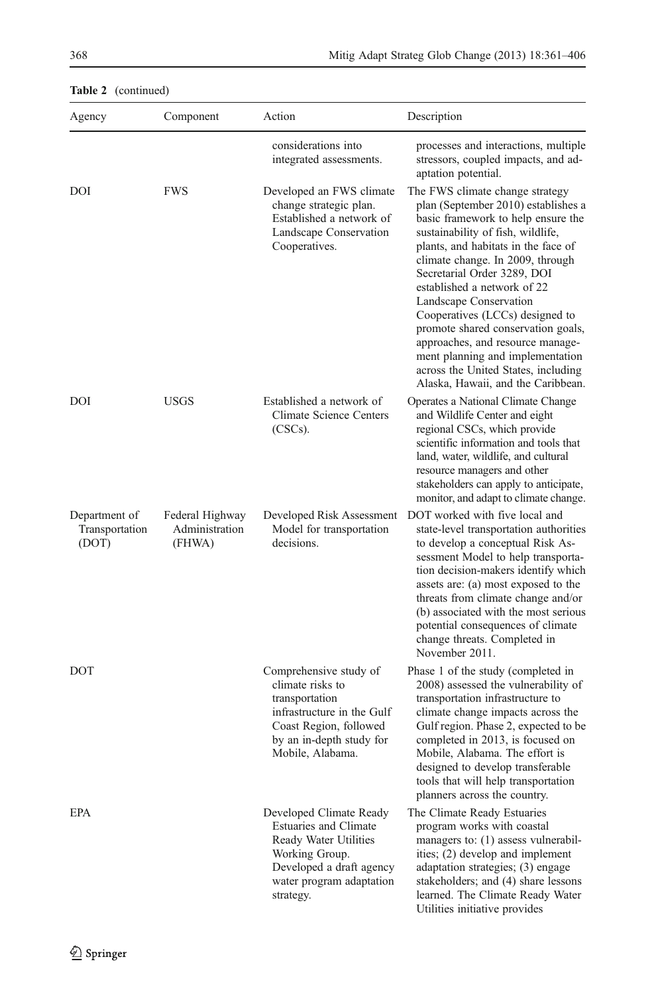| Agency                                   | Component                                   | Action                                                                                                                                                                  | Description                                                                                                                                                                                                                                                                                                                                                                                                                                                                                                                                        |
|------------------------------------------|---------------------------------------------|-------------------------------------------------------------------------------------------------------------------------------------------------------------------------|----------------------------------------------------------------------------------------------------------------------------------------------------------------------------------------------------------------------------------------------------------------------------------------------------------------------------------------------------------------------------------------------------------------------------------------------------------------------------------------------------------------------------------------------------|
|                                          |                                             | considerations into<br>integrated assessments.                                                                                                                          | processes and interactions, multiple<br>stressors, coupled impacts, and ad-<br>aptation potential.                                                                                                                                                                                                                                                                                                                                                                                                                                                 |
| DOI                                      | FWS                                         | Developed an FWS climate<br>change strategic plan.<br>Established a network of<br>Landscape Conservation<br>Cooperatives.                                               | The FWS climate change strategy<br>plan (September 2010) establishes a<br>basic framework to help ensure the<br>sustainability of fish, wildlife,<br>plants, and habitats in the face of<br>climate change. In 2009, through<br>Secretarial Order 3289, DOI<br>established a network of 22<br>Landscape Conservation<br>Cooperatives (LCCs) designed to<br>promote shared conservation goals,<br>approaches, and resource manage-<br>ment planning and implementation<br>across the United States, including<br>Alaska, Hawaii, and the Caribbean. |
| DOI                                      | USGS                                        | Established a network of<br>Climate Science Centers<br>$(CSCs)$ .                                                                                                       | Operates a National Climate Change<br>and Wildlife Center and eight<br>regional CSCs, which provide<br>scientific information and tools that<br>land, water, wildlife, and cultural<br>resource managers and other<br>stakeholders can apply to anticipate,<br>monitor, and adapt to climate change.                                                                                                                                                                                                                                               |
| Department of<br>Transportation<br>(DOT) | Federal Highway<br>Administration<br>(FHWA) | Developed Risk Assessment<br>Model for transportation<br>decisions.                                                                                                     | DOT worked with five local and<br>state-level transportation authorities<br>to develop a conceptual Risk As-<br>sessment Model to help transporta-<br>tion decision-makers identify which<br>assets are: (a) most exposed to the<br>threats from climate change and/or<br>(b) associated with the most serious<br>potential consequences of climate<br>change threats. Completed in<br>November 2011.                                                                                                                                              |
| DOT                                      |                                             | Comprehensive study of<br>climate risks to<br>transportation<br>infrastructure in the Gulf<br>Coast Region, followed<br>by an in-depth study for<br>Mobile, Alabama.    | Phase 1 of the study (completed in<br>2008) assessed the vulnerability of<br>transportation infrastructure to<br>climate change impacts across the<br>Gulf region. Phase 2, expected to be<br>completed in 2013, is focused on<br>Mobile, Alabama. The effort is<br>designed to develop transferable<br>tools that will help transportation<br>planners across the country.                                                                                                                                                                        |
| EPA                                      |                                             | Developed Climate Ready<br><b>Estuaries and Climate</b><br>Ready Water Utilities<br>Working Group.<br>Developed a draft agency<br>water program adaptation<br>strategy. | The Climate Ready Estuaries<br>program works with coastal<br>managers to: (1) assess vulnerabil-<br>ities; (2) develop and implement<br>adaptation strategies; (3) engage<br>stakeholders; and (4) share lessons<br>learned. The Climate Ready Water<br>Utilities initiative provides                                                                                                                                                                                                                                                              |

| <b>Table 2</b> (continued) |
|----------------------------|
|                            |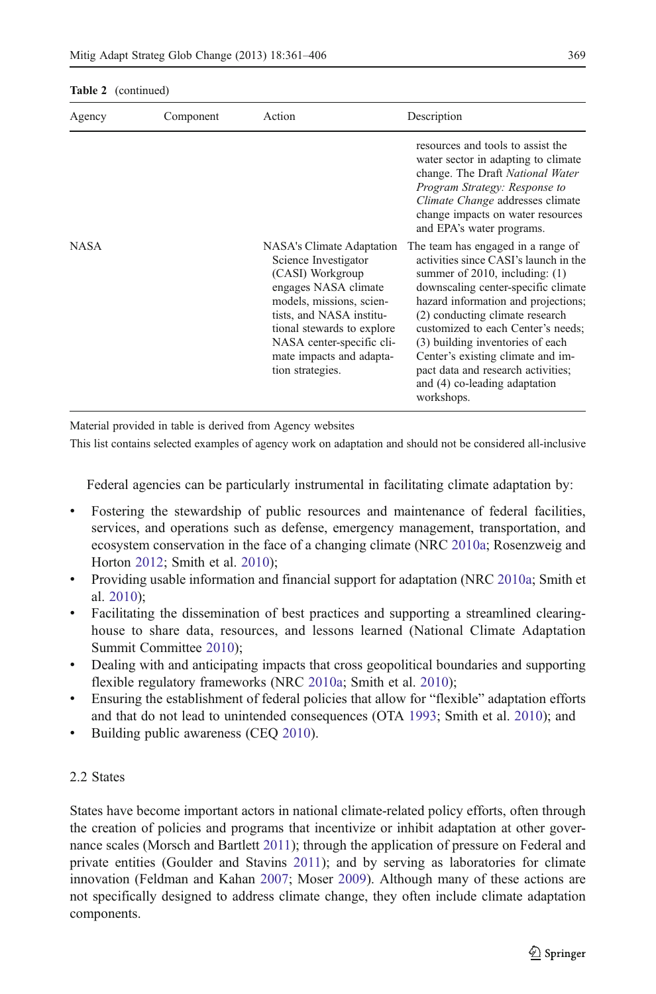| <b>Table 2</b> (continued) |           |                                                                                                                                                                                                                                                                  |                                                                                                                                                                                                                                                                                                                                                                                                                                      |
|----------------------------|-----------|------------------------------------------------------------------------------------------------------------------------------------------------------------------------------------------------------------------------------------------------------------------|--------------------------------------------------------------------------------------------------------------------------------------------------------------------------------------------------------------------------------------------------------------------------------------------------------------------------------------------------------------------------------------------------------------------------------------|
| Agency                     | Component | Action                                                                                                                                                                                                                                                           | Description                                                                                                                                                                                                                                                                                                                                                                                                                          |
|                            |           |                                                                                                                                                                                                                                                                  | resources and tools to assist the<br>water sector in adapting to climate<br>change. The Draft National Water<br>Program Strategy: Response to<br>Climate Change addresses climate<br>change impacts on water resources<br>and EPA's water programs.                                                                                                                                                                                  |
| NASA                       |           | NASA's Climate Adaptation<br>Science Investigator<br>(CASI) Workgroup<br>engages NASA climate<br>models, missions, scien-<br>tists, and NASA institu-<br>tional stewards to explore<br>NASA center-specific cli-<br>mate impacts and adapta-<br>tion strategies. | The team has engaged in a range of<br>activities since CASI's launch in the<br>summer of 2010, including: $(1)$<br>downscaling center-specific climate<br>hazard information and projections;<br>(2) conducting climate research<br>customized to each Center's needs;<br>(3) building inventories of each<br>Center's existing climate and im-<br>pact data and research activities;<br>and (4) co-leading adaptation<br>workshops. |

 $T_{\rm eff}$  (continued)

Material provided in table is derived from Agency websites

This list contains selected examples of agency work on adaptation and should not be considered all-inclusive

Federal agencies can be particularly instrumental in facilitating climate adaptation by:

- Fostering the stewardship of public resources and maintenance of federal facilities, services, and operations such as defense, emergency management, transportation, and ecosystem conservation in the face of a changing climate (NRC [2010a;](#page-42-0) Rosenzweig and Horton [2012;](#page-43-0) Smith et al. [2010\)](#page-44-0);
- & Providing usable information and financial support for adaptation (NRC [2010a](#page-42-0); Smith et al. [2010](#page-44-0));
- & Facilitating the dissemination of best practices and supporting a streamlined clearinghouse to share data, resources, and lessons learned (National Climate Adaptation Summit Committee [2010](#page-42-0));
- & Dealing with and anticipating impacts that cross geopolitical boundaries and supporting flexible regulatory frameworks (NRC [2010a;](#page-42-0) Smith et al. [2010\)](#page-44-0);
- & Ensuring the establishment of federal policies that allow for "flexible" adaptation efforts and that do not lead to unintended consequences (OTA [1993;](#page-42-0) Smith et al. [2010\)](#page-44-0); and
- & Building public awareness (CEQ [2010](#page-37-0)).

# 2.2 States

States have become important actors in national climate-related policy efforts, often through the creation of policies and programs that incentivize or inhibit adaptation at other governance scales (Morsch and Bartlett [2011](#page-41-0)); through the application of pressure on Federal and private entities (Goulder and Stavins [2011](#page-39-0)); and by serving as laboratories for climate innovation (Feldman and Kahan [2007](#page-39-0); Moser [2009\)](#page-41-0). Although many of these actions are not specifically designed to address climate change, they often include climate adaptation components.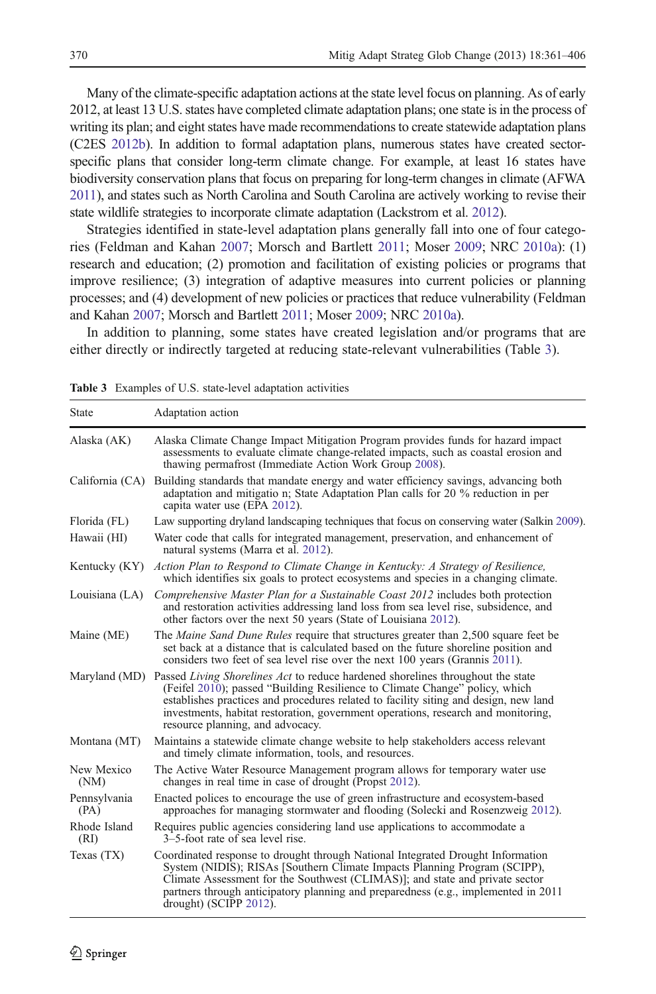Many of the climate-specific adaptation actions at the state level focus on planning. As of early 2012, at least 13 U.S. states have completed climate adaptation plans; one state is in the process of writing its plan; and eight states have made recommendations to create statewide adaptation plans (C2ES [2012b\)](#page-37-0). In addition to formal adaptation plans, numerous states have created sectorspecific plans that consider long-term climate change. For example, at least 16 states have biodiversity conservation plans that focus on preparing for long-term changes in climate (AFWA [2011\)](#page-36-0), and states such as North Carolina and South Carolina are actively working to revise their state wildlife strategies to incorporate climate adaptation (Lackstrom et al. [2012\)](#page-41-0).

Strategies identified in state-level adaptation plans generally fall into one of four categories (Feldman and Kahan [2007;](#page-39-0) Morsch and Bartlett [2011;](#page-41-0) Moser [2009;](#page-41-0) NRC [2010a](#page-42-0)): (1) research and education; (2) promotion and facilitation of existing policies or programs that improve resilience; (3) integration of adaptive measures into current policies or planning processes; and (4) development of new policies or practices that reduce vulnerability (Feldman and Kahan [2007;](#page-39-0) Morsch and Bartlett [2011](#page-41-0); Moser [2009;](#page-41-0) NRC [2010a\)](#page-42-0).

In addition to planning, some states have created legislation and/or programs that are either directly or indirectly targeted at reducing state-relevant vulnerabilities (Table 3).

| <b>State</b>         | Adaptation action                                                                                                                                                                                                                                                                                                                                                                             |  |
|----------------------|-----------------------------------------------------------------------------------------------------------------------------------------------------------------------------------------------------------------------------------------------------------------------------------------------------------------------------------------------------------------------------------------------|--|
| Alaska (AK)          | Alaska Climate Change Impact Mitigation Program provides funds for hazard impact<br>assessments to evaluate climate change-related impacts, such as coastal erosion and<br>thawing permafrost (Immediate Action Work Group 2008).                                                                                                                                                             |  |
|                      | California (CA) Building standards that mandate energy and water efficiency savings, advancing both<br>adaptation and mitigatio n; State Adaptation Plan calls for 20 % reduction in per<br>capita water use (EPA 2012).                                                                                                                                                                      |  |
| Florida (FL)         | Law supporting dryland landscaping techniques that focus on conserving water (Salkin 2009).                                                                                                                                                                                                                                                                                                   |  |
| Hawaii (HI)          | Water code that calls for integrated management, preservation, and enhancement of<br>natural systems (Marra et al. 2012).                                                                                                                                                                                                                                                                     |  |
|                      | Kentucky (KY) Action Plan to Respond to Climate Change in Kentucky: A Strategy of Resilience,<br>which identifies six goals to protect ecosystems and species in a changing climate.                                                                                                                                                                                                          |  |
| Louisiana (LA)       | Comprehensive Master Plan for a Sustainable Coast 2012 includes both protection<br>and restoration activities addressing land loss from sea level rise, subsidence, and<br>other factors over the next 50 years (State of Louisiana 2012).                                                                                                                                                    |  |
| Maine (ME)           | The <i>Maine Sand Dune Rules</i> require that structures greater than 2,500 square feet be<br>set back at a distance that is calculated based on the future shoreline position and<br>considers two feet of sea level rise over the next 100 years (Grannis 2011).                                                                                                                            |  |
|                      | Maryland (MD) Passed Living Shorelines Act to reduce hardened shorelines throughout the state<br>(Feifel 2010); passed "Building Resilience to Climate Change" policy, which<br>establishes practices and procedures related to facility siting and design, new land<br>investments, habitat restoration, government operations, research and monitoring,<br>resource planning, and advocacy. |  |
| Montana (MT)         | Maintains a statewide climate change website to help stakeholders access relevant<br>and timely climate information, tools, and resources.                                                                                                                                                                                                                                                    |  |
| New Mexico<br>(NM)   | The Active Water Resource Management program allows for temporary water use<br>changes in real time in case of drought (Propst 2012).                                                                                                                                                                                                                                                         |  |
| Pennsylvania<br>(PA) | Enacted polices to encourage the use of green infrastructure and ecosystem-based<br>approaches for managing stormwater and flooding (Solecki and Rosenzweig 2012).                                                                                                                                                                                                                            |  |
| Rhode Island<br>(RI) | Requires public agencies considering land use applications to accommodate a<br>3–5-foot rate of sea level rise.                                                                                                                                                                                                                                                                               |  |
| Texas $(TX)$         | Coordinated response to drought through National Integrated Drought Information<br>System (NIDIS); RISAs [Southern Climate Impacts Planning Program (SCIPP),<br>Climate Assessment for the Southwest (CLIMAS)]; and state and private sector<br>partners through anticipatory planning and preparedness (e.g., implemented in 2011)<br>drought) (SCIPP 2012).                                 |  |

Table 3 Examples of U.S. state-level adaptation activities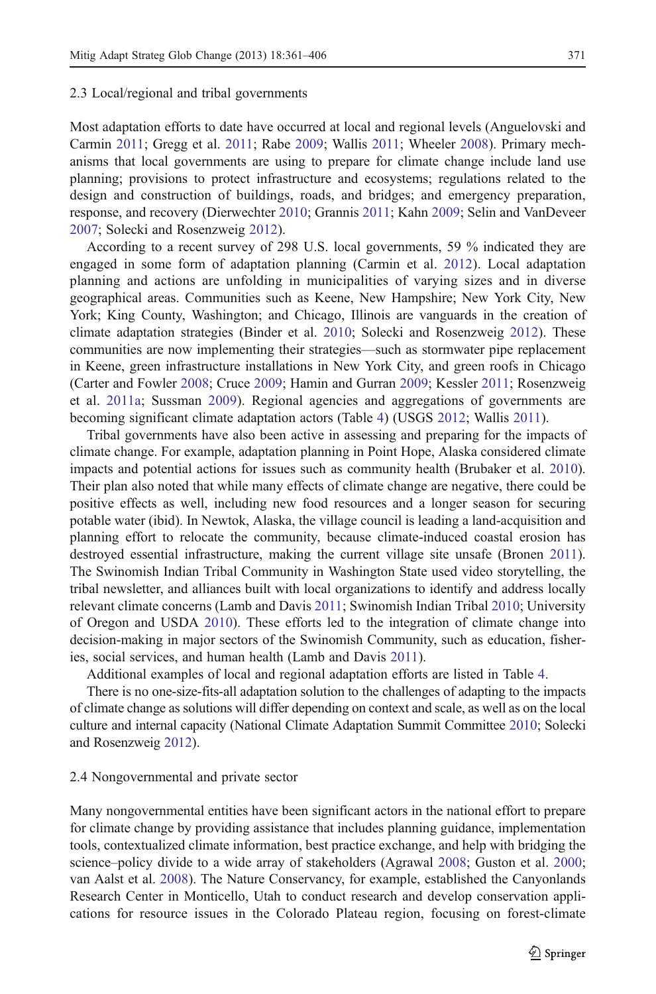Most adaptation efforts to date have occurred at local and regional levels (Anguelovski and Carmin [2011;](#page-36-0) Gregg et al. [2011;](#page-39-0) Rabe [2009;](#page-43-0) Wallis [2011;](#page-45-0) Wheeler [2008](#page-45-0)). Primary mechanisms that local governments are using to prepare for climate change include land use planning; provisions to protect infrastructure and ecosystems; regulations related to the design and construction of buildings, roads, and bridges; and emergency preparation, response, and recovery (Dierwechter [2010;](#page-38-0) Grannis [2011;](#page-39-0) Kahn [2009](#page-40-0); Selin and VanDeveer [2007;](#page-44-0) Solecki and Rosenzweig [2012](#page-44-0)).

According to a recent survey of 298 U.S. local governments, 59 % indicated they are engaged in some form of adaptation planning (Carmin et al. [2012\)](#page-37-0). Local adaptation planning and actions are unfolding in municipalities of varying sizes and in diverse geographical areas. Communities such as Keene, New Hampshire; New York City, New York; King County, Washington; and Chicago, Illinois are vanguards in the creation of climate adaptation strategies (Binder et al. [2010;](#page-37-0) Solecki and Rosenzweig [2012\)](#page-44-0). These communities are now implementing their strategies—such as stormwater pipe replacement in Keene, green infrastructure installations in New York City, and green roofs in Chicago (Carter and Fowler [2008](#page-37-0); Cruce [2009](#page-38-0); Hamin and Gurran [2009;](#page-39-0) Kessler [2011](#page-40-0); Rosenzweig et al. [2011a;](#page-43-0) Sussman [2009\)](#page-44-0). Regional agencies and aggregations of governments are becoming significant climate adaptation actors (Table [4](#page-11-0)) (USGS [2012](#page-44-0); Wallis [2011\)](#page-45-0).

Tribal governments have also been active in assessing and preparing for the impacts of climate change. For example, adaptation planning in Point Hope, Alaska considered climate impacts and potential actions for issues such as community health (Brubaker et al. [2010](#page-37-0)). Their plan also noted that while many effects of climate change are negative, there could be positive effects as well, including new food resources and a longer season for securing potable water (ibid). In Newtok, Alaska, the village council is leading a land-acquisition and planning effort to relocate the community, because climate-induced coastal erosion has destroyed essential infrastructure, making the current village site unsafe (Bronen [2011](#page-37-0)). The Swinomish Indian Tribal Community in Washington State used video storytelling, the tribal newsletter, and alliances built with local organizations to identify and address locally relevant climate concerns (Lamb and Davis [2011;](#page-41-0) Swinomish Indian Tribal [2010](#page-44-0); University of Oregon and USDA [2010\)](#page-44-0). These efforts led to the integration of climate change into decision-making in major sectors of the Swinomish Community, such as education, fisheries, social services, and human health (Lamb and Davis [2011](#page-41-0)).

Additional examples of local and regional adaptation efforts are listed in Table [4](#page-11-0).

There is no one-size-fits-all adaptation solution to the challenges of adapting to the impacts of climate change as solutions will differ depending on context and scale, as well as on the local culture and internal capacity (National Climate Adaptation Summit Committee [2010;](#page-42-0) Solecki and Rosenzweig [2012\)](#page-44-0).

#### 2.4 Nongovernmental and private sector

Many nongovernmental entities have been significant actors in the national effort to prepare for climate change by providing assistance that includes planning guidance, implementation tools, contextualized climate information, best practice exchange, and help with bridging the science–policy divide to a wide array of stakeholders (Agrawal [2008;](#page-36-0) Guston et al. [2000](#page-39-0); van Aalst et al. [2008](#page-44-0)). The Nature Conservancy, for example, established the Canyonlands Research Center in Monticello, Utah to conduct research and develop conservation applications for resource issues in the Colorado Plateau region, focusing on forest-climate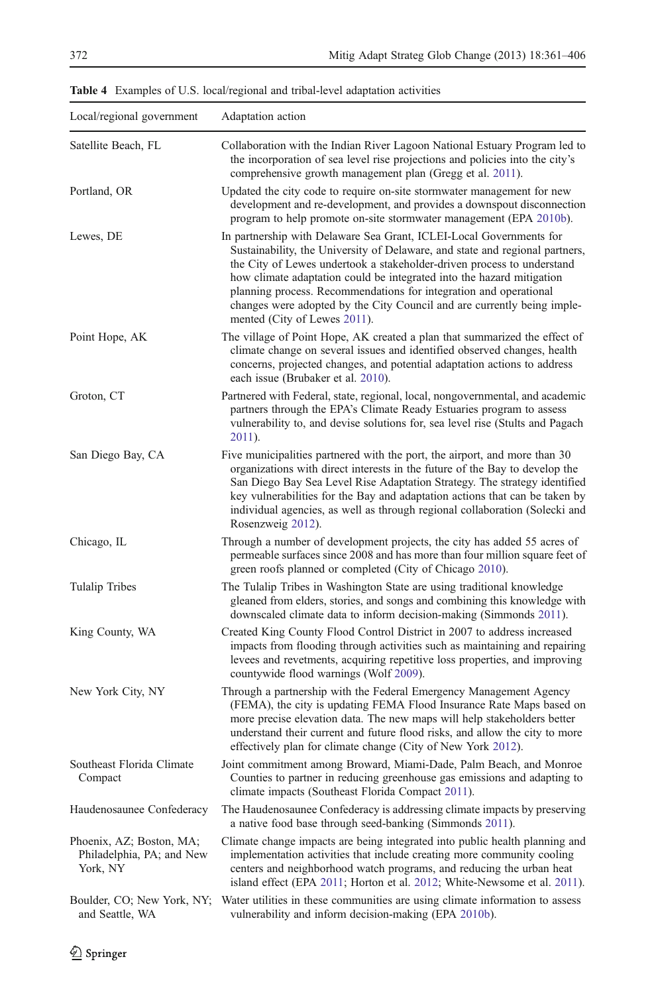| Local/regional government                                         | Adaptation action                                                                                                                                                                                                                                                                                                                                                                                                                                                                      |
|-------------------------------------------------------------------|----------------------------------------------------------------------------------------------------------------------------------------------------------------------------------------------------------------------------------------------------------------------------------------------------------------------------------------------------------------------------------------------------------------------------------------------------------------------------------------|
| Satellite Beach, FL                                               | Collaboration with the Indian River Lagoon National Estuary Program led to<br>the incorporation of sea level rise projections and policies into the city's<br>comprehensive growth management plan (Gregg et al. 2011).                                                                                                                                                                                                                                                                |
| Portland, OR                                                      | Updated the city code to require on-site stormwater management for new<br>development and re-development, and provides a downspout disconnection<br>program to help promote on-site stormwater management (EPA 2010b).                                                                                                                                                                                                                                                                 |
| Lewes, DE                                                         | In partnership with Delaware Sea Grant, ICLEI-Local Governments for<br>Sustainability, the University of Delaware, and state and regional partners,<br>the City of Lewes undertook a stakeholder-driven process to understand<br>how climate adaptation could be integrated into the hazard mitigation<br>planning process. Recommendations for integration and operational<br>changes were adopted by the City Council and are currently being imple-<br>mented (City of Lewes 2011). |
| Point Hope, AK                                                    | The village of Point Hope, AK created a plan that summarized the effect of<br>climate change on several issues and identified observed changes, health<br>concerns, projected changes, and potential adaptation actions to address<br>each issue (Brubaker et al. 2010).                                                                                                                                                                                                               |
| Groton, CT                                                        | Partnered with Federal, state, regional, local, nongovernmental, and academic<br>partners through the EPA's Climate Ready Estuaries program to assess<br>vulnerability to, and devise solutions for, sea level rise (Stults and Pagach<br>2011).                                                                                                                                                                                                                                       |
| San Diego Bay, CA                                                 | Five municipalities partnered with the port, the airport, and more than 30<br>organizations with direct interests in the future of the Bay to develop the<br>San Diego Bay Sea Level Rise Adaptation Strategy. The strategy identified<br>key vulnerabilities for the Bay and adaptation actions that can be taken by<br>individual agencies, as well as through regional collaboration (Solecki and<br>Rosenzweig 2012).                                                              |
| Chicago, IL                                                       | Through a number of development projects, the city has added 55 acres of<br>permeable surfaces since 2008 and has more than four million square feet of<br>green roofs planned or completed (City of Chicago 2010).                                                                                                                                                                                                                                                                    |
| Tulalip Tribes                                                    | The Tulalip Tribes in Washington State are using traditional knowledge<br>gleaned from elders, stories, and songs and combining this knowledge with<br>downscaled climate data to inform decision-making (Simmonds 2011).                                                                                                                                                                                                                                                              |
| King County, WA                                                   | Created King County Flood Control District in 2007 to address increased<br>impacts from flooding through activities such as maintaining and repairing<br>levees and revetments, acquiring repetitive loss properties, and improving<br>countywide flood warnings (Wolf 2009).                                                                                                                                                                                                          |
| New York City, NY                                                 | Through a partnership with the Federal Emergency Management Agency<br>(FEMA), the city is updating FEMA Flood Insurance Rate Maps based on<br>more precise elevation data. The new maps will help stakeholders better<br>understand their current and future flood risks, and allow the city to more<br>effectively plan for climate change (City of New York 2012).                                                                                                                   |
| Southeast Florida Climate<br>Compact                              | Joint commitment among Broward, Miami-Dade, Palm Beach, and Monroe<br>Counties to partner in reducing greenhouse gas emissions and adapting to<br>climate impacts (Southeast Florida Compact 2011).                                                                                                                                                                                                                                                                                    |
| Haudenosaunee Confederacy                                         | The Haudenosaunee Confederacy is addressing climate impacts by preserving<br>a native food base through seed-banking (Simmonds 2011).                                                                                                                                                                                                                                                                                                                                                  |
| Phoenix, AZ; Boston, MA;<br>Philadelphia, PA; and New<br>York, NY | Climate change impacts are being integrated into public health planning and<br>implementation activities that include creating more community cooling<br>centers and neighborhood watch programs, and reducing the urban heat<br>island effect (EPA 2011; Horton et al. 2012; White-Newsome et al. 2011).                                                                                                                                                                              |
| Boulder, CO; New York, NY;<br>and Seattle, WA                     | Water utilities in these communities are using climate information to assess<br>vulnerability and inform decision-making (EPA 2010b).                                                                                                                                                                                                                                                                                                                                                  |

<span id="page-11-0"></span>Table 4 Examples of U.S. local/regional and tribal-level adaptation activities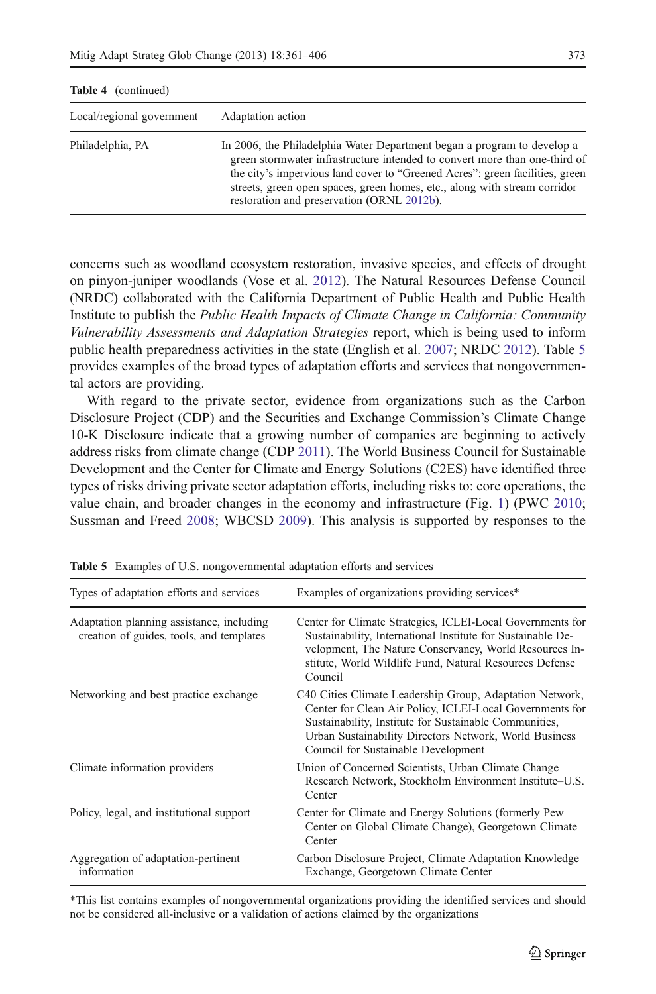| <b>Table 4</b> (continued) |                                                                                                                                                                                                                                                                                                                                                                  |
|----------------------------|------------------------------------------------------------------------------------------------------------------------------------------------------------------------------------------------------------------------------------------------------------------------------------------------------------------------------------------------------------------|
| Local/regional government  | Adaptation action                                                                                                                                                                                                                                                                                                                                                |
| Philadelphia, PA           | In 2006, the Philadelphia Water Department began a program to develop a<br>green stormwater infrastructure intended to convert more than one-third of<br>the city's impervious land cover to "Greened Acres": green facilities, green<br>streets, green open spaces, green homes, etc., along with stream corridor<br>restoration and preservation (ORNL 2012b). |

concerns such as woodland ecosystem restoration, invasive species, and effects of drought on pinyon-juniper woodlands (Vose et al. [2012\)](#page-45-0). The Natural Resources Defense Council (NRDC) collaborated with the California Department of Public Health and Public Health Institute to publish the Public Health Impacts of Climate Change in California: Community Vulnerability Assessments and Adaptation Strategies report, which is being used to inform public health preparedness activities in the state (English et al. [2007;](#page-38-0) NRDC [2012\)](#page-42-0). Table 5 provides examples of the broad types of adaptation efforts and services that nongovernmental actors are providing.

With regard to the private sector, evidence from organizations such as the Carbon Disclosure Project (CDP) and the Securities and Exchange Commission's Climate Change 10-K Disclosure indicate that a growing number of companies are beginning to actively address risks from climate change (CDP [2011](#page-37-0)). The World Business Council for Sustainable Development and the Center for Climate and Energy Solutions (C2ES) have identified three types of risks driving private sector adaptation efforts, including risks to: core operations, the value chain, and broader changes in the economy and infrastructure (Fig. [1](#page-13-0)) (PWC [2010](#page-43-0); Sussman and Freed [2008](#page-44-0); WBCSD [2009\)](#page-45-0). This analysis is supported by responses to the

| Types of adaptation efforts and services                                              | Examples of organizations providing services*                                                                                                                                                                                                                                   |
|---------------------------------------------------------------------------------------|---------------------------------------------------------------------------------------------------------------------------------------------------------------------------------------------------------------------------------------------------------------------------------|
| Adaptation planning assistance, including<br>creation of guides, tools, and templates | Center for Climate Strategies, ICLEI-Local Governments for<br>Sustainability, International Institute for Sustainable De-<br>velopment, The Nature Conservancy, World Resources In-<br>stitute, World Wildlife Fund, Natural Resources Defense<br>Council                       |
| Networking and best practice exchange.                                                | C40 Cities Climate Leadership Group, Adaptation Network,<br>Center for Clean Air Policy, ICLEI-Local Governments for<br>Sustainability, Institute for Sustainable Communities,<br>Urban Sustainability Directors Network, World Business<br>Council for Sustainable Development |
| Climate information providers                                                         | Union of Concerned Scientists, Urban Climate Change<br>Research Network, Stockholm Environment Institute–U.S.<br>Center                                                                                                                                                         |
| Policy, legal, and institutional support                                              | Center for Climate and Energy Solutions (formerly Pew<br>Center on Global Climate Change), Georgetown Climate<br>Center                                                                                                                                                         |
| Aggregation of adaptation-pertinent<br>information                                    | Carbon Disclosure Project, Climate Adaptation Knowledge<br>Exchange, Georgetown Climate Center                                                                                                                                                                                  |

Table 5 Examples of U.S. nongovernmental adaptation efforts and services

\*This list contains examples of nongovernmental organizations providing the identified services and should not be considered all-inclusive or a validation of actions claimed by the organizations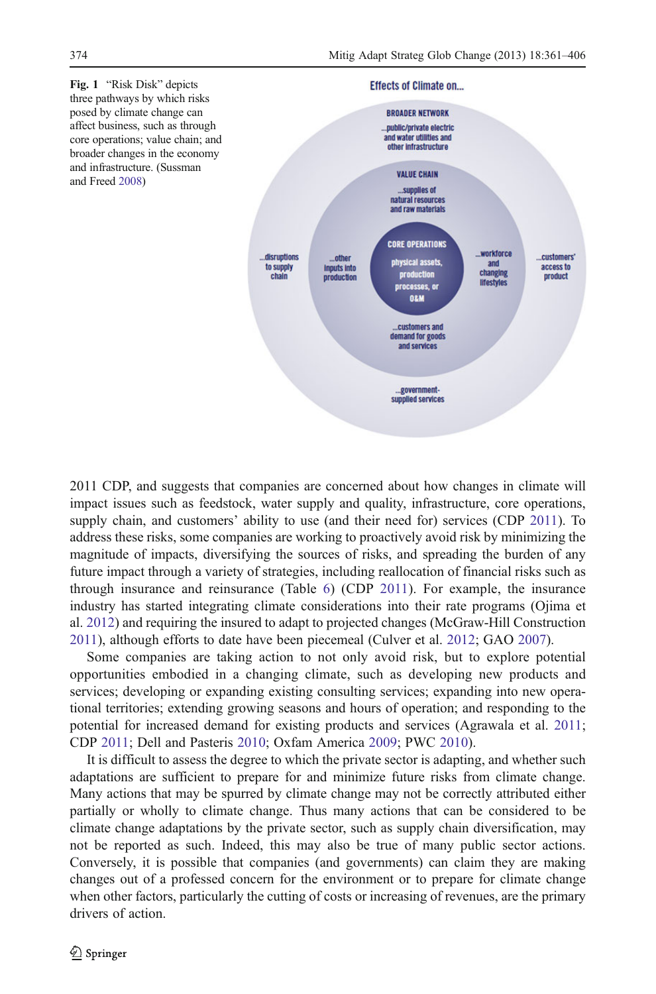<span id="page-13-0"></span>

2011 CDP, and suggests that companies are concerned about how changes in climate will impact issues such as feedstock, water supply and quality, infrastructure, core operations, supply chain, and customers' ability to use (and their need for) services (CDP [2011\)](#page-37-0). To address these risks, some companies are working to proactively avoid risk by minimizing the magnitude of impacts, diversifying the sources of risks, and spreading the burden of any future impact through a variety of strategies, including reallocation of financial risks such as through insurance and reinsurance (Table [6](#page-14-0)) (CDP [2011\)](#page-37-0). For example, the insurance industry has started integrating climate considerations into their rate programs (Ojima et al. [2012\)](#page-42-0) and requiring the insured to adapt to projected changes (McGraw-Hill Construction [2011](#page-41-0)), although efforts to date have been piecemeal (Culver et al. [2012;](#page-38-0) GAO [2007](#page-39-0)).

Some companies are taking action to not only avoid risk, but to explore potential opportunities embodied in a changing climate, such as developing new products and services; developing or expanding existing consulting services; expanding into new operational territories; extending growing seasons and hours of operation; and responding to the potential for increased demand for existing products and services (Agrawala et al. [2011](#page-36-0); CDP [2011;](#page-37-0) Dell and Pasteris [2010](#page-38-0); Oxfam America [2009](#page-42-0); PWC [2010\)](#page-43-0).

It is difficult to assess the degree to which the private sector is adapting, and whether such adaptations are sufficient to prepare for and minimize future risks from climate change. Many actions that may be spurred by climate change may not be correctly attributed either partially or wholly to climate change. Thus many actions that can be considered to be climate change adaptations by the private sector, such as supply chain diversification, may not be reported as such. Indeed, this may also be true of many public sector actions. Conversely, it is possible that companies (and governments) can claim they are making changes out of a professed concern for the environment or to prepare for climate change when other factors, particularly the cutting of costs or increasing of revenues, are the primary drivers of action.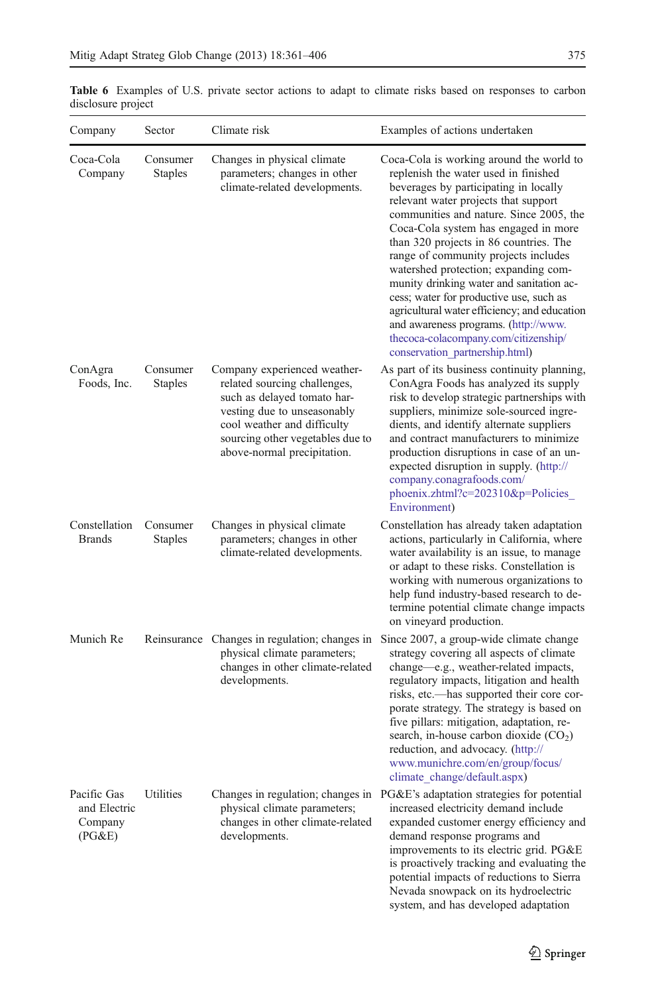| Company                                          | Sector                     | Climate risk                                                                                                                                                                                                                 | Examples of actions undertaken                                                                                                                                                                                                                                                                                                                                                                                                                                                                                                                                                                                                          |
|--------------------------------------------------|----------------------------|------------------------------------------------------------------------------------------------------------------------------------------------------------------------------------------------------------------------------|-----------------------------------------------------------------------------------------------------------------------------------------------------------------------------------------------------------------------------------------------------------------------------------------------------------------------------------------------------------------------------------------------------------------------------------------------------------------------------------------------------------------------------------------------------------------------------------------------------------------------------------------|
| Coca-Cola<br>Company                             | Consumer<br><b>Staples</b> | Changes in physical climate<br>parameters; changes in other<br>climate-related developments.                                                                                                                                 | Coca-Cola is working around the world to<br>replenish the water used in finished<br>beverages by participating in locally<br>relevant water projects that support<br>communities and nature. Since 2005, the<br>Coca-Cola system has engaged in more<br>than 320 projects in 86 countries. The<br>range of community projects includes<br>watershed protection; expanding com-<br>munity drinking water and sanitation ac-<br>cess; water for productive use, such as<br>agricultural water efficiency; and education<br>and awareness programs. (http://www.<br>thecoca-colacompany.com/citizenship/<br>conservation partnership.html) |
| ConAgra<br>Foods, Inc.                           | Consumer<br><b>Staples</b> | Company experienced weather-<br>related sourcing challenges,<br>such as delayed tomato har-<br>vesting due to unseasonably<br>cool weather and difficulty<br>sourcing other vegetables due to<br>above-normal precipitation. | As part of its business continuity planning,<br>ConAgra Foods has analyzed its supply<br>risk to develop strategic partnerships with<br>suppliers, minimize sole-sourced ingre-<br>dients, and identify alternate suppliers<br>and contract manufacturers to minimize<br>production disruptions in case of an un-<br>expected disruption in supply. (http://<br>company.conagrafoods.com/<br>phoenix.zhtml?c=202310&p=Policies<br>Environment)                                                                                                                                                                                          |
| Constellation<br><b>Brands</b>                   | Consumer<br><b>Staples</b> | Changes in physical climate<br>parameters; changes in other<br>climate-related developments.                                                                                                                                 | Constellation has already taken adaptation<br>actions, particularly in California, where<br>water availability is an issue, to manage<br>or adapt to these risks. Constellation is<br>working with numerous organizations to<br>help fund industry-based research to de-<br>termine potential climate change impacts<br>on vineyard production.                                                                                                                                                                                                                                                                                         |
| Munich Re                                        |                            | Reinsurance Changes in regulation; changes in<br>physical climate parameters;<br>changes in other climate-related<br>developments.                                                                                           | Since 2007, a group-wide climate change<br>strategy covering all aspects of climate<br>change—e.g., weather-related impacts,<br>regulatory impacts, litigation and health<br>risks, etc.—has supported their core cor-<br>porate strategy. The strategy is based on<br>five pillars: mitigation, adaptation, re-<br>search, in-house carbon dioxide $(CO2)$<br>reduction, and advocacy. (http://<br>www.munichre.com/en/group/focus/<br>climate change/default.aspx)                                                                                                                                                                    |
| Pacific Gas<br>and Electric<br>Company<br>(PG&E) | Utilities                  | physical climate parameters;<br>changes in other climate-related<br>developments.                                                                                                                                            | Changes in regulation; changes in PG&E's adaptation strategies for potential<br>increased electricity demand include<br>expanded customer energy efficiency and<br>demand response programs and<br>improvements to its electric grid. PG&E<br>is proactively tracking and evaluating the<br>potential impacts of reductions to Sierra<br>Nevada snowpack on its hydroelectric<br>system, and has developed adaptation                                                                                                                                                                                                                   |

<span id="page-14-0"></span>Table 6 Examples of U.S. private sector actions to adapt to climate risks based on responses to carbon disclosure project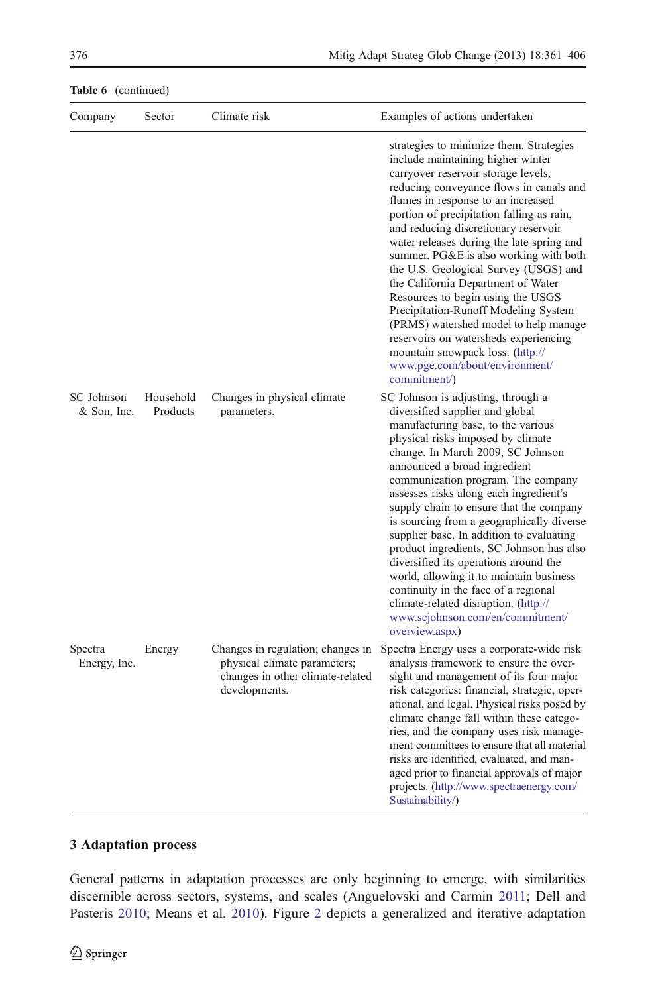| Company                   | Sector                | Climate risk                                                                                                           | Examples of actions undertaken                                                                                                                                                                                                                                                                                                                                                                                                                                                                                                                                                                                                                                                                                       |
|---------------------------|-----------------------|------------------------------------------------------------------------------------------------------------------------|----------------------------------------------------------------------------------------------------------------------------------------------------------------------------------------------------------------------------------------------------------------------------------------------------------------------------------------------------------------------------------------------------------------------------------------------------------------------------------------------------------------------------------------------------------------------------------------------------------------------------------------------------------------------------------------------------------------------|
|                           |                       |                                                                                                                        | strategies to minimize them. Strategies<br>include maintaining higher winter<br>carryover reservoir storage levels,<br>reducing conveyance flows in canals and<br>flumes in response to an increased<br>portion of precipitation falling as rain,<br>and reducing discretionary reservoir<br>water releases during the late spring and<br>summer. PG&E is also working with both<br>the U.S. Geological Survey (USGS) and<br>the California Department of Water<br>Resources to begin using the USGS<br>Precipitation-Runoff Modeling System<br>(PRMS) watershed model to help manage<br>reservoirs on watersheds experiencing<br>mountain snowpack loss. (http://<br>www.pge.com/about/environment/<br>commitment/) |
| SC Johnson<br>& Son, Inc. | Household<br>Products | Changes in physical climate<br>parameters.                                                                             | SC Johnson is adjusting, through a<br>diversified supplier and global<br>manufacturing base, to the various<br>physical risks imposed by climate<br>change. In March 2009, SC Johnson<br>announced a broad ingredient<br>communication program. The company<br>assesses risks along each ingredient's<br>supply chain to ensure that the company<br>is sourcing from a geographically diverse<br>supplier base. In addition to evaluating<br>product ingredients, SC Johnson has also<br>diversified its operations around the<br>world, allowing it to maintain business<br>continuity in the face of a regional<br>climate-related disruption. (http://<br>www.scjohnson.com/en/commitment/<br>overview.aspx)      |
| Spectra<br>Energy, Inc.   | Energy                | Changes in regulation; changes in<br>physical climate parameters;<br>changes in other climate-related<br>developments. | Spectra Energy uses a corporate-wide risk<br>analysis framework to ensure the over-<br>sight and management of its four major<br>risk categories: financial, strategic, oper-<br>ational, and legal. Physical risks posed by<br>climate change fall within these catego-<br>ries, and the company uses risk manage-<br>ment committees to ensure that all material<br>risks are identified, evaluated, and man-<br>aged prior to financial approvals of major<br>projects. (http://www.spectraenergy.com/<br>Sustainability/)                                                                                                                                                                                        |

# 3 Adaptation process

General patterns in adaptation processes are only beginning to emerge, with similarities discernible across sectors, systems, and scales (Anguelovski and Carmin [2011;](#page-36-0) Dell and Pasteris [2010](#page-38-0); Means et al. [2010\)](#page-41-0). Figure [2](#page-16-0) depicts a generalized and iterative adaptation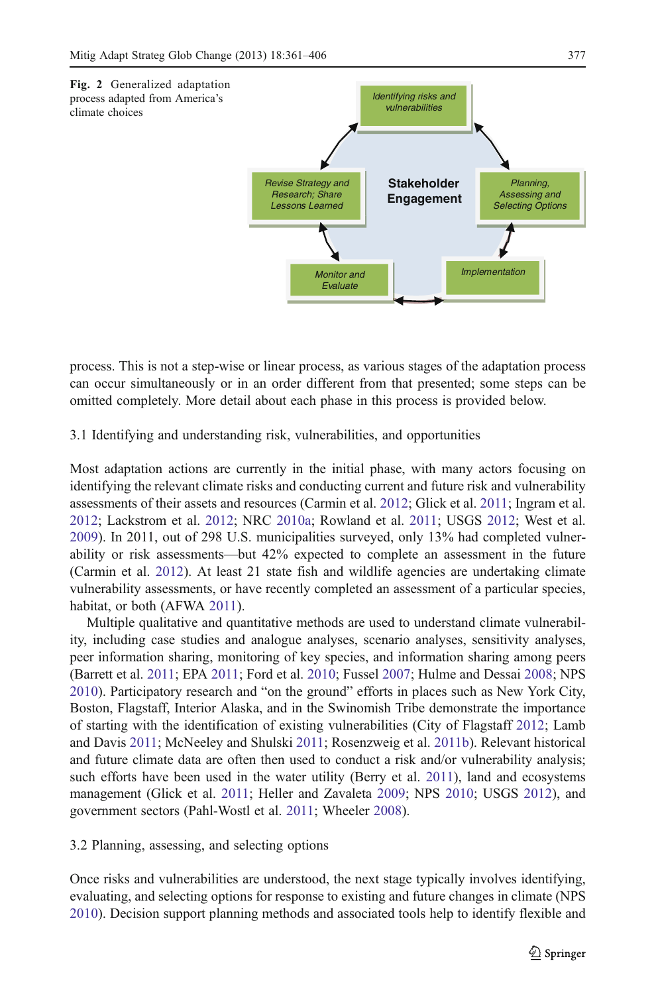<span id="page-16-0"></span>

process. This is not a step-wise or linear process, as various stages of the adaptation process can occur simultaneously or in an order different from that presented; some steps can be omitted completely. More detail about each phase in this process is provided below.

## 3.1 Identifying and understanding risk, vulnerabilities, and opportunities

Most adaptation actions are currently in the initial phase, with many actors focusing on identifying the relevant climate risks and conducting current and future risk and vulnerability assessments of their assets and resources (Carmin et al. [2012;](#page-37-0) Glick et al. [2011](#page-39-0); Ingram et al. [2012;](#page-40-0) Lackstrom et al. [2012;](#page-41-0) NRC [2010a;](#page-42-0) Rowland et al. [2011](#page-43-0); USGS [2012](#page-44-0); West et al. [2009\)](#page-45-0). In 2011, out of 298 U.S. municipalities surveyed, only 13% had completed vulnerability or risk assessments—but 42% expected to complete an assessment in the future (Carmin et al. [2012](#page-37-0)). At least 21 state fish and wildlife agencies are undertaking climate vulnerability assessments, or have recently completed an assessment of a particular species, habitat, or both (AFWA [2011\)](#page-36-0).

Multiple qualitative and quantitative methods are used to understand climate vulnerability, including case studies and analogue analyses, scenario analyses, sensitivity analyses, peer information sharing, monitoring of key species, and information sharing among peers (Barrett et al. [2011](#page-36-0); EPA [2011](#page-38-0); Ford et al. [2010;](#page-39-0) Fussel [2007](#page-39-0); Hulme and Dessai [2008](#page-40-0); NPS [2010\)](#page-42-0). Participatory research and "on the ground" efforts in places such as New York City, Boston, Flagstaff, Interior Alaska, and in the Swinomish Tribe demonstrate the importance of starting with the identification of existing vulnerabilities (City of Flagstaff [2012;](#page-37-0) Lamb and Davis [2011;](#page-41-0) McNeeley and Shulski [2011](#page-41-0); Rosenzweig et al. [2011b](#page-43-0)). Relevant historical and future climate data are often then used to conduct a risk and/or vulnerability analysis; such efforts have been used in the water utility (Berry et al. [2011](#page-37-0)), land and ecosystems management (Glick et al. [2011](#page-39-0); Heller and Zavaleta [2009;](#page-40-0) NPS [2010](#page-42-0); USGS [2012](#page-44-0)), and government sectors (Pahl-Wostl et al. [2011;](#page-42-0) Wheeler [2008](#page-45-0)).

3.2 Planning, assessing, and selecting options

Once risks and vulnerabilities are understood, the next stage typically involves identifying, evaluating, and selecting options for response to existing and future changes in climate (NPS [2010\)](#page-42-0). Decision support planning methods and associated tools help to identify flexible and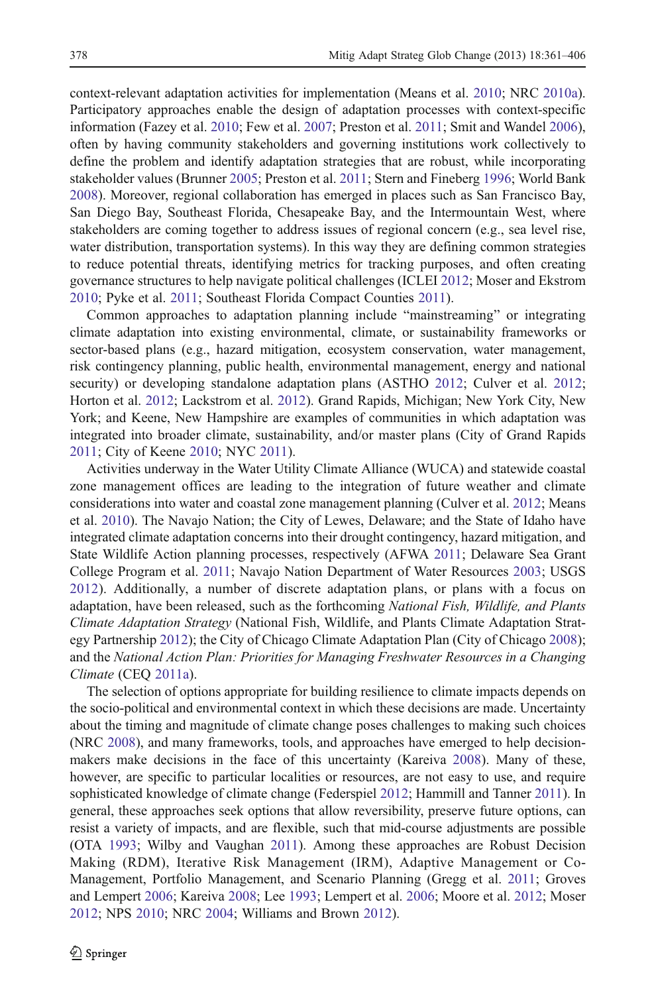context-relevant adaptation activities for implementation (Means et al. [2010](#page-41-0); NRC [2010a](#page-42-0)). Participatory approaches enable the design of adaptation processes with context-specific information (Fazey et al. [2010](#page-39-0); Few et al. [2007;](#page-39-0) Preston et al. [2011;](#page-43-0) Smit and Wandel [2006](#page-44-0)), often by having community stakeholders and governing institutions work collectively to define the problem and identify adaptation strategies that are robust, while incorporating stakeholder values (Brunner [2005;](#page-37-0) Preston et al. [2011](#page-43-0); Stern and Fineberg [1996;](#page-44-0) World Bank [2008\)](#page-45-0). Moreover, regional collaboration has emerged in places such as San Francisco Bay, San Diego Bay, Southeast Florida, Chesapeake Bay, and the Intermountain West, where stakeholders are coming together to address issues of regional concern (e.g., sea level rise, water distribution, transportation systems). In this way they are defining common strategies to reduce potential threats, identifying metrics for tracking purposes, and often creating governance structures to help navigate political challenges (ICLEI [2012](#page-40-0); Moser and Ekstrom [2010;](#page-42-0) Pyke et al. [2011;](#page-43-0) Southeast Florida Compact Counties [2011\)](#page-44-0).

Common approaches to adaptation planning include "mainstreaming" or integrating climate adaptation into existing environmental, climate, or sustainability frameworks or sector-based plans (e.g., hazard mitigation, ecosystem conservation, water management, risk contingency planning, public health, environmental management, energy and national security) or developing standalone adaptation plans (ASTHO [2012;](#page-36-0) Culver et al. [2012](#page-38-0); Horton et al. [2012;](#page-40-0) Lackstrom et al. [2012](#page-41-0)). Grand Rapids, Michigan; New York City, New York; and Keene, New Hampshire are examples of communities in which adaptation was integrated into broader climate, sustainability, and/or master plans (City of Grand Rapids [2011](#page-38-0); City of Keene [2010](#page-38-0); NYC [2011\)](#page-42-0).

Activities underway in the Water Utility Climate Alliance (WUCA) and statewide coastal zone management offices are leading to the integration of future weather and climate considerations into water and coastal zone management planning (Culver et al. [2012;](#page-38-0) Means et al. [2010](#page-41-0)). The Navajo Nation; the City of Lewes, Delaware; and the State of Idaho have integrated climate adaptation concerns into their drought contingency, hazard mitigation, and State Wildlife Action planning processes, respectively (AFWA [2011;](#page-36-0) Delaware Sea Grant College Program et al. [2011;](#page-38-0) Navajo Nation Department of Water Resources [2003;](#page-42-0) USGS [2012](#page-44-0)). Additionally, a number of discrete adaptation plans, or plans with a focus on adaptation, have been released, such as the forthcoming National Fish, Wildlife, and Plants Climate Adaptation Strategy (National Fish, Wildlife, and Plants Climate Adaptation Strategy Partnership [2012](#page-42-0)); the City of Chicago Climate Adaptation Plan (City of Chicago [2008\)](#page-37-0); and the National Action Plan: Priorities for Managing Freshwater Resources in a Changing Climate (CEQ [2011a\)](#page-37-0).

The selection of options appropriate for building resilience to climate impacts depends on the socio-political and environmental context in which these decisions are made. Uncertainty about the timing and magnitude of climate change poses challenges to making such choices (NRC [2008\)](#page-42-0), and many frameworks, tools, and approaches have emerged to help decisionmakers make decisions in the face of this uncertainty (Kareiva [2008\)](#page-40-0). Many of these, however, are specific to particular localities or resources, are not easy to use, and require sophisticated knowledge of climate change (Federspiel [2012;](#page-39-0) Hammill and Tanner [2011](#page-39-0)). In general, these approaches seek options that allow reversibility, preserve future options, can resist a variety of impacts, and are flexible, such that mid-course adjustments are possible (OTA [1993;](#page-42-0) Wilby and Vaughan [2011](#page-45-0)). Among these approaches are Robust Decision Making (RDM), Iterative Risk Management (IRM), Adaptive Management or Co-Management, Portfolio Management, and Scenario Planning (Gregg et al. [2011;](#page-39-0) Groves and Lempert [2006;](#page-39-0) Kareiva [2008;](#page-40-0) Lee [1993](#page-41-0); Lempert et al. [2006](#page-41-0); Moore et al. [2012;](#page-41-0) Moser [2012;](#page-42-0) NPS [2010](#page-42-0); NRC [2004;](#page-42-0) Williams and Brown [2012\)](#page-45-0).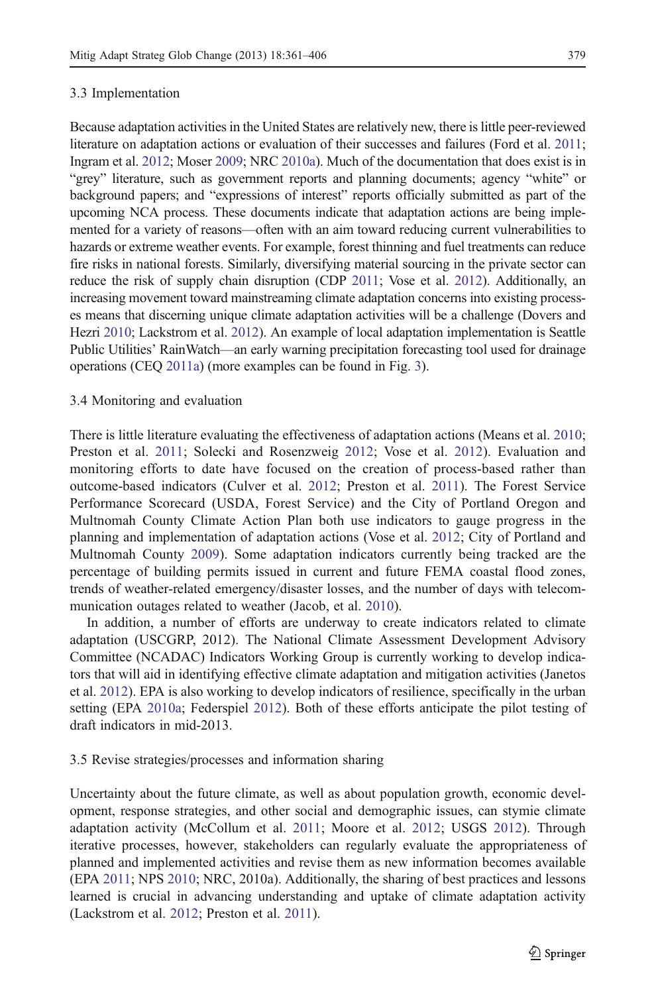#### 3.3 Implementation

Because adaptation activities in the United States are relatively new, there is little peer-reviewed literature on adaptation actions or evaluation of their successes and failures (Ford et al. [2011](#page-39-0); Ingram et al. [2012;](#page-40-0) Moser [2009;](#page-41-0) NRC [2010a](#page-42-0)). Much of the documentation that does exist is in "grey" literature, such as government reports and planning documents; agency "white" or background papers; and "expressions of interest" reports officially submitted as part of the upcoming NCA process. These documents indicate that adaptation actions are being implemented for a variety of reasons—often with an aim toward reducing current vulnerabilities to hazards or extreme weather events. For example, forest thinning and fuel treatments can reduce fire risks in national forests. Similarly, diversifying material sourcing in the private sector can reduce the risk of supply chain disruption (CDP [2011](#page-37-0); Vose et al. [2012](#page-45-0)). Additionally, an increasing movement toward mainstreaming climate adaptation concerns into existing processes means that discerning unique climate adaptation activities will be a challenge (Dovers and Hezri [2010;](#page-38-0) Lackstrom et al. [2012](#page-41-0)). An example of local adaptation implementation is Seattle Public Utilities' RainWatch—an early warning precipitation forecasting tool used for drainage operations (CEQ [2011a\)](#page-37-0) (more examples can be found in Fig. [3](#page-21-0)).

#### 3.4 Monitoring and evaluation

There is little literature evaluating the effectiveness of adaptation actions (Means et al. [2010](#page-41-0); Preston et al. [2011;](#page-43-0) Solecki and Rosenzweig [2012](#page-44-0); Vose et al. [2012\)](#page-45-0). Evaluation and monitoring efforts to date have focused on the creation of process-based rather than outcome-based indicators (Culver et al. [2012;](#page-38-0) Preston et al. [2011](#page-43-0)). The Forest Service Performance Scorecard (USDA, Forest Service) and the City of Portland Oregon and Multnomah County Climate Action Plan both use indicators to gauge progress in the planning and implementation of adaptation actions (Vose et al. [2012;](#page-45-0) City of Portland and Multnomah County [2009](#page-38-0)). Some adaptation indicators currently being tracked are the percentage of building permits issued in current and future FEMA coastal flood zones, trends of weather-related emergency/disaster losses, and the number of days with telecommunication outages related to weather (Jacob, et al. [2010](#page-40-0)).

In addition, a number of efforts are underway to create indicators related to climate adaptation (USCGRP, 2012). The National Climate Assessment Development Advisory Committee (NCADAC) Indicators Working Group is currently working to develop indicators that will aid in identifying effective climate adaptation and mitigation activities (Janetos et al. [2012\)](#page-40-0). EPA is also working to develop indicators of resilience, specifically in the urban setting (EPA [2010a;](#page-38-0) Federspiel [2012](#page-39-0)). Both of these efforts anticipate the pilot testing of draft indicators in mid-2013.

#### 3.5 Revise strategies/processes and information sharing

Uncertainty about the future climate, as well as about population growth, economic development, response strategies, and other social and demographic issues, can stymie climate adaptation activity (McCollum et al. [2011](#page-41-0); Moore et al. [2012](#page-41-0); USGS [2012](#page-44-0)). Through iterative processes, however, stakeholders can regularly evaluate the appropriateness of planned and implemented activities and revise them as new information becomes available (EPA [2011;](#page-38-0) NPS [2010](#page-42-0); NRC, 2010a). Additionally, the sharing of best practices and lessons learned is crucial in advancing understanding and uptake of climate adaptation activity (Lackstrom et al. [2012](#page-41-0); Preston et al. [2011](#page-43-0)).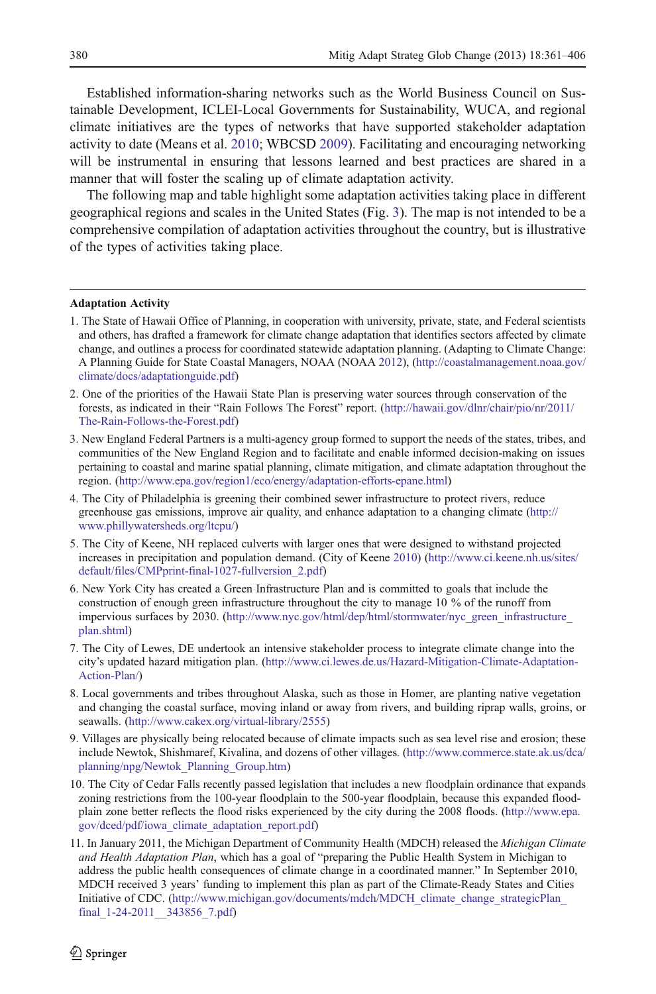Established information-sharing networks such as the World Business Council on Sustainable Development, ICLEI-Local Governments for Sustainability, WUCA, and regional climate initiatives are the types of networks that have supported stakeholder adaptation activity to date (Means et al. [2010;](#page-41-0) WBCSD [2009](#page-45-0)). Facilitating and encouraging networking will be instrumental in ensuring that lessons learned and best practices are shared in a manner that will foster the scaling up of climate adaptation activity.

The following map and table highlight some adaptation activities taking place in different geographical regions and scales in the United States (Fig. [3\)](#page-21-0). The map is not intended to be a comprehensive compilation of adaptation activities throughout the country, but is illustrative of the types of activities taking place.

#### Adaptation Activity

- 1. The State of Hawaii Office of Planning, in cooperation with university, private, state, and Federal scientists and others, has drafted a framework for climate change adaptation that identifies sectors affected by climate change, and outlines a process for coordinated statewide adaptation planning. (Adapting to Climate Change: A Planning Guide for State Coastal Managers, NOAA (NOAA [2012\)](#page-42-0), ([http://coastalmanagement.noaa.gov/](http://coastalmanagement.noaa.gov/climate/docs/adaptationguide.pdf) [climate/docs/adaptationguide.pdf](http://coastalmanagement.noaa.gov/climate/docs/adaptationguide.pdf))
- 2. One of the priorities of the Hawaii State Plan is preserving water sources through conservation of the forests, as indicated in their "Rain Follows The Forest" report. ([http://hawaii.gov/dlnr/chair/pio/nr/2011/](http://hawaii.gov/dlnr/chair/pio/nr/2011/The-Rain-Follows-the-Forest.pdf) [The-Rain-Follows-the-Forest.pdf](http://hawaii.gov/dlnr/chair/pio/nr/2011/The-Rain-Follows-the-Forest.pdf))
- 3. New England Federal Partners is a multi-agency group formed to support the needs of the states, tribes, and communities of the New England Region and to facilitate and enable informed decision-making on issues pertaining to coastal and marine spatial planning, climate mitigation, and climate adaptation throughout the region. ([http://www.epa.gov/region1/eco/energy/adaptation-efforts-epane.html\)](http://www.epa.gov/region1/eco/energy/adaptation-efforts-epane.html)
- 4. The City of Philadelphia is greening their combined sewer infrastructure to protect rivers, reduce greenhouse gas emissions, improve air quality, and enhance adaptation to a changing climate [\(http://](http://www.phillywatersheds.org/ltcpu/) [www.phillywatersheds.org/ltcpu/](http://www.phillywatersheds.org/ltcpu/))
- 5. The City of Keene, NH replaced culverts with larger ones that were designed to withstand projected increases in precipitation and population demand. (City of Keene [2010\)](#page-38-0) [\(http://www.ci.keene.nh.us/sites/](http://www.ci.keene.nh.us/sites/default/files/CMPprint-final-1027-fullversion_2.pdf) [default/files/CMPprint-final-1027-fullversion\\_2.pdf](http://www.ci.keene.nh.us/sites/default/files/CMPprint-final-1027-fullversion_2.pdf))
- 6. New York City has created a Green Infrastructure Plan and is committed to goals that include the construction of enough green infrastructure throughout the city to manage 10 % of the runoff from impervious surfaces by 2030. ([http://www.nyc.gov/html/dep/html/stormwater/nyc\\_green\\_infrastructure\\_](http://www.nyc.gov/html/dep/html/stormwater/nyc_green_infrastructure_plan.shtml) [plan.shtml\)](http://www.nyc.gov/html/dep/html/stormwater/nyc_green_infrastructure_plan.shtml)
- 7. The City of Lewes, DE undertook an intensive stakeholder process to integrate climate change into the city's updated hazard mitigation plan. [\(http://www.ci.lewes.de.us/Hazard-Mitigation-Climate-Adaptation-](http://www.ci.lewes.de.us/Hazard-Mitigation-Climate-Adaptation-Action-Plan/)[Action-Plan/\)](http://www.ci.lewes.de.us/Hazard-Mitigation-Climate-Adaptation-Action-Plan/)
- 8. Local governments and tribes throughout Alaska, such as those in Homer, are planting native vegetation and changing the coastal surface, moving inland or away from rivers, and building riprap walls, groins, or seawalls. [\(http://www.cakex.org/virtual-library/2555](http://www.cakex.org/virtual-library/2555))
- 9. Villages are physically being relocated because of climate impacts such as sea level rise and erosion; these include Newtok, Shishmaref, Kivalina, and dozens of other villages. ([http://www.commerce.state.ak.us/dca/](http://www.commerce.state.ak.us/dca/planning/npg/Newtok_Planning_Group.htm) [planning/npg/Newtok\\_Planning\\_Group.htm](http://www.commerce.state.ak.us/dca/planning/npg/Newtok_Planning_Group.htm))
- 10. The City of Cedar Falls recently passed legislation that includes a new floodplain ordinance that expands zoning restrictions from the 100-year floodplain to the 500-year floodplain, because this expanded floodplain zone better reflects the flood risks experienced by the city during the 2008 floods. ([http://www.epa.](http://www.epa.gov/dced/pdf/iowa_climate_adaptation_report.pdf) [gov/dced/pdf/iowa\\_climate\\_adaptation\\_report.pdf\)](http://www.epa.gov/dced/pdf/iowa_climate_adaptation_report.pdf)
- 11. In January 2011, the Michigan Department of Community Health (MDCH) released the Michigan Climate and Health Adaptation Plan, which has a goal of "preparing the Public Health System in Michigan to address the public health consequences of climate change in a coordinated manner." In September 2010, MDCH received 3 years' funding to implement this plan as part of the Climate-Ready States and Cities Initiative of CDC. ([http://www.michigan.gov/documents/mdch/MDCH\\_climate\\_change\\_strategicPlan\\_](http://www.michigan.gov/documents/mdch/MDCH_climate_change_strategicPlan_final_1-24-2011__343856_7.pdf) [final\\_1-24-2011\\_\\_343856\\_7.pdf\)](http://www.michigan.gov/documents/mdch/MDCH_climate_change_strategicPlan_final_1-24-2011__343856_7.pdf)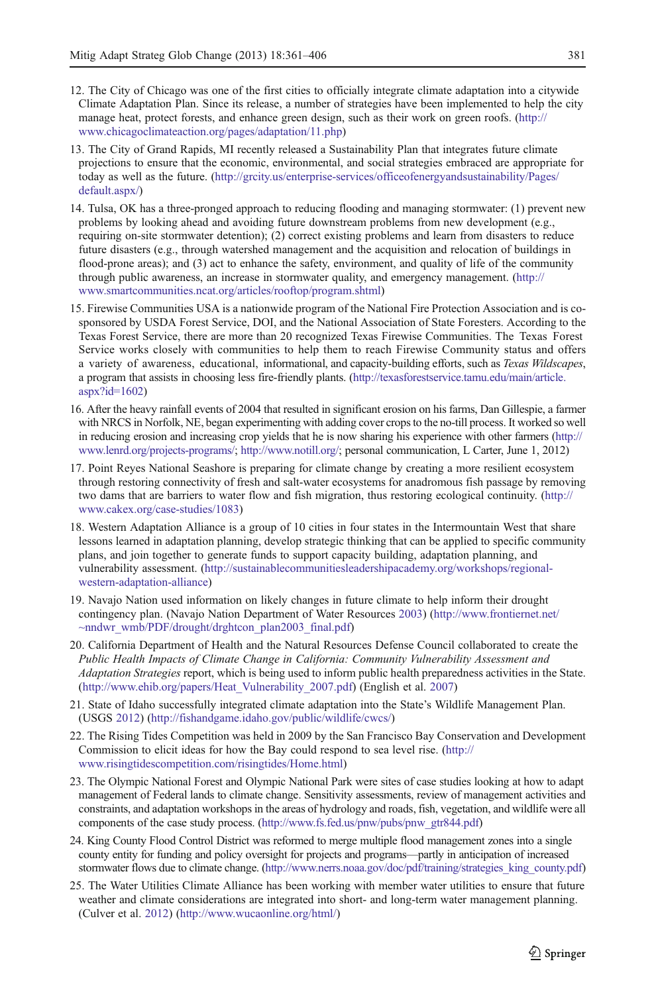- 12. The City of Chicago was one of the first cities to officially integrate climate adaptation into a citywide Climate Adaptation Plan. Since its release, a number of strategies have been implemented to help the city manage heat, protect forests, and enhance green design, such as their work on green roofs. ([http://](http://www.chicagoclimateaction.org/pages/adaptation/11.php) [www.chicagoclimateaction.org/pages/adaptation/11.php](http://www.chicagoclimateaction.org/pages/adaptation/11.php))
- 13. The City of Grand Rapids, MI recently released a Sustainability Plan that integrates future climate projections to ensure that the economic, environmental, and social strategies embraced are appropriate for today as well as the future. [\(http://grcity.us/enterprise-services/officeofenergyandsustainability/Pages/](http://grcity.us/enterprise-services/officeofenergyandsustainability/Pages/default.aspx/) [default.aspx/](http://grcity.us/enterprise-services/officeofenergyandsustainability/Pages/default.aspx/))
- 14. Tulsa, OK has a three-pronged approach to reducing flooding and managing stormwater: (1) prevent new problems by looking ahead and avoiding future downstream problems from new development (e.g., requiring on-site stormwater detention); (2) correct existing problems and learn from disasters to reduce future disasters (e.g., through watershed management and the acquisition and relocation of buildings in flood-prone areas); and (3) act to enhance the safety, environment, and quality of life of the community through public awareness, an increase in stormwater quality, and emergency management. [\(http://](http://www.smartcommunities.ncat.org/articles/rooftop/program.shtml) [www.smartcommunities.ncat.org/articles/rooftop/program.shtml](http://www.smartcommunities.ncat.org/articles/rooftop/program.shtml))
- 15. Firewise Communities USA is a nationwide program of the National Fire Protection Association and is cosponsored by USDA Forest Service, DOI, and the National Association of State Foresters. According to the Texas Forest Service, there are more than 20 recognized Texas Firewise Communities. The Texas Forest Service works closely with communities to help them to reach Firewise Community status and offers a variety of awareness, educational, informational, and capacity-building efforts, such as Texas Wildscapes, a program that assists in choosing less fire-friendly plants. ([http://texasforestservice.tamu.edu/main/article.](http://texasforestservice.tamu.edu/main/article.aspx?id=1602)  $aspx$ ?id=[1602](http://texasforestservice.tamu.edu/main/article.aspx?id=1602))
- 16. After the heavy rainfall events of 2004 that resulted in significant erosion on his farms, Dan Gillespie, a farmer with NRCS in Norfolk, NE, began experimenting with adding cover crops to the no-till process. It worked so well in reducing erosion and increasing crop yields that he is now sharing his experience with other farmers [\(http://](http://www.lenrd.org/projects-programs/) [www.lenrd.org/projects-programs/](http://www.lenrd.org/projects-programs/); [http://www.notill.org/;](http://www.notill.org/) personal communication, L Carter, June 1, 2012)
- 17. Point Reyes National Seashore is preparing for climate change by creating a more resilient ecosystem through restoring connectivity of fresh and salt-water ecosystems for anadromous fish passage by removing two dams that are barriers to water flow and fish migration, thus restoring ecological continuity. [\(http://](http://www.cakex.org/case-studies/1083) [www.cakex.org/case-studies/1083](http://www.cakex.org/case-studies/1083))
- 18. Western Adaptation Alliance is a group of 10 cities in four states in the Intermountain West that share lessons learned in adaptation planning, develop strategic thinking that can be applied to specific community plans, and join together to generate funds to support capacity building, adaptation planning, and vulnerability assessment. [\(http://sustainablecommunitiesleadershipacademy.org/workshops/regional](http://sustainablecommunitiesleadershipacademy.org/workshops/regional-western-adaptation-alliance)[western-adaptation-alliance](http://sustainablecommunitiesleadershipacademy.org/workshops/regional-western-adaptation-alliance))
- 19. Navajo Nation used information on likely changes in future climate to help inform their drought contingency plan. (Navajo Nation Department of Water Resources [2003](#page-42-0)) ([http://www.frontiernet.net/](http://www.frontiernet.net/~nndwr_wmb/PDF/drought/drghtcon_plan2003_final.pdf) [~nndwr\\_wmb/PDF/drought/drghtcon\\_plan2003\\_final.pdf\)](http://www.frontiernet.net/~nndwr_wmb/PDF/drought/drghtcon_plan2003_final.pdf)
- 20. California Department of Health and the Natural Resources Defense Council collaborated to create the Public Health Impacts of Climate Change in California: Community Vulnerability Assessment and Adaptation Strategies report, which is being used to inform public health preparedness activities in the State. [\(http://www.ehib.org/papers/Heat\\_Vulnerability\\_2007.pdf](http://www.ehib.org/papers/Heat_Vulnerability_2007.pdf)) (English et al. [2007](#page-38-0))
- 21. State of Idaho successfully integrated climate adaptation into the State's Wildlife Management Plan. (USGS [2012\)](#page-44-0) [\(http://fishandgame.idaho.gov/public/wildlife/cwcs/](http://fishandgame.idaho.gov/public/wildlife/cwcs/))
- 22. The Rising Tides Competition was held in 2009 by the San Francisco Bay Conservation and Development Commission to elicit ideas for how the Bay could respond to sea level rise. ([http://](http://www.risingtidescompetition.com/risingtides/Home.html) [www.risingtidescompetition.com/risingtides/Home.html\)](http://www.risingtidescompetition.com/risingtides/Home.html)
- 23. The Olympic National Forest and Olympic National Park were sites of case studies looking at how to adapt management of Federal lands to climate change. Sensitivity assessments, review of management activities and constraints, and adaptation workshops in the areas of hydrology and roads, fish, vegetation, and wildlife were all components of the case study process. [\(http://www.fs.fed.us/pnw/pubs/pnw\\_gtr844.pdf\)](http://www.fs.fed.us/pnw/pubs/pnw_gtr844.pdf)
- 24. King County Flood Control District was reformed to merge multiple flood management zones into a single county entity for funding and policy oversight for projects and programs—partly in anticipation of increased stormwater flows due to climate change. [\(http://www.nerrs.noaa.gov/doc/pdf/training/strategies\\_king\\_county.pdf](http://www.nerrs.noaa.gov/doc/pdf/training/strategies_king_county.pdf))
- 25. The Water Utilities Climate Alliance has been working with member water utilities to ensure that future weather and climate considerations are integrated into short- and long-term water management planning. (Culver et al. [2012](#page-38-0)) (<http://www.wucaonline.org/html/>)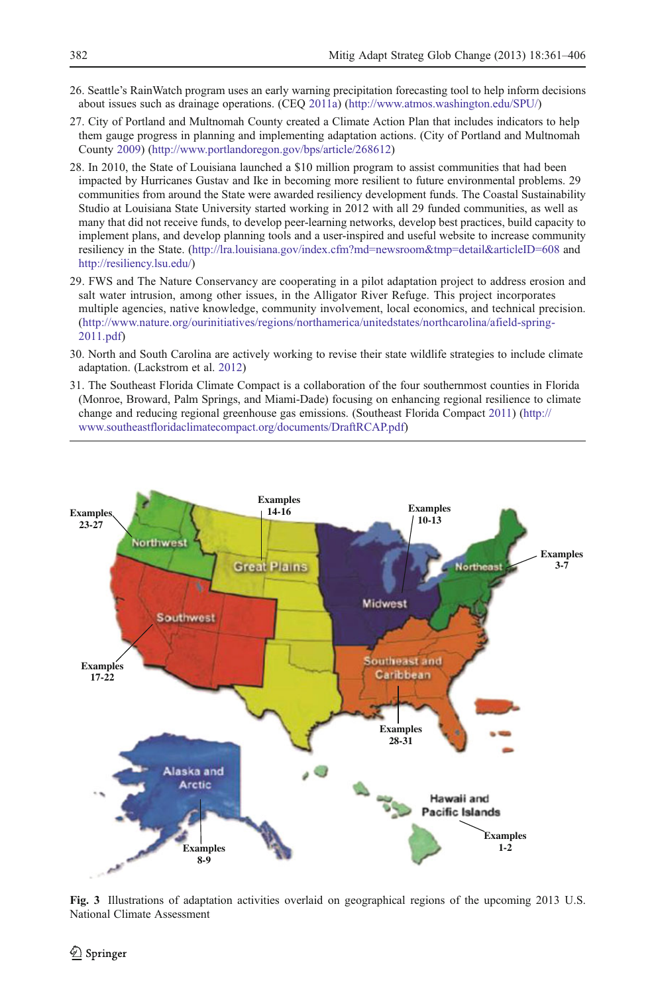- <span id="page-21-0"></span>26. Seattle's RainWatch program uses an early warning precipitation forecasting tool to help inform decisions about issues such as drainage operations. (CEQ [2011a](#page-37-0)) (<http://www.atmos.washington.edu/SPU/>)
- 27. City of Portland and Multnomah County created a Climate Action Plan that includes indicators to help them gauge progress in planning and implementing adaptation actions. (City of Portland and Multnomah County [2009](#page-38-0)) (<http://www.portlandoregon.gov/bps/article/268612>)
- 28. In 2010, the State of Louisiana launched a \$10 million program to assist communities that had been impacted by Hurricanes Gustav and Ike in becoming more resilient to future environmental problems. 29 communities from around the State were awarded resiliency development funds. The Coastal Sustainability Studio at Louisiana State University started working in 2012 with all 29 funded communities, as well as many that did not receive funds, to develop peer-learning networks, develop best practices, build capacity to implement plans, and develop planning tools and a user-inspired and useful website to increase community resiliency in the State. ([http://lra.louisiana.gov/index.cfm?md](http://lra.louisiana.gov/index.cfm?md=newsroom&tmp=detail&articleID=608)=[newsroom&tmp](http://lra.louisiana.gov/index.cfm?md=newsroom&tmp=detail&articleID=608)=[detail&articleID](http://lra.louisiana.gov/index.cfm?md=newsroom&tmp=detail&articleID=608)=[608](http://lra.louisiana.gov/index.cfm?md=newsroom&tmp=detail&articleID=608) and <http://resiliency.lsu.edu/>)
- 29. FWS and The Nature Conservancy are cooperating in a pilot adaptation project to address erosion and salt water intrusion, among other issues, in the Alligator River Refuge. This project incorporates multiple agencies, native knowledge, community involvement, local economics, and technical precision. [\(http://www.nature.org/ourinitiatives/regions/northamerica/unitedstates/northcarolina/afield-spring-](http://www.nature.org/ourinitiatives/regions/northamerica/unitedstates/northcarolina/afield-spring-2011.pdf)[2011.pdf](http://www.nature.org/ourinitiatives/regions/northamerica/unitedstates/northcarolina/afield-spring-2011.pdf))
- 30. North and South Carolina are actively working to revise their state wildlife strategies to include climate adaptation. (Lackstrom et al. [2012](#page-41-0))
- 31. The Southeast Florida Climate Compact is a collaboration of the four southernmost counties in Florida (Monroe, Broward, Palm Springs, and Miami-Dade) focusing on enhancing regional resilience to climate change and reducing regional greenhouse gas emissions. (Southeast Florida Compact [2011](#page-44-0)) ([http://](http://www.southeastfloridaclimatecompact.org/documents/DraftRCAP.pdf) [www.southeastfloridaclimatecompact.org/documents/DraftRCAP.pdf\)](http://www.southeastfloridaclimatecompact.org/documents/DraftRCAP.pdf)



Fig. 3 Illustrations of adaptation activities overlaid on geographical regions of the upcoming 2013 U.S. National Climate Assessment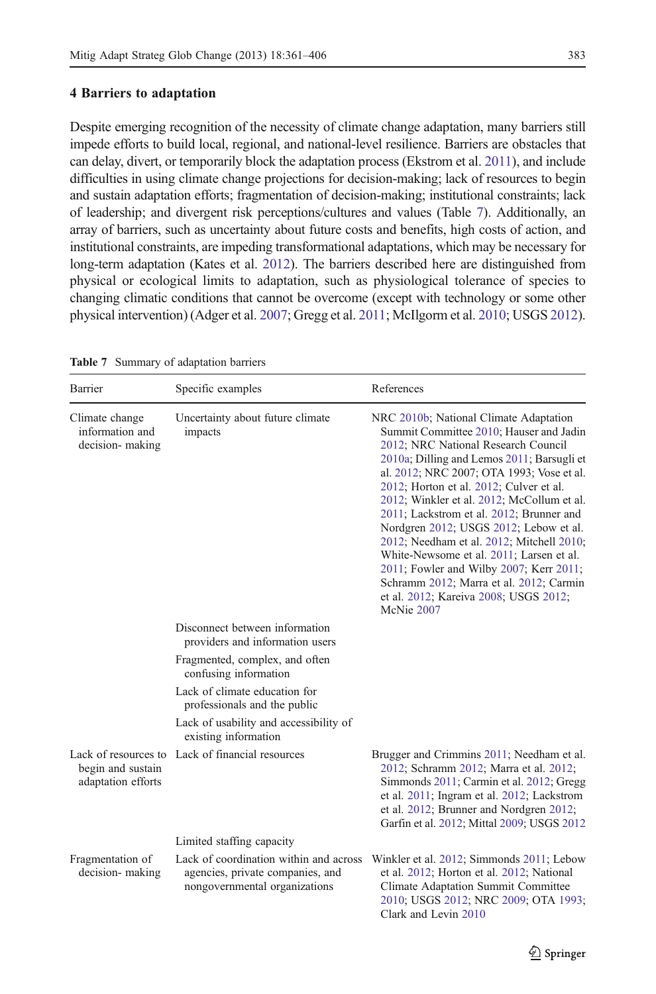# 4 Barriers to adaptation

Despite emerging recognition of the necessity of climate change adaptation, many barriers still impede efforts to build local, regional, and national-level resilience. Barriers are obstacles that can delay, divert, or temporarily block the adaptation process (Ekstrom et al. [2011](#page-38-0)), and include difficulties in using climate change projections for decision-making; lack of resources to begin and sustain adaptation efforts; fragmentation of decision-making; institutional constraints; lack of leadership; and divergent risk perceptions/cultures and values (Table 7). Additionally, an array of barriers, such as uncertainty about future costs and benefits, high costs of action, and institutional constraints, are impeding transformational adaptations, which may be necessary for long-term adaptation (Kates et al. [2012\)](#page-40-0). The barriers described here are distinguished from physical or ecological limits to adaptation, such as physiological tolerance of species to changing climatic conditions that cannot be overcome (except with technology or some other physical intervention) (Adger et al. [2007;](#page-36-0) Gregg et al. [2011;](#page-39-0) McIlgorm et al. [2010](#page-41-0); USGS [2012](#page-44-0)).

| Barrier                                              | Specific examples                                                                                           | References                                                                                                                                                                                                                                                                                                                                                                                                                                                                                                                                                                                                                               |
|------------------------------------------------------|-------------------------------------------------------------------------------------------------------------|------------------------------------------------------------------------------------------------------------------------------------------------------------------------------------------------------------------------------------------------------------------------------------------------------------------------------------------------------------------------------------------------------------------------------------------------------------------------------------------------------------------------------------------------------------------------------------------------------------------------------------------|
| Climate change<br>information and<br>decision-making | Uncertainty about future climate<br>impacts                                                                 | NRC 2010b; National Climate Adaptation<br>Summit Committee 2010; Hauser and Jadin<br>2012; NRC National Research Council<br>2010a; Dilling and Lemos 2011; Barsugli et<br>al. 2012; NRC 2007; OTA 1993; Vose et al.<br>2012; Horton et al. 2012; Culver et al.<br>2012; Winkler et al. 2012; McCollum et al.<br>2011; Lackstrom et al. 2012; Brunner and<br>Nordgren 2012; USGS 2012; Lebow et al.<br>2012; Needham et al. 2012; Mitchell 2010;<br>White-Newsome et al. 2011; Larsen et al.<br>2011; Fowler and Wilby 2007; Kerr 2011;<br>Schramm 2012; Marra et al. 2012; Carmin<br>et al. 2012; Kareiva 2008; USGS 2012;<br>McNie 2007 |
|                                                      | Disconnect between information<br>providers and information users                                           |                                                                                                                                                                                                                                                                                                                                                                                                                                                                                                                                                                                                                                          |
|                                                      | Fragmented, complex, and often<br>confusing information                                                     |                                                                                                                                                                                                                                                                                                                                                                                                                                                                                                                                                                                                                                          |
|                                                      | Lack of climate education for<br>professionals and the public                                               |                                                                                                                                                                                                                                                                                                                                                                                                                                                                                                                                                                                                                                          |
|                                                      | Lack of usability and accessibility of<br>existing information                                              |                                                                                                                                                                                                                                                                                                                                                                                                                                                                                                                                                                                                                                          |
| begin and sustain<br>adaptation efforts              | Lack of resources to Lack of financial resources                                                            | Brugger and Crimmins 2011; Needham et al.<br>2012; Schramm 2012; Marra et al. 2012;<br>Simmonds 2011; Carmin et al. 2012; Gregg<br>et al. 2011; Ingram et al. 2012; Lackstrom<br>et al. 2012; Brunner and Nordgren 2012;<br>Garfin et al. 2012; Mittal 2009; USGS 2012                                                                                                                                                                                                                                                                                                                                                                   |
|                                                      | Limited staffing capacity                                                                                   |                                                                                                                                                                                                                                                                                                                                                                                                                                                                                                                                                                                                                                          |
| Fragmentation of<br>decision-making                  | Lack of coordination within and across<br>agencies, private companies, and<br>nongovernmental organizations | Winkler et al. 2012; Simmonds 2011; Lebow<br>et al. 2012; Horton et al. 2012; National<br><b>Climate Adaptation Summit Committee</b><br>2010; USGS 2012; NRC 2009; OTA 1993;<br>Clark and Levin 2010                                                                                                                                                                                                                                                                                                                                                                                                                                     |

| <b>Table 7</b> Summary of adaptation barriers |  |  |
|-----------------------------------------------|--|--|
|-----------------------------------------------|--|--|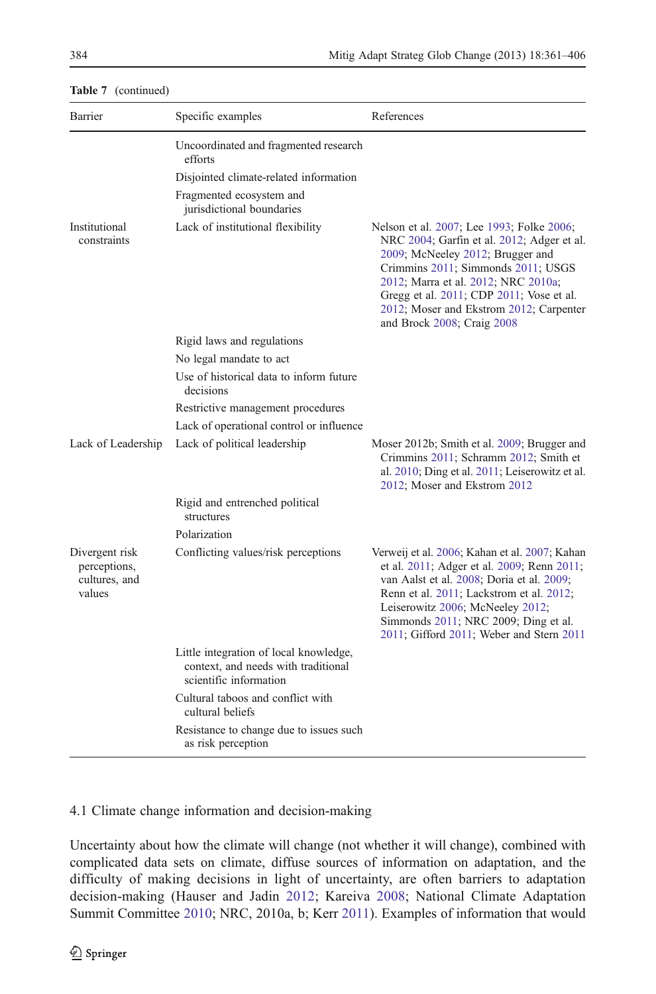| Barrier                                                   | Specific examples                                                                                       | References                                                                                                                                                                                                                                                                                                                    |
|-----------------------------------------------------------|---------------------------------------------------------------------------------------------------------|-------------------------------------------------------------------------------------------------------------------------------------------------------------------------------------------------------------------------------------------------------------------------------------------------------------------------------|
|                                                           | Uncoordinated and fragmented research<br>efforts                                                        |                                                                                                                                                                                                                                                                                                                               |
|                                                           | Disjointed climate-related information<br>Fragmented ecosystem and                                      |                                                                                                                                                                                                                                                                                                                               |
| Institutional<br>constraints                              | jurisdictional boundaries<br>Lack of institutional flexibility                                          | Nelson et al. 2007; Lee 1993; Folke 2006;<br>NRC 2004; Garfin et al. 2012; Adger et al.<br>2009; McNeeley 2012; Brugger and<br>Crimmins 2011; Simmonds 2011; USGS<br>2012; Marra et al. 2012; NRC 2010a;<br>Gregg et al. 2011; CDP 2011; Vose et al.<br>2012; Moser and Ekstrom 2012; Carpenter<br>and Brock 2008; Craig 2008 |
|                                                           | Rigid laws and regulations                                                                              |                                                                                                                                                                                                                                                                                                                               |
|                                                           | No legal mandate to act                                                                                 |                                                                                                                                                                                                                                                                                                                               |
|                                                           | Use of historical data to inform future<br>decisions                                                    |                                                                                                                                                                                                                                                                                                                               |
|                                                           | Restrictive management procedures                                                                       |                                                                                                                                                                                                                                                                                                                               |
|                                                           | Lack of operational control or influence                                                                |                                                                                                                                                                                                                                                                                                                               |
| Lack of Leadership                                        | Lack of political leadership                                                                            | Moser 2012b; Smith et al. 2009; Brugger and<br>Crimmins 2011; Schramm 2012; Smith et<br>al. 2010; Ding et al. 2011; Leiserowitz et al.<br>2012; Moser and Ekstrom 2012                                                                                                                                                        |
|                                                           | Rigid and entrenched political<br>structures                                                            |                                                                                                                                                                                                                                                                                                                               |
|                                                           | Polarization                                                                                            |                                                                                                                                                                                                                                                                                                                               |
| Divergent risk<br>perceptions,<br>cultures, and<br>values | Conflicting values/risk perceptions                                                                     | Verweij et al. 2006; Kahan et al. 2007; Kahan<br>et al. 2011; Adger et al. 2009; Renn 2011;<br>van Aalst et al. 2008; Doria et al. 2009;<br>Renn et al. 2011; Lackstrom et al. 2012;<br>Leiserowitz 2006; McNeeley 2012;<br>Simmonds 2011; NRC 2009; Ding et al.<br>2011; Gifford 2011; Weber and Stern 2011                  |
|                                                           | Little integration of local knowledge,<br>context, and needs with traditional<br>scientific information |                                                                                                                                                                                                                                                                                                                               |
|                                                           | Cultural taboos and conflict with<br>cultural beliefs                                                   |                                                                                                                                                                                                                                                                                                                               |
|                                                           | Resistance to change due to issues such<br>as risk perception                                           |                                                                                                                                                                                                                                                                                                                               |

4.1 Climate change information and decision-making

Uncertainty about how the climate will change (not whether it will change), combined with complicated data sets on climate, diffuse sources of information on adaptation, and the difficulty of making decisions in light of uncertainty, are often barriers to adaptation decision-making (Hauser and Jadin [2012](#page-40-0); Kareiva [2008;](#page-40-0) National Climate Adaptation Summit Committee [2010](#page-42-0); NRC, 2010a, b; Kerr [2011\)](#page-40-0). Examples of information that would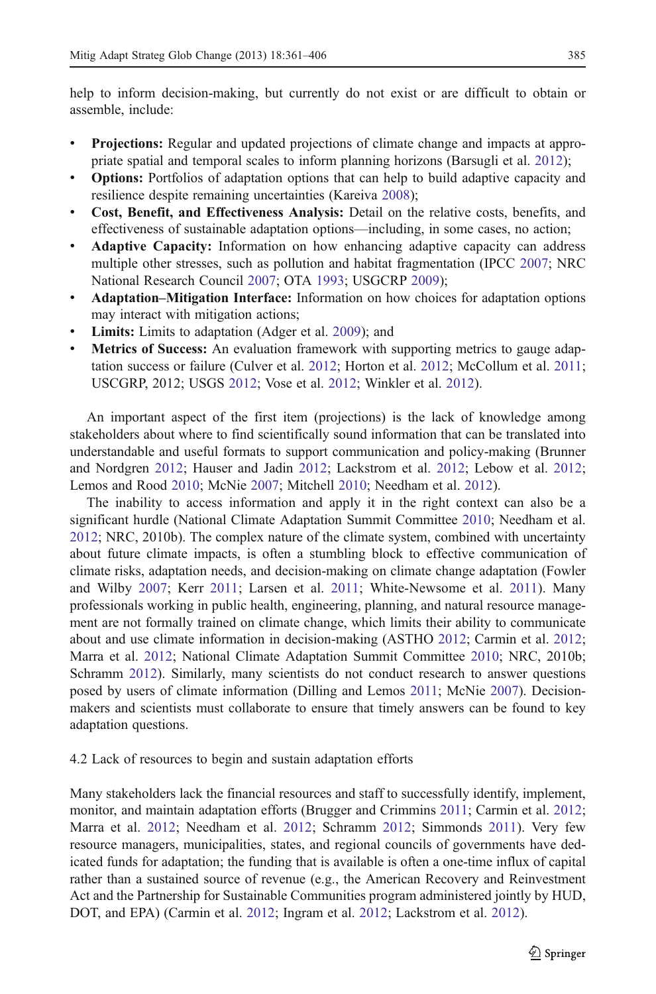help to inform decision-making, but currently do not exist or are difficult to obtain or assemble, include:

- & Projections: Regular and updated projections of climate change and impacts at appropriate spatial and temporal scales to inform planning horizons (Barsugli et al. [2012](#page-37-0));
- Options: Portfolios of adaptation options that can help to build adaptive capacity and resilience despite remaining uncertainties (Kareiva [2008\)](#page-40-0);
- Cost, Benefit, and Effectiveness Analysis: Detail on the relative costs, benefits, and effectiveness of sustainable adaptation options—including, in some cases, no action;
- & Adaptive Capacity: Information on how enhancing adaptive capacity can address multiple other stresses, such as pollution and habitat fragmentation (IPCC [2007](#page-40-0); NRC National Research Council [2007;](#page-42-0) OTA [1993;](#page-42-0) USGCRP [2009\)](#page-44-0);
- & Adaptation–Mitigation Interface: Information on how choices for adaptation options may interact with mitigation actions;
- Limits: Limits to adaptation (Adger et al. [2009\)](#page-36-0); and
- Metrics of Success: An evaluation framework with supporting metrics to gauge adaptation success or failure (Culver et al. [2012;](#page-38-0) Horton et al. [2012](#page-40-0); McCollum et al. [2011](#page-41-0); USCGRP, 2012; USGS [2012](#page-44-0); Vose et al. [2012](#page-45-0); Winkler et al. [2012\)](#page-45-0).

An important aspect of the first item (projections) is the lack of knowledge among stakeholders about where to find scientifically sound information that can be translated into understandable and useful formats to support communication and policy-making (Brunner and Nordgren [2012;](#page-37-0) Hauser and Jadin [2012](#page-40-0); Lackstrom et al. [2012;](#page-41-0) Lebow et al. [2012](#page-41-0); Lemos and Rood [2010;](#page-41-0) McNie [2007;](#page-41-0) Mitchell [2010;](#page-41-0) Needham et al. [2012](#page-42-0)).

The inability to access information and apply it in the right context can also be a significant hurdle (National Climate Adaptation Summit Committee [2010;](#page-42-0) Needham et al. [2012;](#page-42-0) NRC, 2010b). The complex nature of the climate system, combined with uncertainty about future climate impacts, is often a stumbling block to effective communication of climate risks, adaptation needs, and decision-making on climate change adaptation (Fowler and Wilby [2007](#page-39-0); Kerr [2011;](#page-40-0) Larsen et al. [2011;](#page-41-0) White-Newsome et al. [2011](#page-45-0)). Many professionals working in public health, engineering, planning, and natural resource management are not formally trained on climate change, which limits their ability to communicate about and use climate information in decision-making (ASTHO [2012;](#page-36-0) Carmin et al. [2012](#page-37-0); Marra et al. [2012;](#page-41-0) National Climate Adaptation Summit Committee [2010](#page-42-0); NRC, 2010b; Schramm [2012](#page-43-0)). Similarly, many scientists do not conduct research to answer questions posed by users of climate information (Dilling and Lemos [2011](#page-38-0); McNie [2007\)](#page-41-0). Decisionmakers and scientists must collaborate to ensure that timely answers can be found to key adaptation questions.

#### 4.2 Lack of resources to begin and sustain adaptation efforts

Many stakeholders lack the financial resources and staff to successfully identify, implement, monitor, and maintain adaptation efforts (Brugger and Crimmins [2011;](#page-37-0) Carmin et al. [2012](#page-37-0); Marra et al. [2012;](#page-41-0) Needham et al. [2012](#page-42-0); Schramm [2012;](#page-43-0) Simmonds [2011](#page-44-0)). Very few resource managers, municipalities, states, and regional councils of governments have dedicated funds for adaptation; the funding that is available is often a one-time influx of capital rather than a sustained source of revenue (e.g., the American Recovery and Reinvestment Act and the Partnership for Sustainable Communities program administered jointly by HUD, DOT, and EPA) (Carmin et al. [2012](#page-37-0); Ingram et al. [2012;](#page-40-0) Lackstrom et al. [2012](#page-41-0)).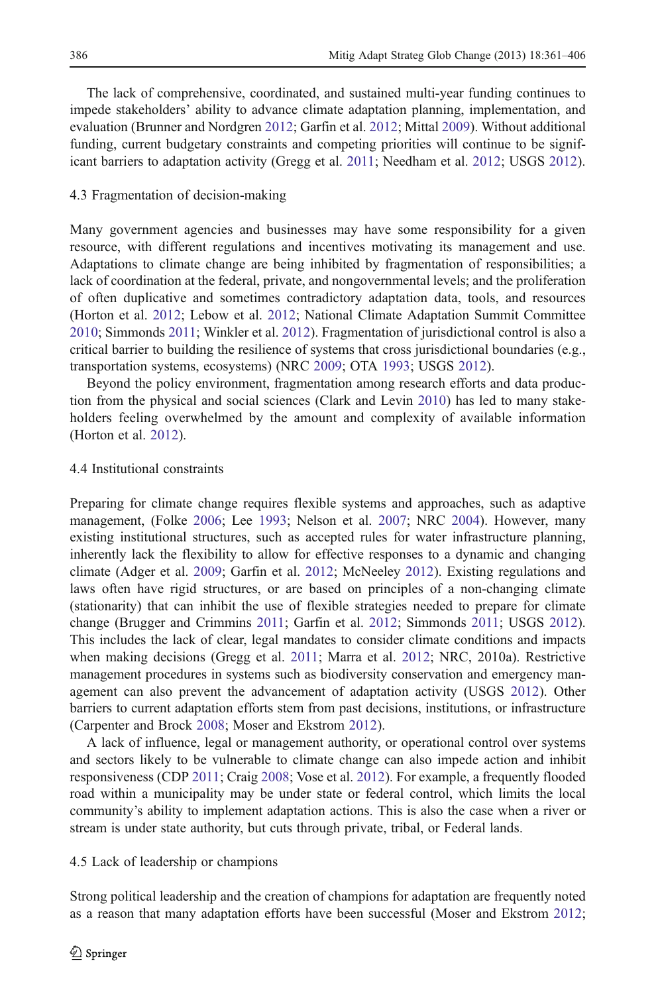The lack of comprehensive, coordinated, and sustained multi-year funding continues to impede stakeholders' ability to advance climate adaptation planning, implementation, and evaluation (Brunner and Nordgren [2012;](#page-37-0) Garfin et al. [2012;](#page-39-0) Mittal [2009](#page-41-0)). Without additional funding, current budgetary constraints and competing priorities will continue to be significant barriers to adaptation activity (Gregg et al. [2011](#page-39-0); Needham et al. [2012;](#page-42-0) USGS [2012\)](#page-44-0).

## 4.3 Fragmentation of decision-making

Many government agencies and businesses may have some responsibility for a given resource, with different regulations and incentives motivating its management and use. Adaptations to climate change are being inhibited by fragmentation of responsibilities; a lack of coordination at the federal, private, and nongovernmental levels; and the proliferation of often duplicative and sometimes contradictory adaptation data, tools, and resources (Horton et al. [2012](#page-40-0); Lebow et al. [2012](#page-41-0); National Climate Adaptation Summit Committee [2010;](#page-42-0) Simmonds [2011;](#page-44-0) Winkler et al. [2012](#page-45-0)). Fragmentation of jurisdictional control is also a critical barrier to building the resilience of systems that cross jurisdictional boundaries (e.g., transportation systems, ecosystems) (NRC [2009](#page-42-0); OTA [1993;](#page-42-0) USGS [2012](#page-44-0)).

Beyond the policy environment, fragmentation among research efforts and data production from the physical and social sciences (Clark and Levin [2010](#page-38-0)) has led to many stakeholders feeling overwhelmed by the amount and complexity of available information (Horton et al. [2012\)](#page-40-0).

#### 4.4 Institutional constraints

Preparing for climate change requires flexible systems and approaches, such as adaptive management, (Folke [2006;](#page-39-0) Lee [1993](#page-41-0); Nelson et al. [2007;](#page-42-0) NRC [2004\)](#page-42-0). However, many existing institutional structures, such as accepted rules for water infrastructure planning, inherently lack the flexibility to allow for effective responses to a dynamic and changing climate (Adger et al. [2009;](#page-36-0) Garfin et al. [2012;](#page-39-0) McNeeley [2012\)](#page-41-0). Existing regulations and laws often have rigid structures, or are based on principles of a non-changing climate (stationarity) that can inhibit the use of flexible strategies needed to prepare for climate change (Brugger and Crimmins [2011;](#page-37-0) Garfin et al. [2012](#page-39-0); Simmonds [2011;](#page-44-0) USGS [2012](#page-44-0)). This includes the lack of clear, legal mandates to consider climate conditions and impacts when making decisions (Gregg et al. [2011](#page-39-0); Marra et al. [2012](#page-41-0); NRC, 2010a). Restrictive management procedures in systems such as biodiversity conservation and emergency management can also prevent the advancement of adaptation activity (USGS [2012](#page-44-0)). Other barriers to current adaptation efforts stem from past decisions, institutions, or infrastructure (Carpenter and Brock [2008;](#page-37-0) Moser and Ekstrom [2012\)](#page-42-0).

A lack of influence, legal or management authority, or operational control over systems and sectors likely to be vulnerable to climate change can also impede action and inhibit responsiveness (CDP [2011](#page-37-0); Craig [2008](#page-38-0); Vose et al. [2012](#page-45-0)). For example, a frequently flooded road within a municipality may be under state or federal control, which limits the local community's ability to implement adaptation actions. This is also the case when a river or stream is under state authority, but cuts through private, tribal, or Federal lands.

#### 4.5 Lack of leadership or champions

Strong political leadership and the creation of champions for adaptation are frequently noted as a reason that many adaptation efforts have been successful (Moser and Ekstrom [2012](#page-42-0);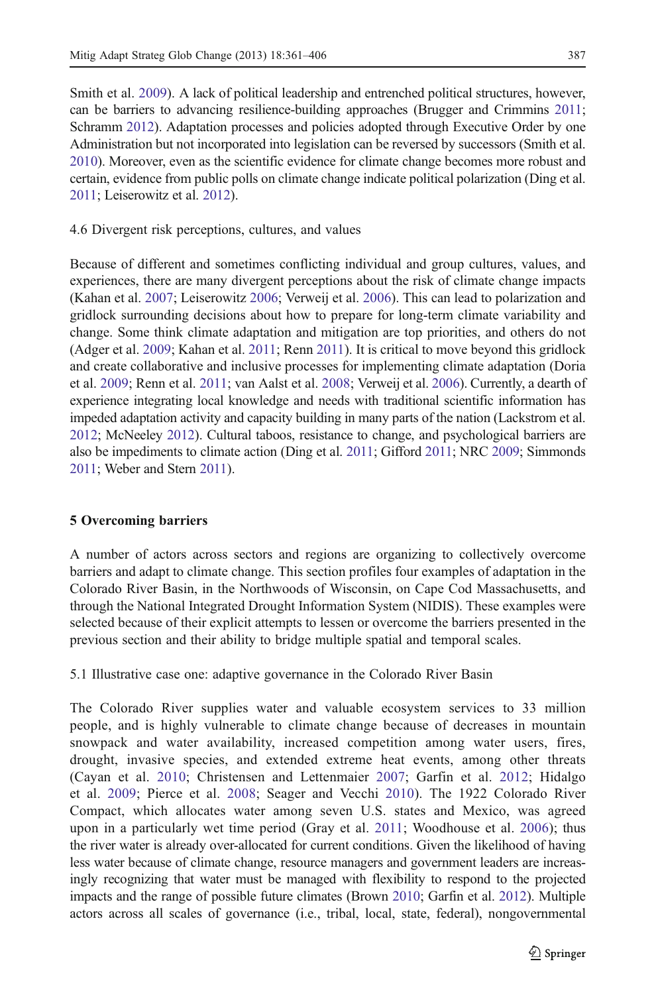Smith et al. [2009\)](#page-44-0). A lack of political leadership and entrenched political structures, however, can be barriers to advancing resilience-building approaches (Brugger and Crimmins [2011](#page-37-0); Schramm [2012](#page-43-0)). Adaptation processes and policies adopted through Executive Order by one Administration but not incorporated into legislation can be reversed by successors (Smith et al. [2010](#page-44-0)). Moreover, even as the scientific evidence for climate change becomes more robust and certain, evidence from public polls on climate change indicate political polarization (Ding et al. [2011;](#page-38-0) Leiserowitz et al. [2012](#page-41-0)).

4.6 Divergent risk perceptions, cultures, and values

Because of different and sometimes conflicting individual and group cultures, values, and experiences, there are many divergent perceptions about the risk of climate change impacts (Kahan et al. [2007](#page-40-0); Leiserowitz [2006](#page-41-0); Verweij et al. [2006](#page-45-0)). This can lead to polarization and gridlock surrounding decisions about how to prepare for long-term climate variability and change. Some think climate adaptation and mitigation are top priorities, and others do not (Adger et al. [2009;](#page-36-0) Kahan et al. [2011](#page-40-0); Renn [2011\)](#page-43-0). It is critical to move beyond this gridlock and create collaborative and inclusive processes for implementing climate adaptation (Doria et al. [2009](#page-38-0); Renn et al. [2011](#page-43-0); van Aalst et al. [2008;](#page-44-0) Verweij et al. [2006](#page-45-0)). Currently, a dearth of experience integrating local knowledge and needs with traditional scientific information has impeded adaptation activity and capacity building in many parts of the nation (Lackstrom et al. [2012](#page-41-0); McNeeley [2012](#page-41-0)). Cultural taboos, resistance to change, and psychological barriers are also be impediments to climate action (Ding et al. [2011](#page-38-0); Gifford [2011](#page-39-0); NRC [2009](#page-42-0); Simmonds [2011;](#page-44-0) Weber and Stern [2011](#page-45-0)).

#### 5 Overcoming barriers

A number of actors across sectors and regions are organizing to collectively overcome barriers and adapt to climate change. This section profiles four examples of adaptation in the Colorado River Basin, in the Northwoods of Wisconsin, on Cape Cod Massachusetts, and through the National Integrated Drought Information System (NIDIS). These examples were selected because of their explicit attempts to lessen or overcome the barriers presented in the previous section and their ability to bridge multiple spatial and temporal scales.

5.1 Illustrative case one: adaptive governance in the Colorado River Basin

The Colorado River supplies water and valuable ecosystem services to 33 million people, and is highly vulnerable to climate change because of decreases in mountain snowpack and water availability, increased competition among water users, fires, drought, invasive species, and extended extreme heat events, among other threats (Cayan et al. [2010;](#page-37-0) Christensen and Lettenmaier [2007;](#page-37-0) Garfin et al. [2012](#page-39-0); Hidalgo et al. [2009](#page-40-0); Pierce et al. [2008;](#page-43-0) Seager and Vecchi [2010\)](#page-43-0). The 1922 Colorado River Compact, which allocates water among seven U.S. states and Mexico, was agreed upon in a particularly wet time period (Gray et al. [2011](#page-39-0); Woodhouse et al. [2006\)](#page-45-0); thus the river water is already over-allocated for current conditions. Given the likelihood of having less water because of climate change, resource managers and government leaders are increasingly recognizing that water must be managed with flexibility to respond to the projected impacts and the range of possible future climates (Brown [2010;](#page-37-0) Garfin et al. [2012\)](#page-39-0). Multiple actors across all scales of governance (i.e., tribal, local, state, federal), nongovernmental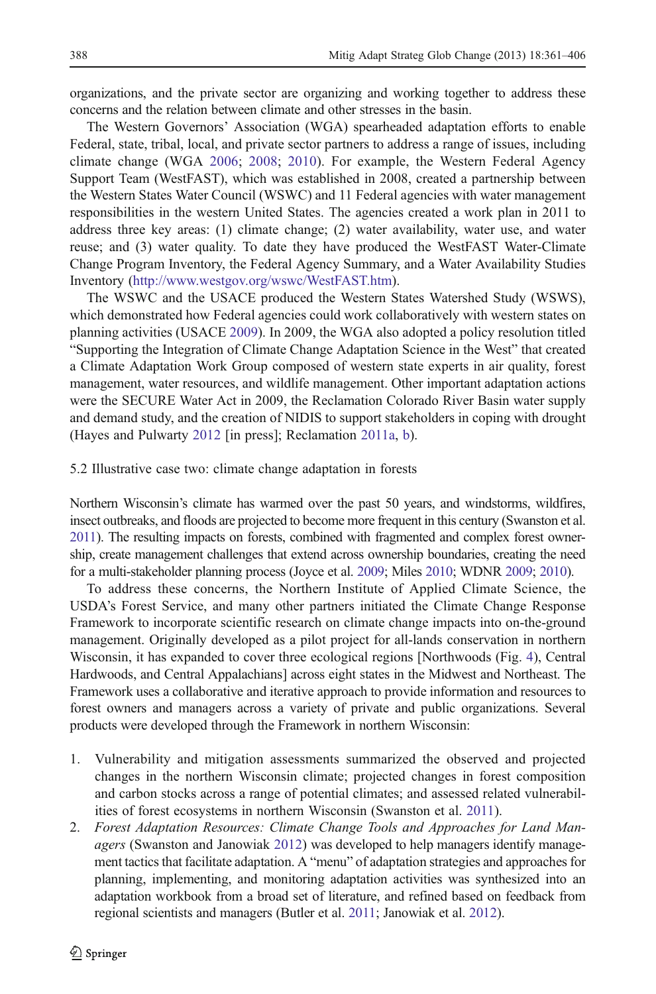organizations, and the private sector are organizing and working together to address these concerns and the relation between climate and other stresses in the basin.

The Western Governors' Association (WGA) spearheaded adaptation efforts to enable Federal, state, tribal, local, and private sector partners to address a range of issues, including climate change (WGA [2006;](#page-45-0) [2008](#page-45-0); [2010](#page-45-0)). For example, the Western Federal Agency Support Team (WestFAST), which was established in 2008, created a partnership between the Western States Water Council (WSWC) and 11 Federal agencies with water management responsibilities in the western United States. The agencies created a work plan in 2011 to address three key areas: (1) climate change; (2) water availability, water use, and water reuse; and (3) water quality. To date they have produced the WestFAST Water-Climate Change Program Inventory, the Federal Agency Summary, and a Water Availability Studies Inventory [\(http://www.westgov.org/wswc/WestFAST.htm\)](http://www.westgov.org/wswc/WestFAST.htm).

The WSWC and the USACE produced the Western States Watershed Study (WSWS), which demonstrated how Federal agencies could work collaboratively with western states on planning activities (USACE [2009\)](#page-44-0). In 2009, the WGA also adopted a policy resolution titled "Supporting the Integration of Climate Change Adaptation Science in the West" that created a Climate Adaptation Work Group composed of western state experts in air quality, forest management, water resources, and wildlife management. Other important adaptation actions were the SECURE Water Act in 2009, the Reclamation Colorado River Basin water supply and demand study, and the creation of NIDIS to support stakeholders in coping with drought (Hayes and Pulwarty [2012](#page-40-0) [in press]; Reclamation [2011a,](#page-43-0) [b\)](#page-43-0).

5.2 Illustrative case two: climate change adaptation in forests

Northern Wisconsin's climate has warmed over the past 50 years, and windstorms, wildfires, insect outbreaks, and floods are projected to become more frequent in this century (Swanston et al. [2011\)](#page-44-0). The resulting impacts on forests, combined with fragmented and complex forest ownership, create management challenges that extend across ownership boundaries, creating the need for a multi-stakeholder planning process (Joyce et al. [2009;](#page-40-0) Miles [2010](#page-41-0); WDNR [2009;](#page-45-0) [2010\)](#page-45-0).

To address these concerns, the Northern Institute of Applied Climate Science, the USDA's Forest Service, and many other partners initiated the Climate Change Response Framework to incorporate scientific research on climate change impacts into on-the-ground management. Originally developed as a pilot project for all-lands conservation in northern Wisconsin, it has expanded to cover three ecological regions [Northwoods (Fig. [4\)](#page-28-0), Central Hardwoods, and Central Appalachians] across eight states in the Midwest and Northeast. The Framework uses a collaborative and iterative approach to provide information and resources to forest owners and managers across a variety of private and public organizations. Several products were developed through the Framework in northern Wisconsin:

- 1. Vulnerability and mitigation assessments summarized the observed and projected changes in the northern Wisconsin climate; projected changes in forest composition and carbon stocks across a range of potential climates; and assessed related vulnerabilities of forest ecosystems in northern Wisconsin (Swanston et al. [2011](#page-44-0)).
- 2. Forest Adaptation Resources: Climate Change Tools and Approaches for Land Managers (Swanston and Janowiak [2012\)](#page-44-0) was developed to help managers identify management tactics that facilitate adaptation. A "menu" of adaptation strategies and approaches for planning, implementing, and monitoring adaptation activities was synthesized into an adaptation workbook from a broad set of literature, and refined based on feedback from regional scientists and managers (Butler et al. [2011;](#page-37-0) Janowiak et al. [2012](#page-40-0)).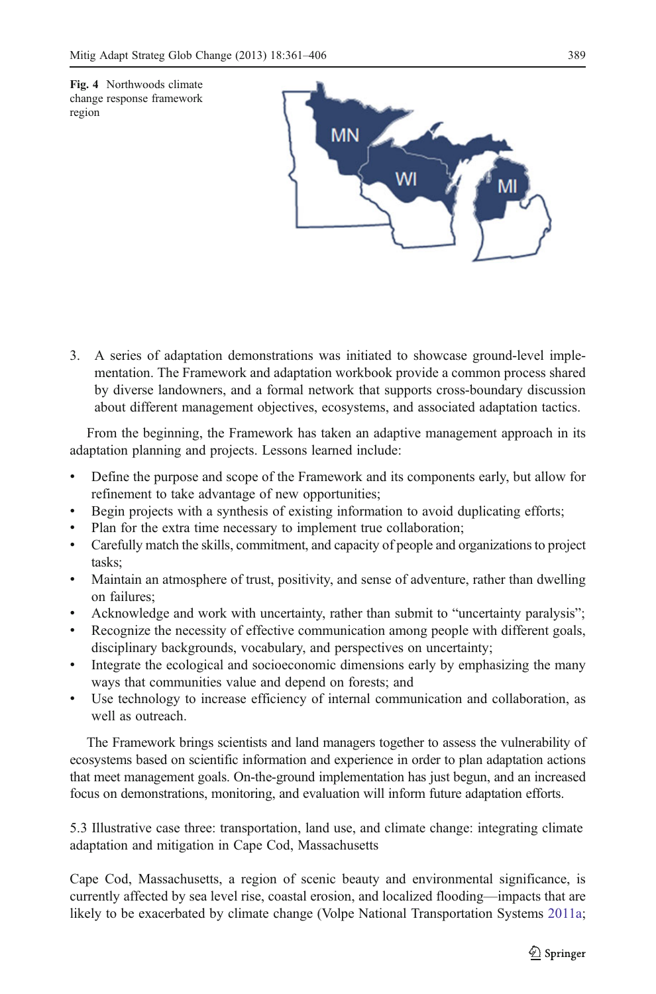<span id="page-28-0"></span>

3. A series of adaptation demonstrations was initiated to showcase ground-level implementation. The Framework and adaptation workbook provide a common process shared by diverse landowners, and a formal network that supports cross-boundary discussion about different management objectives, ecosystems, and associated adaptation tactics.

From the beginning, the Framework has taken an adaptive management approach in its adaptation planning and projects. Lessons learned include:

- Define the purpose and scope of the Framework and its components early, but allow for refinement to take advantage of new opportunities;
- Begin projects with a synthesis of existing information to avoid duplicating efforts;
- Plan for the extra time necessary to implement true collaboration;
- & Carefully match the skills, commitment, and capacity of people and organizations to project tasks;
- & Maintain an atmosphere of trust, positivity, and sense of adventure, rather than dwelling on failures;
- Acknowledge and work with uncertainty, rather than submit to "uncertainty paralysis";
- Recognize the necessity of effective communication among people with different goals, disciplinary backgrounds, vocabulary, and perspectives on uncertainty;
- & Integrate the ecological and socioeconomic dimensions early by emphasizing the many ways that communities value and depend on forests; and
- Use technology to increase efficiency of internal communication and collaboration, as well as outreach.

The Framework brings scientists and land managers together to assess the vulnerability of ecosystems based on scientific information and experience in order to plan adaptation actions that meet management goals. On-the-ground implementation has just begun, and an increased focus on demonstrations, monitoring, and evaluation will inform future adaptation efforts.

5.3 Illustrative case three: transportation, land use, and climate change: integrating climate adaptation and mitigation in Cape Cod, Massachusetts

Cape Cod, Massachusetts, a region of scenic beauty and environmental significance, is currently affected by sea level rise, coastal erosion, and localized flooding—impacts that are likely to be exacerbated by climate change (Volpe National Transportation Systems [2011a](#page-45-0);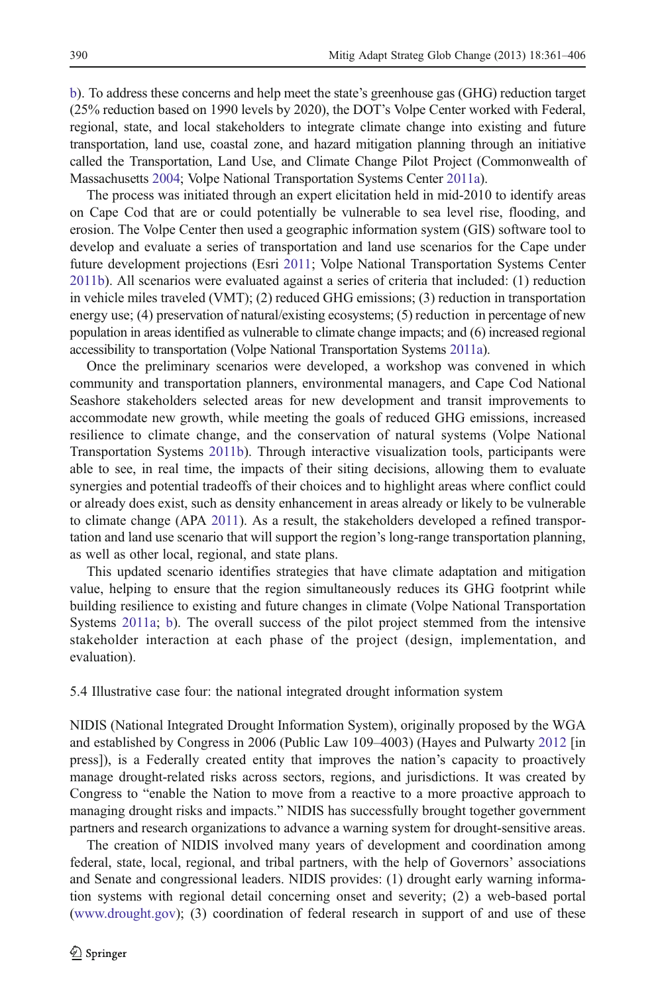[b](#page-45-0)). To address these concerns and help meet the state's greenhouse gas (GHG) reduction target (25% reduction based on 1990 levels by 2020), the DOT's Volpe Center worked with Federal, regional, state, and local stakeholders to integrate climate change into existing and future transportation, land use, coastal zone, and hazard mitigation planning through an initiative called the Transportation, Land Use, and Climate Change Pilot Project (Commonwealth of Massachusetts [2004;](#page-38-0) Volpe National Transportation Systems Center [2011a\)](#page-45-0).

The process was initiated through an expert elicitation held in mid-2010 to identify areas on Cape Cod that are or could potentially be vulnerable to sea level rise, flooding, and erosion. The Volpe Center then used a geographic information system (GIS) software tool to develop and evaluate a series of transportation and land use scenarios for the Cape under future development projections (Esri [2011;](#page-39-0) Volpe National Transportation Systems Center [2011b](#page-45-0)). All scenarios were evaluated against a series of criteria that included: (1) reduction in vehicle miles traveled (VMT); (2) reduced GHG emissions; (3) reduction in transportation energy use; (4) preservation of natural/existing ecosystems; (5) reduction in percentage of new population in areas identified as vulnerable to climate change impacts; and (6) increased regional accessibility to transportation (Volpe National Transportation Systems [2011a](#page-45-0)).

Once the preliminary scenarios were developed, a workshop was convened in which community and transportation planners, environmental managers, and Cape Cod National Seashore stakeholders selected areas for new development and transit improvements to accommodate new growth, while meeting the goals of reduced GHG emissions, increased resilience to climate change, and the conservation of natural systems (Volpe National Transportation Systems [2011b](#page-45-0)). Through interactive visualization tools, participants were able to see, in real time, the impacts of their siting decisions, allowing them to evaluate synergies and potential tradeoffs of their choices and to highlight areas where conflict could or already does exist, such as density enhancement in areas already or likely to be vulnerable to climate change (APA [2011](#page-36-0)). As a result, the stakeholders developed a refined transportation and land use scenario that will support the region's long-range transportation planning, as well as other local, regional, and state plans.

This updated scenario identifies strategies that have climate adaptation and mitigation value, helping to ensure that the region simultaneously reduces its GHG footprint while building resilience to existing and future changes in climate (Volpe National Transportation Systems [2011a;](#page-45-0) [b\)](#page-45-0). The overall success of the pilot project stemmed from the intensive stakeholder interaction at each phase of the project (design, implementation, and evaluation).

5.4 Illustrative case four: the national integrated drought information system

NIDIS (National Integrated Drought Information System), originally proposed by the WGA and established by Congress in 2006 (Public Law 109–4003) (Hayes and Pulwarty [2012](#page-40-0) [in press]), is a Federally created entity that improves the nation's capacity to proactively manage drought-related risks across sectors, regions, and jurisdictions. It was created by Congress to "enable the Nation to move from a reactive to a more proactive approach to managing drought risks and impacts." NIDIS has successfully brought together government partners and research organizations to advance a warning system for drought-sensitive areas.

The creation of NIDIS involved many years of development and coordination among federal, state, local, regional, and tribal partners, with the help of Governors' associations and Senate and congressional leaders. NIDIS provides: (1) drought early warning information systems with regional detail concerning onset and severity; (2) a web-based portal ([www.drought.gov\)](http://www.drought.gov); (3) coordination of federal research in support of and use of these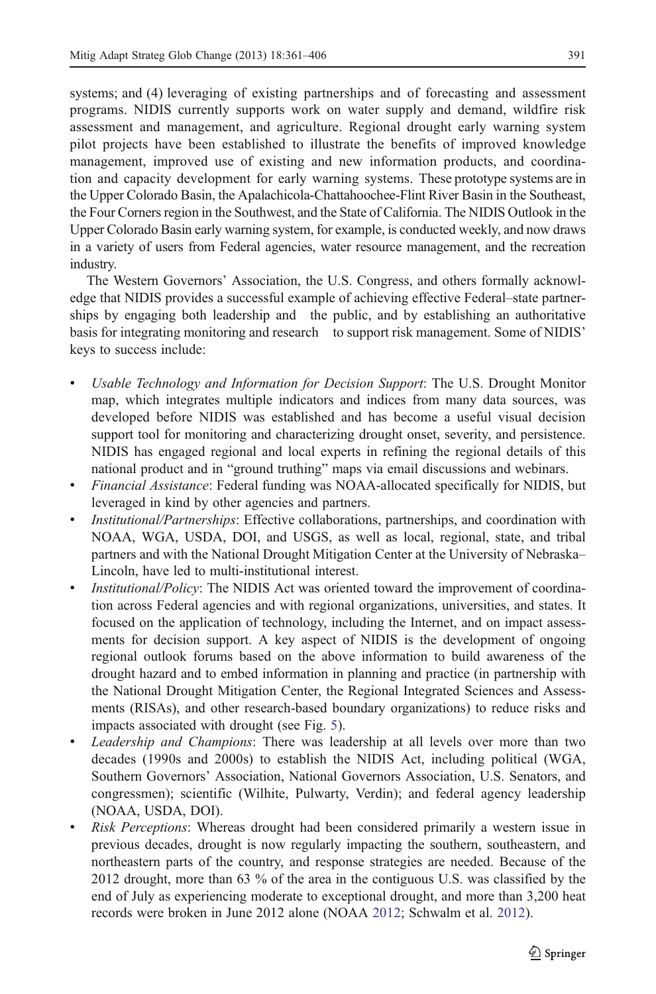systems; and (4) leveraging of existing partnerships and of forecasting and assessment programs. NIDIS currently supports work on water supply and demand, wildfire risk assessment and management, and agriculture. Regional drought early warning system pilot projects have been established to illustrate the benefits of improved knowledge management, improved use of existing and new information products, and coordination and capacity development for early warning systems. These prototype systems are in the Upper Colorado Basin, the Apalachicola-Chattahoochee-Flint River Basin in the Southeast, the Four Corners region in the Southwest, and the State of California. The NIDIS Outlook in the Upper Colorado Basin early warning system, for example, is conducted weekly, and now draws in a variety of users from Federal agencies, water resource management, and the recreation industry.

The Western Governors' Association, the U.S. Congress, and others formally acknowledge that NIDIS provides a successful example of achieving effective Federal–state partnerships by engaging both leadership and the public, and by establishing an authoritative basis for integrating monitoring and research to support risk management. Some of NIDIS' keys to success include:

- & Usable Technology and Information for Decision Support: The U.S. Drought Monitor map, which integrates multiple indicators and indices from many data sources, was developed before NIDIS was established and has become a useful visual decision support tool for monitoring and characterizing drought onset, severity, and persistence. NIDIS has engaged regional and local experts in refining the regional details of this national product and in "ground truthing" maps via email discussions and webinars.
- & Financial Assistance: Federal funding was NOAA-allocated specifically for NIDIS, but leveraged in kind by other agencies and partners.
- & Institutional/Partnerships: Effective collaborations, partnerships, and coordination with NOAA, WGA, USDA, DOI, and USGS, as well as local, regional, state, and tribal partners and with the National Drought Mitigation Center at the University of Nebraska– Lincoln, have led to multi-institutional interest.
- Institutional/Policy: The NIDIS Act was oriented toward the improvement of coordination across Federal agencies and with regional organizations, universities, and states. It focused on the application of technology, including the Internet, and on impact assessments for decision support. A key aspect of NIDIS is the development of ongoing regional outlook forums based on the above information to build awareness of the drought hazard and to embed information in planning and practice (in partnership with the National Drought Mitigation Center, the Regional Integrated Sciences and Assessments (RISAs), and other research-based boundary organizations) to reduce risks and impacts associated with drought (see Fig. [5](#page-31-0)).
- Leadership and Champions: There was leadership at all levels over more than two decades (1990s and 2000s) to establish the NIDIS Act, including political (WGA, Southern Governors' Association, National Governors Association, U.S. Senators, and congressmen); scientific (Wilhite, Pulwarty, Verdin); and federal agency leadership (NOAA, USDA, DOI).
- Risk Perceptions: Whereas drought had been considered primarily a western issue in previous decades, drought is now regularly impacting the southern, southeastern, and northeastern parts of the country, and response strategies are needed. Because of the 2012 drought, more than 63 % of the area in the contiguous U.S. was classified by the end of July as experiencing moderate to exceptional drought, and more than 3,200 heat records were broken in June 2012 alone (NOAA [2012;](#page-42-0) Schwalm et al. [2012](#page-43-0)).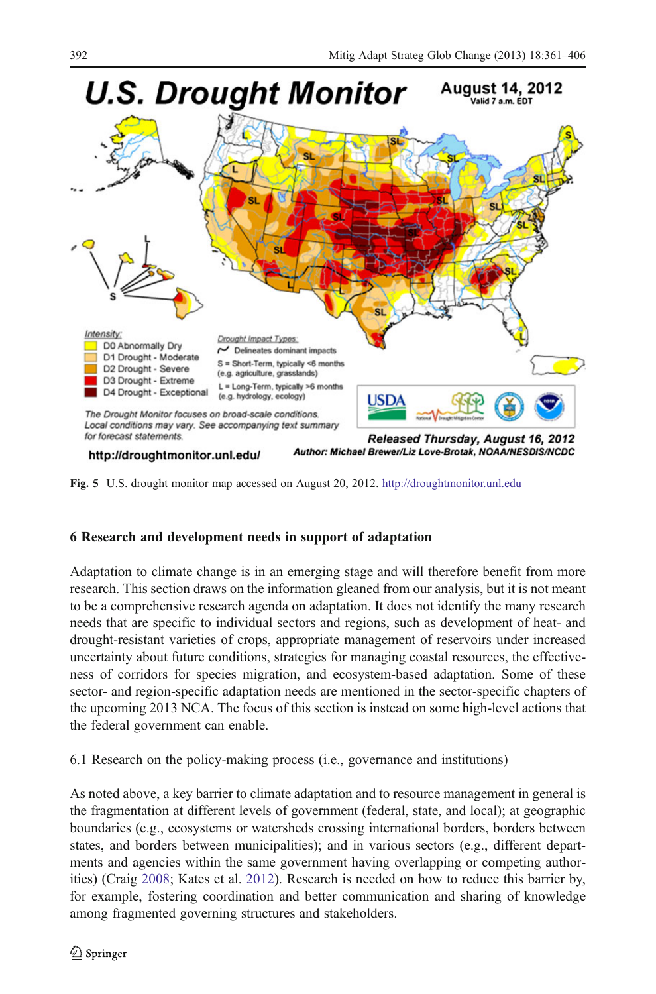<span id="page-31-0"></span>

Fig. 5 U.S. drought monitor map accessed on August 20, 2012. <http://droughtmonitor.unl.edu>

# 6 Research and development needs in support of adaptation

Adaptation to climate change is in an emerging stage and will therefore benefit from more research. This section draws on the information gleaned from our analysis, but it is not meant to be a comprehensive research agenda on adaptation. It does not identify the many research needs that are specific to individual sectors and regions, such as development of heat- and drought-resistant varieties of crops, appropriate management of reservoirs under increased uncertainty about future conditions, strategies for managing coastal resources, the effectiveness of corridors for species migration, and ecosystem-based adaptation. Some of these sector- and region-specific adaptation needs are mentioned in the sector-specific chapters of the upcoming 2013 NCA. The focus of this section is instead on some high-level actions that the federal government can enable.

6.1 Research on the policy-making process (i.e., governance and institutions)

As noted above, a key barrier to climate adaptation and to resource management in general is the fragmentation at different levels of government (federal, state, and local); at geographic boundaries (e.g., ecosystems or watersheds crossing international borders, borders between states, and borders between municipalities); and in various sectors (e.g., different departments and agencies within the same government having overlapping or competing authorities) (Craig [2008;](#page-38-0) Kates et al. [2012\)](#page-40-0). Research is needed on how to reduce this barrier by, for example, fostering coordination and better communication and sharing of knowledge among fragmented governing structures and stakeholders.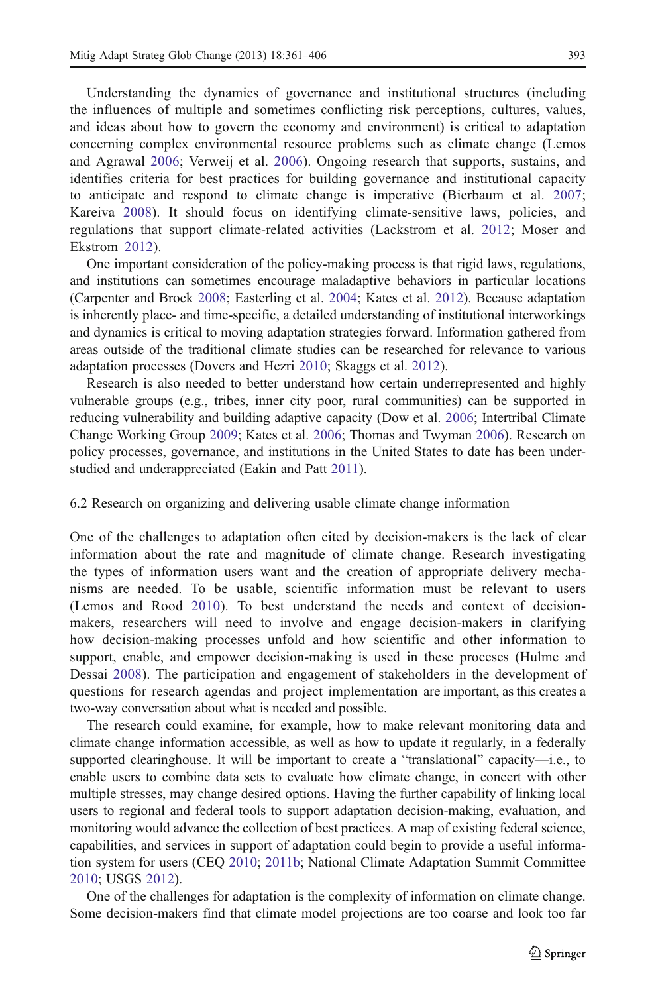Understanding the dynamics of governance and institutional structures (including the influences of multiple and sometimes conflicting risk perceptions, cultures, values, and ideas about how to govern the economy and environment) is critical to adaptation concerning complex environmental resource problems such as climate change (Lemos and Agrawal [2006](#page-41-0); Verweij et al. [2006](#page-45-0)). Ongoing research that supports, sustains, and identifies criteria for best practices for building governance and institutional capacity to anticipate and respond to climate change is imperative (Bierbaum et al. [2007](#page-37-0); Kareiva [2008\)](#page-40-0). It should focus on identifying climate-sensitive laws, policies, and regulations that support climate-related activities (Lackstrom et al. [2012](#page-41-0); Moser and Ekstrom [2012\)](#page-42-0).

One important consideration of the policy-making process is that rigid laws, regulations, and institutions can sometimes encourage maladaptive behaviors in particular locations (Carpenter and Brock [2008;](#page-37-0) Easterling et al. [2004](#page-38-0); Kates et al. [2012\)](#page-40-0). Because adaptation is inherently place- and time-specific, a detailed understanding of institutional interworkings and dynamics is critical to moving adaptation strategies forward. Information gathered from areas outside of the traditional climate studies can be researched for relevance to various adaptation processes (Dovers and Hezri [2010](#page-38-0); Skaggs et al. [2012](#page-44-0)).

Research is also needed to better understand how certain underrepresented and highly vulnerable groups (e.g., tribes, inner city poor, rural communities) can be supported in reducing vulnerability and building adaptive capacity (Dow et al. [2006](#page-38-0); Intertribal Climate Change Working Group [2009](#page-40-0); Kates et al. [2006;](#page-40-0) Thomas and Twyman [2006\)](#page-44-0). Research on policy processes, governance, and institutions in the United States to date has been understudied and underappreciated (Eakin and Patt [2011\)](#page-38-0).

## 6.2 Research on organizing and delivering usable climate change information

One of the challenges to adaptation often cited by decision-makers is the lack of clear information about the rate and magnitude of climate change. Research investigating the types of information users want and the creation of appropriate delivery mechanisms are needed. To be usable, scientific information must be relevant to users (Lemos and Rood [2010\)](#page-41-0). To best understand the needs and context of decisionmakers, researchers will need to involve and engage decision-makers in clarifying how decision-making processes unfold and how scientific and other information to support, enable, and empower decision-making is used in these proceses (Hulme and Dessai [2008](#page-40-0)). The participation and engagement of stakeholders in the development of questions for research agendas and project implementation are important, as this creates a two-way conversation about what is needed and possible.

The research could examine, for example, how to make relevant monitoring data and climate change information accessible, as well as how to update it regularly, in a federally supported clearinghouse. It will be important to create a "translational" capacity—i.e., to enable users to combine data sets to evaluate how climate change, in concert with other multiple stresses, may change desired options. Having the further capability of linking local users to regional and federal tools to support adaptation decision-making, evaluation, and monitoring would advance the collection of best practices. A map of existing federal science, capabilities, and services in support of adaptation could begin to provide a useful information system for users (CEQ [2010](#page-37-0); [2011b](#page-37-0); National Climate Adaptation Summit Committee [2010;](#page-42-0) USGS [2012\)](#page-44-0).

One of the challenges for adaptation is the complexity of information on climate change. Some decision-makers find that climate model projections are too coarse and look too far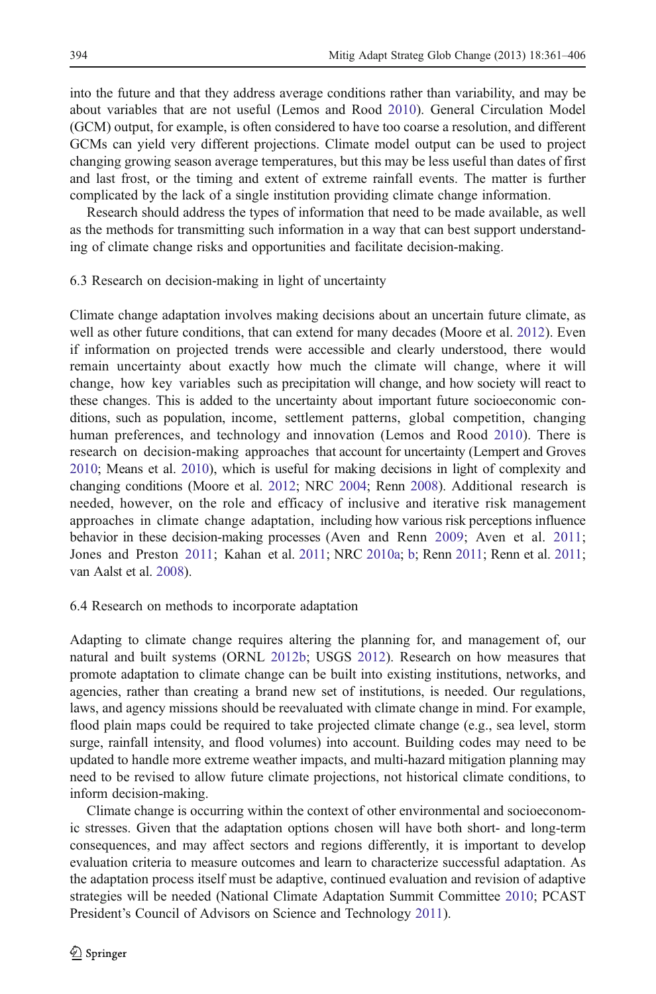into the future and that they address average conditions rather than variability, and may be about variables that are not useful (Lemos and Rood [2010](#page-41-0)). General Circulation Model (GCM) output, for example, is often considered to have too coarse a resolution, and different GCMs can yield very different projections. Climate model output can be used to project changing growing season average temperatures, but this may be less useful than dates of first and last frost, or the timing and extent of extreme rainfall events. The matter is further complicated by the lack of a single institution providing climate change information.

Research should address the types of information that need to be made available, as well as the methods for transmitting such information in a way that can best support understanding of climate change risks and opportunities and facilitate decision-making.

#### 6.3 Research on decision-making in light of uncertainty

Climate change adaptation involves making decisions about an uncertain future climate, as well as other future conditions, that can extend for many decades (Moore et al. [2012](#page-41-0)). Even if information on projected trends were accessible and clearly understood, there would remain uncertainty about exactly how much the climate will change, where it will change, how key variables such as precipitation will change, and how society will react to these changes. This is added to the uncertainty about important future socioeconomic conditions, such as population, income, settlement patterns, global competition, changing human preferences, and technology and innovation (Lemos and Rood [2010](#page-41-0)). There is research on decision-making approaches that account for uncertainty (Lempert and Groves [2010](#page-41-0); Means et al. [2010](#page-41-0)), which is useful for making decisions in light of complexity and changing conditions (Moore et al. [2012](#page-41-0); NRC [2004;](#page-42-0) Renn [2008\)](#page-43-0). Additional research is needed, however, on the role and efficacy of inclusive and iterative risk management approaches in climate change adaptation, including how various risk perceptions influence behavior in these decision-making processes (Aven and Renn [2009;](#page-36-0) Aven et al. [2011](#page-36-0); Jones and Preston [2011](#page-40-0); Kahan et al. [2011;](#page-40-0) NRC [2010a](#page-42-0); [b](#page-42-0); Renn [2011;](#page-43-0) Renn et al. [2011](#page-43-0); van Aalst et al. [2008](#page-44-0)).

#### 6.4 Research on methods to incorporate adaptation

Adapting to climate change requires altering the planning for, and management of, our natural and built systems (ORNL [2012b](#page-42-0); USGS [2012\)](#page-44-0). Research on how measures that promote adaptation to climate change can be built into existing institutions, networks, and agencies, rather than creating a brand new set of institutions, is needed. Our regulations, laws, and agency missions should be reevaluated with climate change in mind. For example, flood plain maps could be required to take projected climate change (e.g., sea level, storm surge, rainfall intensity, and flood volumes) into account. Building codes may need to be updated to handle more extreme weather impacts, and multi-hazard mitigation planning may need to be revised to allow future climate projections, not historical climate conditions, to inform decision-making.

Climate change is occurring within the context of other environmental and socioeconomic stresses. Given that the adaptation options chosen will have both short- and long-term consequences, and may affect sectors and regions differently, it is important to develop evaluation criteria to measure outcomes and learn to characterize successful adaptation. As the adaptation process itself must be adaptive, continued evaluation and revision of adaptive strategies will be needed (National Climate Adaptation Summit Committee [2010;](#page-42-0) PCAST President's Council of Advisors on Science and Technology [2011](#page-43-0)).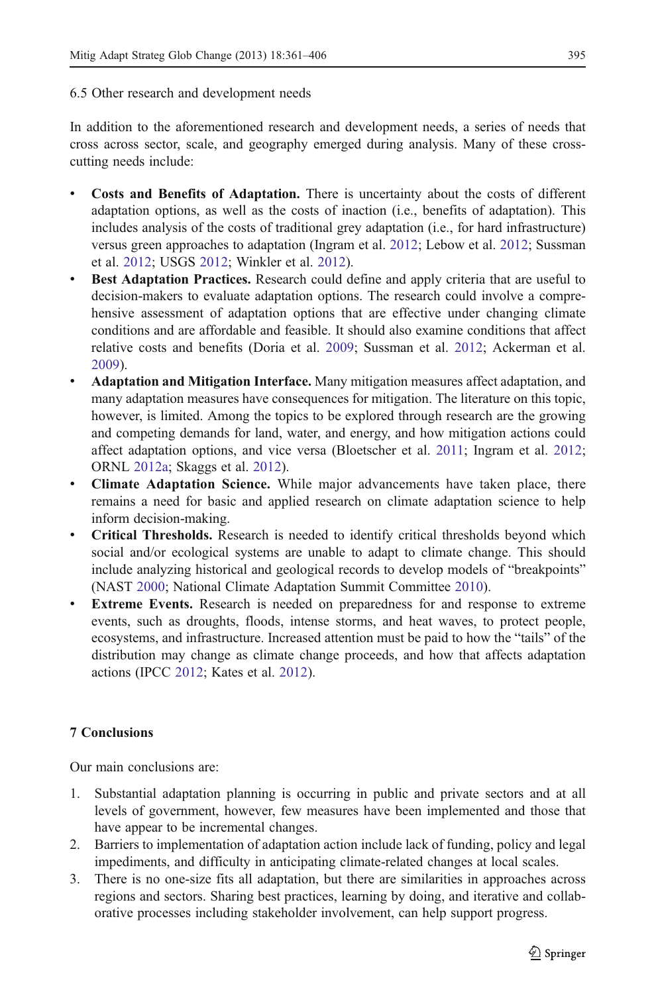# 6.5 Other research and development needs

In addition to the aforementioned research and development needs, a series of needs that cross across sector, scale, and geography emerged during analysis. Many of these crosscutting needs include:

- Costs and Benefits of Adaptation. There is uncertainty about the costs of different adaptation options, as well as the costs of inaction (i.e., benefits of adaptation). This includes analysis of the costs of traditional grey adaptation (i.e., for hard infrastructure) versus green approaches to adaptation (Ingram et al. [2012](#page-40-0); Lebow et al. [2012;](#page-41-0) Sussman et al. [2012;](#page-44-0) USGS [2012;](#page-44-0) Winkler et al. [2012\)](#page-45-0).
- Best Adaptation Practices. Research could define and apply criteria that are useful to decision-makers to evaluate adaptation options. The research could involve a comprehensive assessment of adaptation options that are effective under changing climate conditions and are affordable and feasible. It should also examine conditions that affect relative costs and benefits (Doria et al. [2009](#page-38-0); Sussman et al. [2012;](#page-44-0) Ackerman et al. [2009](#page-36-0)).
- & Adaptation and Mitigation Interface. Many mitigation measures affect adaptation, and many adaptation measures have consequences for mitigation. The literature on this topic, however, is limited. Among the topics to be explored through research are the growing and competing demands for land, water, and energy, and how mitigation actions could affect adaptation options, and vice versa (Bloetscher et al. [2011;](#page-37-0) Ingram et al. [2012](#page-40-0); ORNL [2012a;](#page-42-0) Skaggs et al. [2012\)](#page-44-0).
- Climate Adaptation Science. While major advancements have taken place, there remains a need for basic and applied research on climate adaptation science to help inform decision-making.
- Critical Thresholds. Research is needed to identify critical thresholds beyond which social and/or ecological systems are unable to adapt to climate change. This should include analyzing historical and geological records to develop models of "breakpoints" (NAST [2000;](#page-42-0) National Climate Adaptation Summit Committee [2010\)](#page-42-0).
- **Extreme Events.** Research is needed on preparedness for and response to extreme events, such as droughts, floods, intense storms, and heat waves, to protect people, ecosystems, and infrastructure. Increased attention must be paid to how the "tails" of the distribution may change as climate change proceeds, and how that affects adaptation actions (IPCC [2012](#page-40-0); Kates et al. [2012](#page-40-0)).

# 7 Conclusions

Our main conclusions are:

- 1. Substantial adaptation planning is occurring in public and private sectors and at all levels of government, however, few measures have been implemented and those that have appear to be incremental changes.
- 2. Barriers to implementation of adaptation action include lack of funding, policy and legal impediments, and difficulty in anticipating climate-related changes at local scales.
- 3. There is no one-size fits all adaptation, but there are similarities in approaches across regions and sectors. Sharing best practices, learning by doing, and iterative and collaborative processes including stakeholder involvement, can help support progress.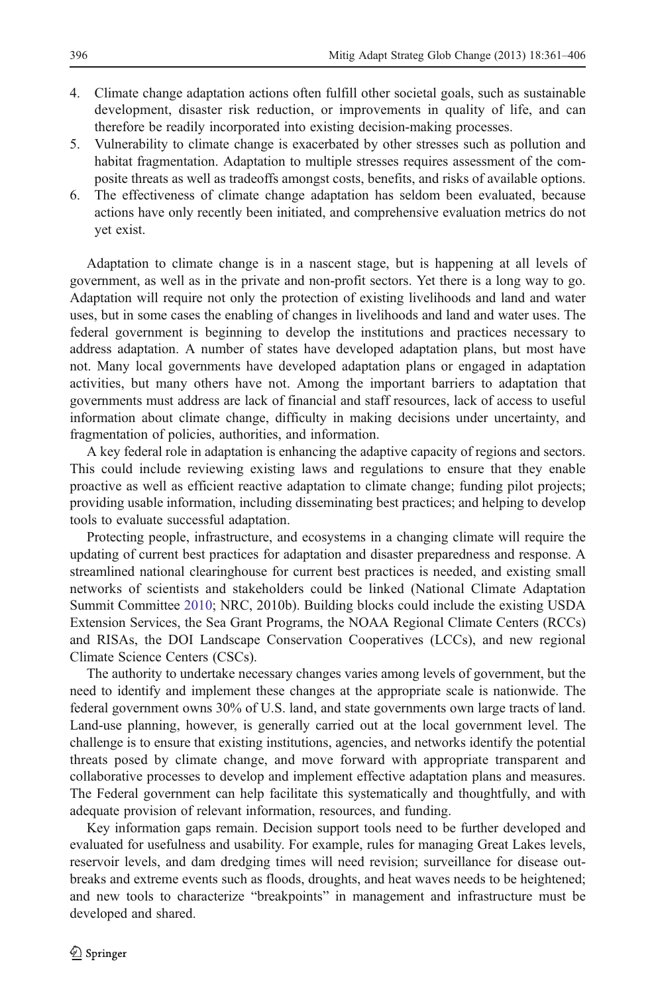- 4. Climate change adaptation actions often fulfill other societal goals, such as sustainable development, disaster risk reduction, or improvements in quality of life, and can therefore be readily incorporated into existing decision-making processes.
- 5. Vulnerability to climate change is exacerbated by other stresses such as pollution and habitat fragmentation. Adaptation to multiple stresses requires assessment of the composite threats as well as tradeoffs amongst costs, benefits, and risks of available options.
- 6. The effectiveness of climate change adaptation has seldom been evaluated, because actions have only recently been initiated, and comprehensive evaluation metrics do not yet exist.

Adaptation to climate change is in a nascent stage, but is happening at all levels of government, as well as in the private and non-profit sectors. Yet there is a long way to go. Adaptation will require not only the protection of existing livelihoods and land and water uses, but in some cases the enabling of changes in livelihoods and land and water uses. The federal government is beginning to develop the institutions and practices necessary to address adaptation. A number of states have developed adaptation plans, but most have not. Many local governments have developed adaptation plans or engaged in adaptation activities, but many others have not. Among the important barriers to adaptation that governments must address are lack of financial and staff resources, lack of access to useful information about climate change, difficulty in making decisions under uncertainty, and fragmentation of policies, authorities, and information.

A key federal role in adaptation is enhancing the adaptive capacity of regions and sectors. This could include reviewing existing laws and regulations to ensure that they enable proactive as well as efficient reactive adaptation to climate change; funding pilot projects; providing usable information, including disseminating best practices; and helping to develop tools to evaluate successful adaptation.

Protecting people, infrastructure, and ecosystems in a changing climate will require the updating of current best practices for adaptation and disaster preparedness and response. A streamlined national clearinghouse for current best practices is needed, and existing small networks of scientists and stakeholders could be linked (National Climate Adaptation Summit Committee [2010](#page-42-0); NRC, 2010b). Building blocks could include the existing USDA Extension Services, the Sea Grant Programs, the NOAA Regional Climate Centers (RCCs) and RISAs, the DOI Landscape Conservation Cooperatives (LCCs), and new regional Climate Science Centers (CSCs).

The authority to undertake necessary changes varies among levels of government, but the need to identify and implement these changes at the appropriate scale is nationwide. The federal government owns 30% of U.S. land, and state governments own large tracts of land. Land-use planning, however, is generally carried out at the local government level. The challenge is to ensure that existing institutions, agencies, and networks identify the potential threats posed by climate change, and move forward with appropriate transparent and collaborative processes to develop and implement effective adaptation plans and measures. The Federal government can help facilitate this systematically and thoughtfully, and with adequate provision of relevant information, resources, and funding.

Key information gaps remain. Decision support tools need to be further developed and evaluated for usefulness and usability. For example, rules for managing Great Lakes levels, reservoir levels, and dam dredging times will need revision; surveillance for disease outbreaks and extreme events such as floods, droughts, and heat waves needs to be heightened; and new tools to characterize "breakpoints" in management and infrastructure must be developed and shared.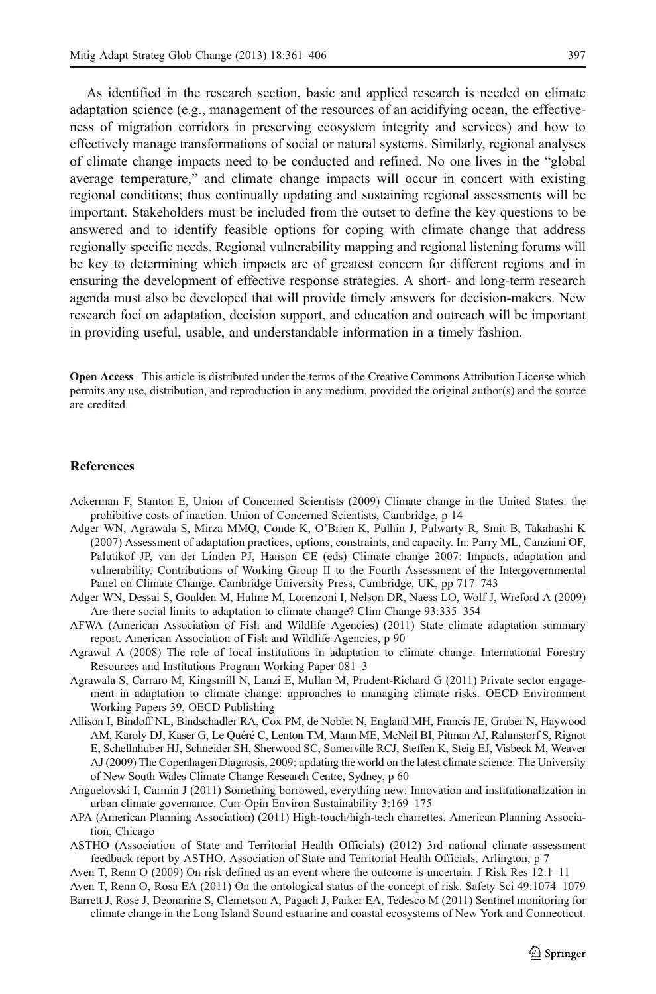<span id="page-36-0"></span>As identified in the research section, basic and applied research is needed on climate adaptation science (e.g., management of the resources of an acidifying ocean, the effectiveness of migration corridors in preserving ecosystem integrity and services) and how to effectively manage transformations of social or natural systems. Similarly, regional analyses of climate change impacts need to be conducted and refined. No one lives in the "global average temperature," and climate change impacts will occur in concert with existing regional conditions; thus continually updating and sustaining regional assessments will be important. Stakeholders must be included from the outset to define the key questions to be answered and to identify feasible options for coping with climate change that address regionally specific needs. Regional vulnerability mapping and regional listening forums will be key to determining which impacts are of greatest concern for different regions and in ensuring the development of effective response strategies. A short- and long-term research agenda must also be developed that will provide timely answers for decision-makers. New research foci on adaptation, decision support, and education and outreach will be important in providing useful, usable, and understandable information in a timely fashion.

Open Access This article is distributed under the terms of the Creative Commons Attribution License which permits any use, distribution, and reproduction in any medium, provided the original author(s) and the source are credited.

#### References

- Ackerman F, Stanton E, Union of Concerned Scientists (2009) Climate change in the United States: the prohibitive costs of inaction. Union of Concerned Scientists, Cambridge, p 14
- Adger WN, Agrawala S, Mirza MMQ, Conde K, O'Brien K, Pulhin J, Pulwarty R, Smit B, Takahashi K (2007) Assessment of adaptation practices, options, constraints, and capacity. In: Parry ML, Canziani OF, Palutikof JP, van der Linden PJ, Hanson CE (eds) Climate change 2007: Impacts, adaptation and vulnerability. Contributions of Working Group II to the Fourth Assessment of the Intergovernmental Panel on Climate Change. Cambridge University Press, Cambridge, UK, pp 717–743
- Adger WN, Dessai S, Goulden M, Hulme M, Lorenzoni I, Nelson DR, Naess LO, Wolf J, Wreford A (2009) Are there social limits to adaptation to climate change? Clim Change 93:335–354
- AFWA (American Association of Fish and Wildlife Agencies) (2011) State climate adaptation summary report. American Association of Fish and Wildlife Agencies, p 90
- Agrawal A (2008) The role of local institutions in adaptation to climate change. International Forestry Resources and Institutions Program Working Paper 081–3
- Agrawala S, Carraro M, Kingsmill N, Lanzi E, Mullan M, Prudent-Richard G (2011) Private sector engagement in adaptation to climate change: approaches to managing climate risks. OECD Environment Working Papers 39, OECD Publishing
- Allison I, Bindoff NL, Bindschadler RA, Cox PM, de Noblet N, England MH, Francis JE, Gruber N, Haywood AM, Karoly DJ, Kaser G, Le Quéré C, Lenton TM, Mann ME, McNeil BI, Pitman AJ, Rahmstorf S, Rignot E, Schellnhuber HJ, Schneider SH, Sherwood SC, Somerville RCJ, Steffen K, Steig EJ, Visbeck M, Weaver AJ (2009) The Copenhagen Diagnosis, 2009: updating the world on the latest climate science. The University of New South Wales Climate Change Research Centre, Sydney, p 60
- Anguelovski I, Carmin J (2011) Something borrowed, everything new: Innovation and institutionalization in urban climate governance. Curr Opin Environ Sustainability 3:169–175
- APA (American Planning Association) (2011) High-touch/high-tech charrettes. American Planning Association, Chicago
- ASTHO (Association of State and Territorial Health Officials) (2012) 3rd national climate assessment feedback report by ASTHO. Association of State and Territorial Health Officials, Arlington, p 7
- Aven T, Renn O (2009) On risk defined as an event where the outcome is uncertain. J Risk Res 12:1–11
- Aven T, Renn O, Rosa EA (2011) On the ontological status of the concept of risk. Safety Sci 49:1074–1079 Barrett J, Rose J, Deonarine S, Clemetson A, Pagach J, Parker EA, Tedesco M (2011) Sentinel monitoring for climate change in the Long Island Sound estuarine and coastal ecosystems of New York and Connecticut.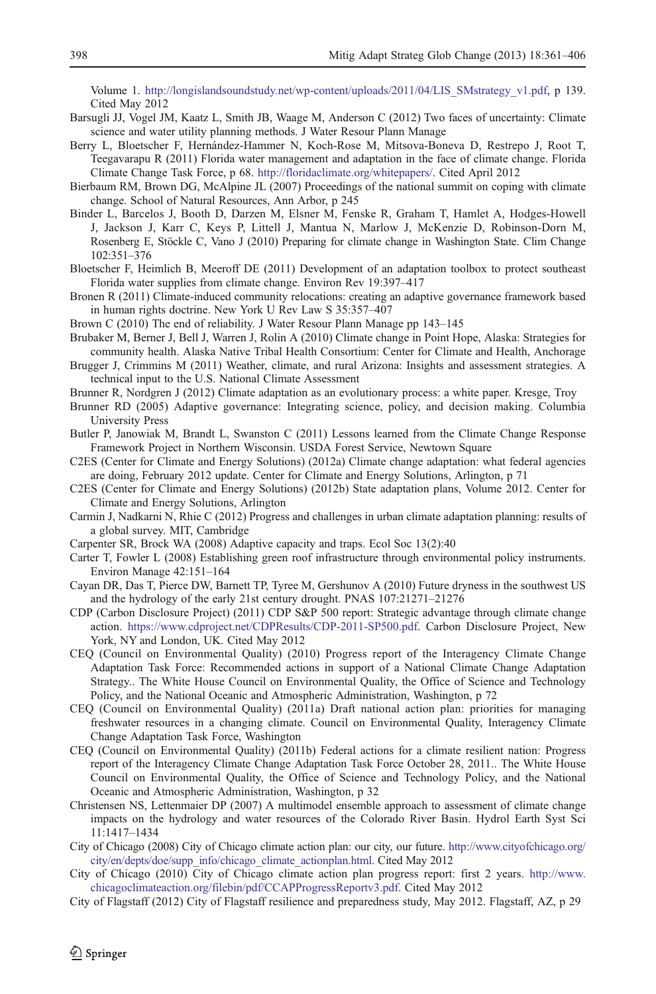<span id="page-37-0"></span>Volume 1. [http://longislandsoundstudy.net/wp-content/uploads/2011/04/LIS\\_SMstrategy\\_v1.pdf,](http://longislandsoundstudy.net/wp-content/uploads/2011/04/LIS_SMstrategy_v1.pdf) p 139. Cited May 2012

- Barsugli JJ, Vogel JM, Kaatz L, Smith JB, Waage M, Anderson C (2012) Two faces of uncertainty: Climate science and water utility planning methods. J Water Resour Plann Manage
- Berry L, Bloetscher F, Hernández-Hammer N, Koch-Rose M, Mitsova-Boneva D, Restrepo J, Root T, Teegavarapu R (2011) Florida water management and adaptation in the face of climate change. Florida Climate Change Task Force, p 68. [http://floridaclimate.org/whitepapers/.](http://floridaclimate.org/whitepapers/) Cited April 2012
- Bierbaum RM, Brown DG, McAlpine JL (2007) Proceedings of the national summit on coping with climate change. School of Natural Resources, Ann Arbor, p 245
- Binder L, Barcelos J, Booth D, Darzen M, Elsner M, Fenske R, Graham T, Hamlet A, Hodges-Howell J, Jackson J, Karr C, Keys P, Littell J, Mantua N, Marlow J, McKenzie D, Robinson-Dorn M, Rosenberg E, Stöckle C, Vano J (2010) Preparing for climate change in Washington State. Clim Change 102:351–376
- Bloetscher F, Heimlich B, Meeroff DE (2011) Development of an adaptation toolbox to protect southeast Florida water supplies from climate change. Environ Rev 19:397–417
- Bronen R (2011) Climate-induced community relocations: creating an adaptive governance framework based in human rights doctrine. New York U Rev Law S 35:357–407
- Brown C (2010) The end of reliability. J Water Resour Plann Manage pp 143–145
- Brubaker M, Berner J, Bell J, Warren J, Rolin A (2010) Climate change in Point Hope, Alaska: Strategies for community health. Alaska Native Tribal Health Consortium: Center for Climate and Health, Anchorage
- Brugger J, Crimmins M (2011) Weather, climate, and rural Arizona: Insights and assessment strategies. A technical input to the U.S. National Climate Assessment
- Brunner R, Nordgren J (2012) Climate adaptation as an evolutionary process: a white paper. Kresge, Troy
- Brunner RD (2005) Adaptive governance: Integrating science, policy, and decision making. Columbia University Press
- Butler P, Janowiak M, Brandt L, Swanston C (2011) Lessons learned from the Climate Change Response Framework Project in Northern Wisconsin. USDA Forest Service, Newtown Square
- C2ES (Center for Climate and Energy Solutions) (2012a) Climate change adaptation: what federal agencies are doing, February 2012 update. Center for Climate and Energy Solutions, Arlington, p 71
- C2ES (Center for Climate and Energy Solutions) (2012b) State adaptation plans, Volume 2012. Center for Climate and Energy Solutions, Arlington
- Carmin J, Nadkarni N, Rhie C (2012) Progress and challenges in urban climate adaptation planning: results of a global survey. MIT, Cambridge
- Carpenter SR, Brock WA (2008) Adaptive capacity and traps. Ecol Soc 13(2):40
- Carter T, Fowler L (2008) Establishing green roof infrastructure through environmental policy instruments. Environ Manage 42:151–164
- Cayan DR, Das T, Pierce DW, Barnett TP, Tyree M, Gershunov A (2010) Future dryness in the southwest US and the hydrology of the early 21st century drought. PNAS 107:21271–21276
- CDP (Carbon Disclosure Project) (2011) CDP S&P 500 report: Strategic advantage through climate change action. [https://www.cdproject.net/CDPResults/CDP-2011-SP500.pdf.](https://www.cdproject.net/CDPResults/CDP-2011-SP500.pdf) Carbon Disclosure Project, New York, NY and London, UK. Cited May 2012
- CEQ (Council on Environmental Quality) (2010) Progress report of the Interagency Climate Change Adaptation Task Force: Recommended actions in support of a National Climate Change Adaptation Strategy.. The White House Council on Environmental Quality, the Office of Science and Technology Policy, and the National Oceanic and Atmospheric Administration, Washington, p 72
- CEQ (Council on Environmental Quality) (2011a) Draft national action plan: priorities for managing freshwater resources in a changing climate. Council on Environmental Quality, Interagency Climate Change Adaptation Task Force, Washington
- CEQ (Council on Environmental Quality) (2011b) Federal actions for a climate resilient nation: Progress report of the Interagency Climate Change Adaptation Task Force October 28, 2011.. The White House Council on Environmental Quality, the Office of Science and Technology Policy, and the National Oceanic and Atmospheric Administration, Washington, p 32
- Christensen NS, Lettenmaier DP (2007) A multimodel ensemble approach to assessment of climate change impacts on the hydrology and water resources of the Colorado River Basin. Hydrol Earth Syst Sci 11:1417–1434
- City of Chicago (2008) City of Chicago climate action plan: our city, our future. [http://www.cityofchicago.org/](http://www.cityofchicago.org/city/en/depts/doe/supp_info/chicago_climate_actionplan.html) [city/en/depts/doe/supp\\_info/chicago\\_climate\\_actionplan.html](http://www.cityofchicago.org/city/en/depts/doe/supp_info/chicago_climate_actionplan.html). Cited May 2012
- City of Chicago (2010) City of Chicago climate action plan progress report: first 2 years. [http://www.](http://www.chicagoclimateaction.org/filebin/pdf/CCAPProgressReportv3.pdf) [chicagoclimateaction.org/filebin/pdf/CCAPProgressReportv3.pdf.](http://www.chicagoclimateaction.org/filebin/pdf/CCAPProgressReportv3.pdf) Cited May 2012
- City of Flagstaff (2012) City of Flagstaff resilience and preparedness study, May 2012. Flagstaff, AZ, p 29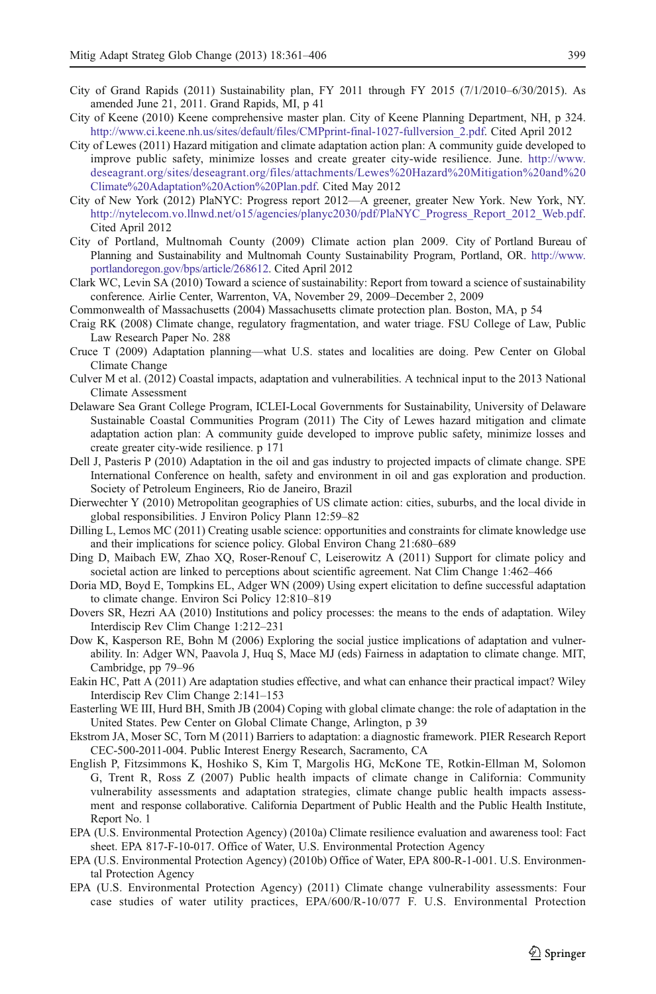- <span id="page-38-0"></span>City of Grand Rapids (2011) Sustainability plan, FY 2011 through FY 2015 (7/1/2010–6/30/2015). As amended June 21, 2011. Grand Rapids, MI, p 41
- City of Keene (2010) Keene comprehensive master plan. City of Keene Planning Department, NH, p 324. [http://www.ci.keene.nh.us/sites/default/files/CMPprint-final-1027-fullversion\\_2.pdf.](http://www.ci.keene.nh.us/sites/default/files/CMPprint-final-1027-fullversion_2.pdf) Cited April 2012
- City of Lewes (2011) Hazard mitigation and climate adaptation action plan: A community guide developed to improve public safety, minimize losses and create greater city-wide resilience. June. [http://www.](http://www.deseagrant.org/sites/deseagrant.org/files/attachments/Lewes%20Hazard%20Mitigation%20and%20Climate%20Adaptation%20Action%20Plan.pdf) [deseagrant.org/sites/deseagrant.org/files/attachments/Lewes%20Hazard%20Mitigation%20and%20](http://www.deseagrant.org/sites/deseagrant.org/files/attachments/Lewes%20Hazard%20Mitigation%20and%20Climate%20Adaptation%20Action%20Plan.pdf) [Climate%20Adaptation%20Action%20Plan.pdf.](http://www.deseagrant.org/sites/deseagrant.org/files/attachments/Lewes%20Hazard%20Mitigation%20and%20Climate%20Adaptation%20Action%20Plan.pdf) Cited May 2012
- City of New York (2012) PlaNYC: Progress report 2012—A greener, greater New York. New York, NY. [http://nytelecom.vo.llnwd.net/o15/agencies/planyc2030/pdf/PlaNYC\\_Progress\\_Report\\_2012\\_Web.pdf.](http://nytelecom.vo.llnwd.net/o15/agencies/planyc2030/pdf/PlaNYC_Progress_Report_2012_Web.pdf) Cited April 2012
- City of Portland, Multnomah County (2009) Climate action plan 2009. City of Portland Bureau of Planning and Sustainability and Multnomah County Sustainability Program, Portland, OR. [http://www.](http://www.portlandoregon.gov/bps/article/268612) [portlandoregon.gov/bps/article/268612.](http://www.portlandoregon.gov/bps/article/268612) Cited April 2012
- Clark WC, Levin SA (2010) Toward a science of sustainability: Report from toward a science of sustainability conference. Airlie Center, Warrenton, VA, November 29, 2009–December 2, 2009
- Commonwealth of Massachusetts (2004) Massachusetts climate protection plan. Boston, MA, p 54
- Craig RK (2008) Climate change, regulatory fragmentation, and water triage. FSU College of Law, Public Law Research Paper No. 288
- Cruce T (2009) Adaptation planning—what U.S. states and localities are doing. Pew Center on Global Climate Change
- Culver M et al. (2012) Coastal impacts, adaptation and vulnerabilities. A technical input to the 2013 National Climate Assessment
- Delaware Sea Grant College Program, ICLEI-Local Governments for Sustainability, University of Delaware Sustainable Coastal Communities Program (2011) The City of Lewes hazard mitigation and climate adaptation action plan: A community guide developed to improve public safety, minimize losses and create greater city-wide resilience. p 171
- Dell J, Pasteris P (2010) Adaptation in the oil and gas industry to projected impacts of climate change. SPE International Conference on health, safety and environment in oil and gas exploration and production. Society of Petroleum Engineers, Rio de Janeiro, Brazil
- Dierwechter Y (2010) Metropolitan geographies of US climate action: cities, suburbs, and the local divide in global responsibilities. J Environ Policy Plann 12:59–82
- Dilling L, Lemos MC (2011) Creating usable science: opportunities and constraints for climate knowledge use and their implications for science policy. Global Environ Chang 21:680–689
- Ding D, Maibach EW, Zhao XQ, Roser-Renouf C, Leiserowitz A (2011) Support for climate policy and societal action are linked to perceptions about scientific agreement. Nat Clim Change 1:462–466
- Doria MD, Boyd E, Tompkins EL, Adger WN (2009) Using expert elicitation to define successful adaptation to climate change. Environ Sci Policy 12:810–819
- Dovers SR, Hezri AA (2010) Institutions and policy processes: the means to the ends of adaptation. Wiley Interdiscip Rev Clim Change 1:212–231
- Dow K, Kasperson RE, Bohn M (2006) Exploring the social justice implications of adaptation and vulnerability. In: Adger WN, Paavola J, Huq S, Mace MJ (eds) Fairness in adaptation to climate change. MIT, Cambridge, pp 79–96
- Eakin HC, Patt A (2011) Are adaptation studies effective, and what can enhance their practical impact? Wiley Interdiscip Rev Clim Change 2:141–153
- Easterling WE III, Hurd BH, Smith JB (2004) Coping with global climate change: the role of adaptation in the United States. Pew Center on Global Climate Change, Arlington, p 39
- Ekstrom JA, Moser SC, Torn M (2011) Barriers to adaptation: a diagnostic framework. PIER Research Report CEC-500-2011-004. Public Interest Energy Research, Sacramento, CA
- English P, Fitzsimmons K, Hoshiko S, Kim T, Margolis HG, McKone TE, Rotkin-Ellman M, Solomon G, Trent R, Ross Z (2007) Public health impacts of climate change in California: Community vulnerability assessments and adaptation strategies, climate change public health impacts assessment and response collaborative. California Department of Public Health and the Public Health Institute, Report No. 1
- EPA (U.S. Environmental Protection Agency) (2010a) Climate resilience evaluation and awareness tool: Fact sheet. EPA 817-F-10-017. Office of Water, U.S. Environmental Protection Agency
- EPA (U.S. Environmental Protection Agency) (2010b) Office of Water, EPA 800-R-1-001. U.S. Environmental Protection Agency
- EPA (U.S. Environmental Protection Agency) (2011) Climate change vulnerability assessments: Four case studies of water utility practices, EPA/600/R-10/077 F. U.S. Environmental Protection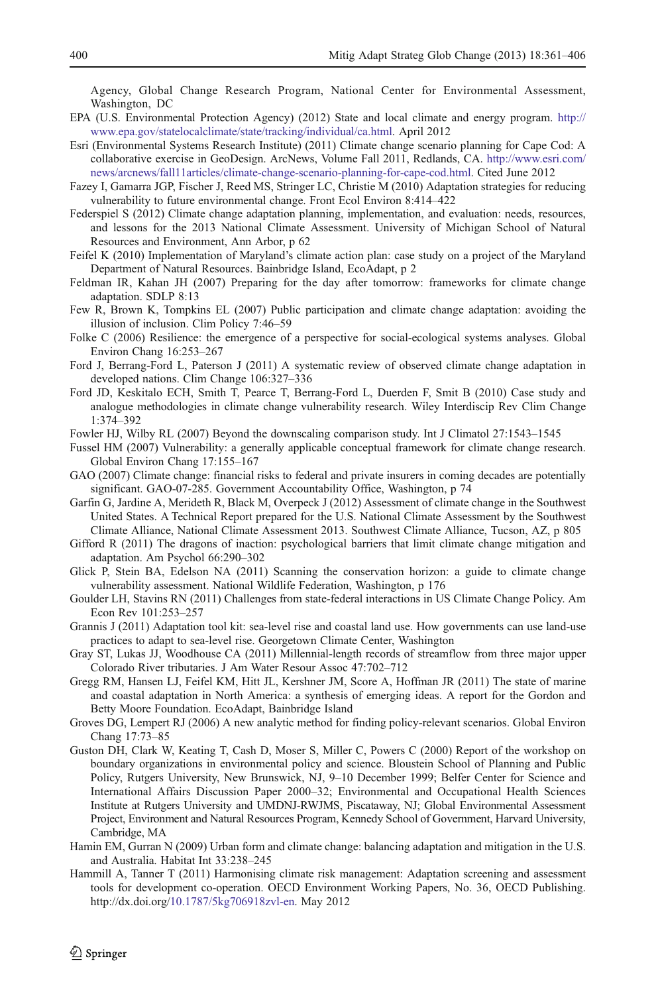<span id="page-39-0"></span>Agency, Global Change Research Program, National Center for Environmental Assessment, Washington, DC

- EPA (U.S. Environmental Protection Agency) (2012) State and local climate and energy program. [http://](http://www.epa.gov/statelocalclimate/state/tracking/individual/ca.html) [www.epa.gov/statelocalclimate/state/tracking/individual/ca.html.](http://www.epa.gov/statelocalclimate/state/tracking/individual/ca.html) April 2012
- Esri (Environmental Systems Research Institute) (2011) Climate change scenario planning for Cape Cod: A collaborative exercise in GeoDesign. ArcNews, Volume Fall 2011, Redlands, CA. [http://www.esri.com/](http://www.esri.com/news/arcnews/fall11articles/climate-change-scenario-planning-for-cape-cod.html) [news/arcnews/fall11articles/climate-change-scenario-planning-for-cape-cod.html.](http://www.esri.com/news/arcnews/fall11articles/climate-change-scenario-planning-for-cape-cod.html) Cited June 2012
- Fazey I, Gamarra JGP, Fischer J, Reed MS, Stringer LC, Christie M (2010) Adaptation strategies for reducing vulnerability to future environmental change. Front Ecol Environ 8:414–422
- Federspiel S (2012) Climate change adaptation planning, implementation, and evaluation: needs, resources, and lessons for the 2013 National Climate Assessment. University of Michigan School of Natural Resources and Environment, Ann Arbor, p 62
- Feifel K (2010) Implementation of Maryland's climate action plan: case study on a project of the Maryland Department of Natural Resources. Bainbridge Island, EcoAdapt, p 2
- Feldman IR, Kahan JH (2007) Preparing for the day after tomorrow: frameworks for climate change adaptation. SDLP 8:13
- Few R, Brown K, Tompkins EL (2007) Public participation and climate change adaptation: avoiding the illusion of inclusion. Clim Policy 7:46–59
- Folke C (2006) Resilience: the emergence of a perspective for social-ecological systems analyses. Global Environ Chang 16:253–267
- Ford J, Berrang-Ford L, Paterson J (2011) A systematic review of observed climate change adaptation in developed nations. Clim Change 106:327–336
- Ford JD, Keskitalo ECH, Smith T, Pearce T, Berrang-Ford L, Duerden F, Smit B (2010) Case study and analogue methodologies in climate change vulnerability research. Wiley Interdiscip Rev Clim Change 1:374–392
- Fowler HJ, Wilby RL (2007) Beyond the downscaling comparison study. Int J Climatol 27:1543–1545
- Fussel HM (2007) Vulnerability: a generally applicable conceptual framework for climate change research. Global Environ Chang 17:155–167
- GAO (2007) Climate change: financial risks to federal and private insurers in coming decades are potentially significant. GAO-07-285. Government Accountability Office, Washington, p 74
- Garfin G, Jardine A, Merideth R, Black M, Overpeck J (2012) Assessment of climate change in the Southwest United States. A Technical Report prepared for the U.S. National Climate Assessment by the Southwest Climate Alliance, National Climate Assessment 2013. Southwest Climate Alliance, Tucson, AZ, p 805
- Gifford R (2011) The dragons of inaction: psychological barriers that limit climate change mitigation and adaptation. Am Psychol 66:290–302
- Glick P, Stein BA, Edelson NA (2011) Scanning the conservation horizon: a guide to climate change vulnerability assessment. National Wildlife Federation, Washington, p 176
- Goulder LH, Stavins RN (2011) Challenges from state-federal interactions in US Climate Change Policy. Am Econ Rev 101:253–257
- Grannis J (2011) Adaptation tool kit: sea-level rise and coastal land use. How governments can use land-use practices to adapt to sea-level rise. Georgetown Climate Center, Washington
- Gray ST, Lukas JJ, Woodhouse CA (2011) Millennial-length records of streamflow from three major upper Colorado River tributaries. J Am Water Resour Assoc 47:702–712
- Gregg RM, Hansen LJ, Feifel KM, Hitt JL, Kershner JM, Score A, Hoffman JR (2011) The state of marine and coastal adaptation in North America: a synthesis of emerging ideas. A report for the Gordon and Betty Moore Foundation. EcoAdapt, Bainbridge Island
- Groves DG, Lempert RJ (2006) A new analytic method for finding policy-relevant scenarios. Global Environ Chang 17:73–85
- Guston DH, Clark W, Keating T, Cash D, Moser S, Miller C, Powers C (2000) Report of the workshop on boundary organizations in environmental policy and science. Bloustein School of Planning and Public Policy, Rutgers University, New Brunswick, NJ, 9–10 December 1999; Belfer Center for Science and International Affairs Discussion Paper 2000–32; Environmental and Occupational Health Sciences Institute at Rutgers University and UMDNJ-RWJMS, Piscataway, NJ; Global Environmental Assessment Project, Environment and Natural Resources Program, Kennedy School of Government, Harvard University, Cambridge, MA
- Hamin EM, Gurran N (2009) Urban form and climate change: balancing adaptation and mitigation in the U.S. and Australia. Habitat Int 33:238–245
- Hammill A, Tanner T (2011) Harmonising climate risk management: Adaptation screening and assessment tools for development co-operation. OECD Environment Working Papers, No. 36, OECD Publishing. http://dx.doi.org[/10.1787/5kg706918zvl-en](http://dx.doi.org/10.1787/5kg706918zvl-en). May 2012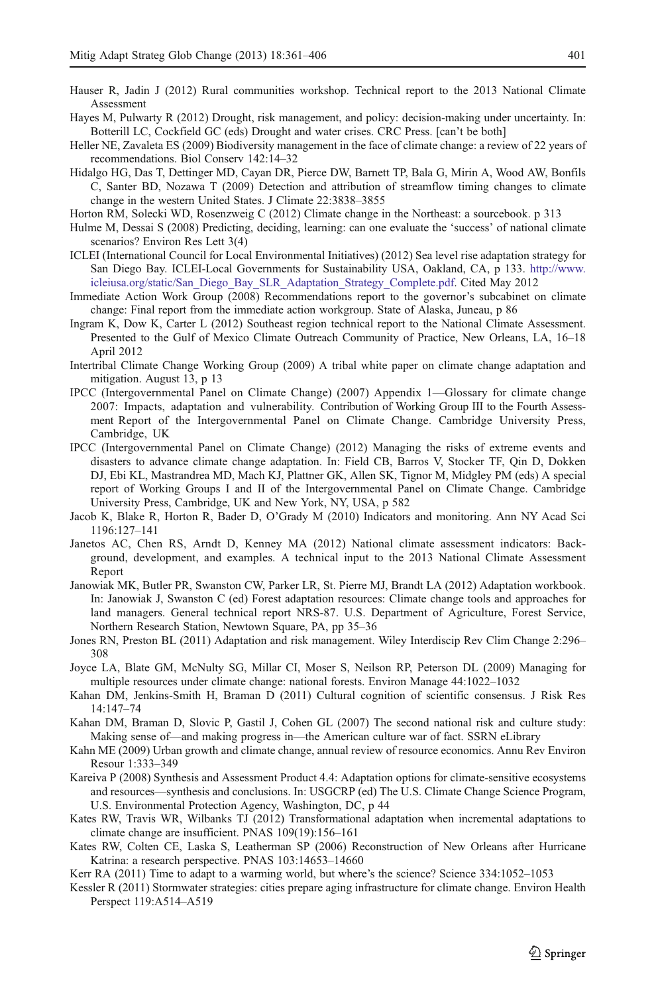- <span id="page-40-0"></span>Hauser R, Jadin J (2012) Rural communities workshop. Technical report to the 2013 National Climate Assessment
- Hayes M, Pulwarty R (2012) Drought, risk management, and policy: decision-making under uncertainty. In: Botterill LC, Cockfield GC (eds) Drought and water crises. CRC Press. [can't be both]
- Heller NE, Zavaleta ES (2009) Biodiversity management in the face of climate change: a review of 22 years of recommendations. Biol Conserv 142:14–32
- Hidalgo HG, Das T, Dettinger MD, Cayan DR, Pierce DW, Barnett TP, Bala G, Mirin A, Wood AW, Bonfils C, Santer BD, Nozawa T (2009) Detection and attribution of streamflow timing changes to climate change in the western United States. J Climate 22:3838–3855
- Horton RM, Solecki WD, Rosenzweig C (2012) Climate change in the Northeast: a sourcebook. p 313
- Hulme M, Dessai S (2008) Predicting, deciding, learning: can one evaluate the 'success' of national climate scenarios? Environ Res Lett 3(4)
- ICLEI (International Council for Local Environmental Initiatives) (2012) Sea level rise adaptation strategy for San Diego Bay. ICLEI-Local Governments for Sustainability USA, Oakland, CA, p 133. [http://www.](http://www.icleiusa.org/static/San_Diego_Bay_SLR_Adaptation_Strategy_Complete.pdf) [icleiusa.org/static/San\\_Diego\\_Bay\\_SLR\\_Adaptation\\_Strategy\\_Complete.pdf](http://www.icleiusa.org/static/San_Diego_Bay_SLR_Adaptation_Strategy_Complete.pdf). Cited May 2012
- Immediate Action Work Group (2008) Recommendations report to the governor's subcabinet on climate change: Final report from the immediate action workgroup. State of Alaska, Juneau, p 86
- Ingram K, Dow K, Carter L (2012) Southeast region technical report to the National Climate Assessment. Presented to the Gulf of Mexico Climate Outreach Community of Practice, New Orleans, LA, 16–18 April 2012
- Intertribal Climate Change Working Group (2009) A tribal white paper on climate change adaptation and mitigation. August 13, p 13
- IPCC (Intergovernmental Panel on Climate Change) (2007) Appendix 1—Glossary for climate change 2007: Impacts, adaptation and vulnerability. Contribution of Working Group III to the Fourth Assessment Report of the Intergovernmental Panel on Climate Change. Cambridge University Press, Cambridge, UK
- IPCC (Intergovernmental Panel on Climate Change) (2012) Managing the risks of extreme events and disasters to advance climate change adaptation. In: Field CB, Barros V, Stocker TF, Qin D, Dokken DJ, Ebi KL, Mastrandrea MD, Mach KJ, Plattner GK, Allen SK, Tignor M, Midgley PM (eds) A special report of Working Groups I and II of the Intergovernmental Panel on Climate Change. Cambridge University Press, Cambridge, UK and New York, NY, USA, p 582
- Jacob K, Blake R, Horton R, Bader D, O'Grady M (2010) Indicators and monitoring. Ann NY Acad Sci 1196:127–141
- Janetos AC, Chen RS, Arndt D, Kenney MA (2012) National climate assessment indicators: Background, development, and examples. A technical input to the 2013 National Climate Assessment Report
- Janowiak MK, Butler PR, Swanston CW, Parker LR, St. Pierre MJ, Brandt LA (2012) Adaptation workbook. In: Janowiak J, Swanston C (ed) Forest adaptation resources: Climate change tools and approaches for land managers. General technical report NRS-87. U.S. Department of Agriculture, Forest Service, Northern Research Station, Newtown Square, PA, pp 35–36
- Jones RN, Preston BL (2011) Adaptation and risk management. Wiley Interdiscip Rev Clim Change 2:296– 308
- Joyce LA, Blate GM, McNulty SG, Millar CI, Moser S, Neilson RP, Peterson DL (2009) Managing for multiple resources under climate change: national forests. Environ Manage 44:1022–1032
- Kahan DM, Jenkins-Smith H, Braman D (2011) Cultural cognition of scientific consensus. J Risk Res 14:147–74
- Kahan DM, Braman D, Slovic P, Gastil J, Cohen GL (2007) The second national risk and culture study: Making sense of—and making progress in—the American culture war of fact. SSRN eLibrary
- Kahn ME (2009) Urban growth and climate change, annual review of resource economics. Annu Rev Environ Resour 1:333–349
- Kareiva P (2008) Synthesis and Assessment Product 4.4: Adaptation options for climate-sensitive ecosystems and resources—synthesis and conclusions. In: USGCRP (ed) The U.S. Climate Change Science Program, U.S. Environmental Protection Agency, Washington, DC, p 44
- Kates RW, Travis WR, Wilbanks TJ (2012) Transformational adaptation when incremental adaptations to climate change are insufficient. PNAS 109(19):156–161
- Kates RW, Colten CE, Laska S, Leatherman SP (2006) Reconstruction of New Orleans after Hurricane Katrina: a research perspective. PNAS 103:14653–14660
- Kerr RA (2011) Time to adapt to a warming world, but where's the science? Science 334:1052–1053
- Kessler R (2011) Stormwater strategies: cities prepare aging infrastructure for climate change. Environ Health Perspect 119:A514–A519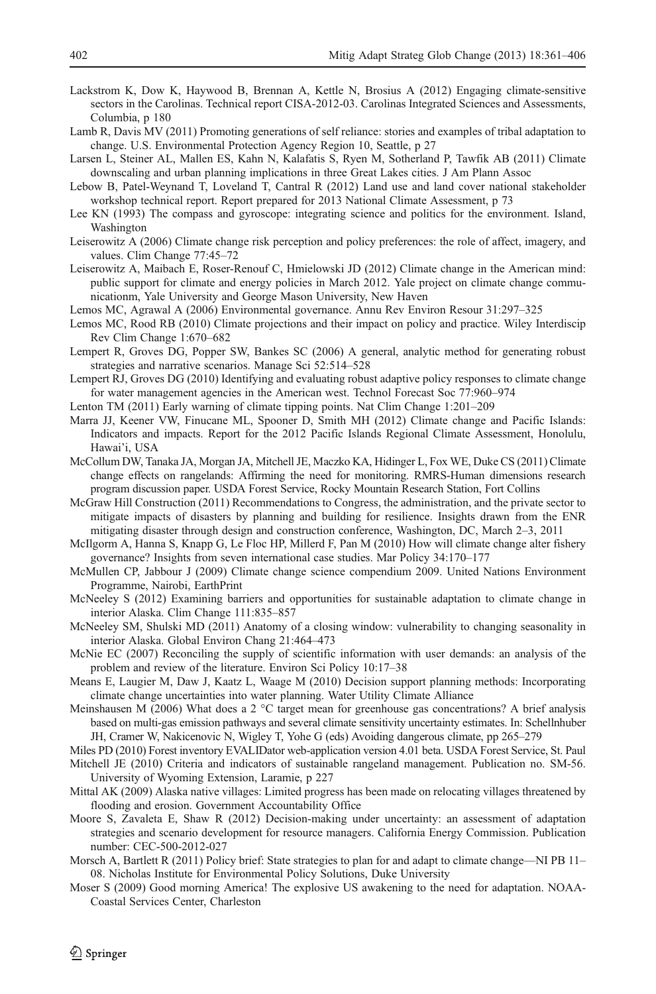- <span id="page-41-0"></span>Lackstrom K, Dow K, Haywood B, Brennan A, Kettle N, Brosius A (2012) Engaging climate-sensitive sectors in the Carolinas. Technical report CISA-2012-03. Carolinas Integrated Sciences and Assessments, Columbia, p 180
- Lamb R, Davis MV (2011) Promoting generations of self reliance: stories and examples of tribal adaptation to change. U.S. Environmental Protection Agency Region 10, Seattle, p 27
- Larsen L, Steiner AL, Mallen ES, Kahn N, Kalafatis S, Ryen M, Sotherland P, Tawfik AB (2011) Climate downscaling and urban planning implications in three Great Lakes cities. J Am Plann Assoc
- Lebow B, Patel-Weynand T, Loveland T, Cantral R (2012) Land use and land cover national stakeholder workshop technical report. Report prepared for 2013 National Climate Assessment, p 73
- Lee KN (1993) The compass and gyroscope: integrating science and politics for the environment. Island, Washington
- Leiserowitz A (2006) Climate change risk perception and policy preferences: the role of affect, imagery, and values. Clim Change 77:45–72
- Leiserowitz A, Maibach E, Roser-Renouf C, Hmielowski JD (2012) Climate change in the American mind: public support for climate and energy policies in March 2012. Yale project on climate change communicationm, Yale University and George Mason University, New Haven
- Lemos MC, Agrawal A (2006) Environmental governance. Annu Rev Environ Resour 31:297–325
- Lemos MC, Rood RB (2010) Climate projections and their impact on policy and practice. Wiley Interdiscip Rev Clim Change 1:670–682
- Lempert R, Groves DG, Popper SW, Bankes SC (2006) A general, analytic method for generating robust strategies and narrative scenarios. Manage Sci 52:514–528
- Lempert RJ, Groves DG (2010) Identifying and evaluating robust adaptive policy responses to climate change for water management agencies in the American west. Technol Forecast Soc 77:960–974
- Lenton TM (2011) Early warning of climate tipping points. Nat Clim Change 1:201–209
- Marra JJ, Keener VW, Finucane ML, Spooner D, Smith MH (2012) Climate change and Pacific Islands: Indicators and impacts. Report for the 2012 Pacific Islands Regional Climate Assessment, Honolulu, Hawai'i, USA
- McCollum DW, Tanaka JA, Morgan JA, Mitchell JE, Maczko KA, Hidinger L, Fox WE, Duke CS (2011) Climate change effects on rangelands: Affirming the need for monitoring. RMRS-Human dimensions research program discussion paper. USDA Forest Service, Rocky Mountain Research Station, Fort Collins
- McGraw Hill Construction (2011) Recommendations to Congress, the administration, and the private sector to mitigate impacts of disasters by planning and building for resilience. Insights drawn from the ENR mitigating disaster through design and construction conference, Washington, DC, March 2–3, 2011
- McIlgorm A, Hanna S, Knapp G, Le Floc HP, Millerd F, Pan M (2010) How will climate change alter fishery governance? Insights from seven international case studies. Mar Policy 34:170–177
- McMullen CP, Jabbour J (2009) Climate change science compendium 2009. United Nations Environment Programme, Nairobi, EarthPrint
- McNeeley S (2012) Examining barriers and opportunities for sustainable adaptation to climate change in interior Alaska. Clim Change 111:835–857
- McNeeley SM, Shulski MD (2011) Anatomy of a closing window: vulnerability to changing seasonality in interior Alaska. Global Environ Chang 21:464–473
- McNie EC (2007) Reconciling the supply of scientific information with user demands: an analysis of the problem and review of the literature. Environ Sci Policy 10:17–38
- Means E, Laugier M, Daw J, Kaatz L, Waage M (2010) Decision support planning methods: Incorporating climate change uncertainties into water planning. Water Utility Climate Alliance
- Meinshausen M (2006) What does a 2 °C target mean for greenhouse gas concentrations? A brief analysis based on multi-gas emission pathways and several climate sensitivity uncertainty estimates. In: Schellnhuber JH, Cramer W, Nakicenovic N, Wigley T, Yohe G (eds) Avoiding dangerous climate, pp 265–279
- Miles PD (2010) Forest inventory EVALIDator web-application version 4.01 beta. USDA Forest Service, St. Paul
- Mitchell JE (2010) Criteria and indicators of sustainable rangeland management. Publication no. SM-56. University of Wyoming Extension, Laramie, p 227
- Mittal AK (2009) Alaska native villages: Limited progress has been made on relocating villages threatened by flooding and erosion. Government Accountability Office
- Moore S, Zavaleta E, Shaw R (2012) Decision-making under uncertainty: an assessment of adaptation strategies and scenario development for resource managers. California Energy Commission. Publication number: CEC-500-2012-027
- Morsch A, Bartlett R (2011) Policy brief: State strategies to plan for and adapt to climate change—NI PB 11– 08. Nicholas Institute for Environmental Policy Solutions, Duke University
- Moser S (2009) Good morning America! The explosive US awakening to the need for adaptation. NOAA-Coastal Services Center, Charleston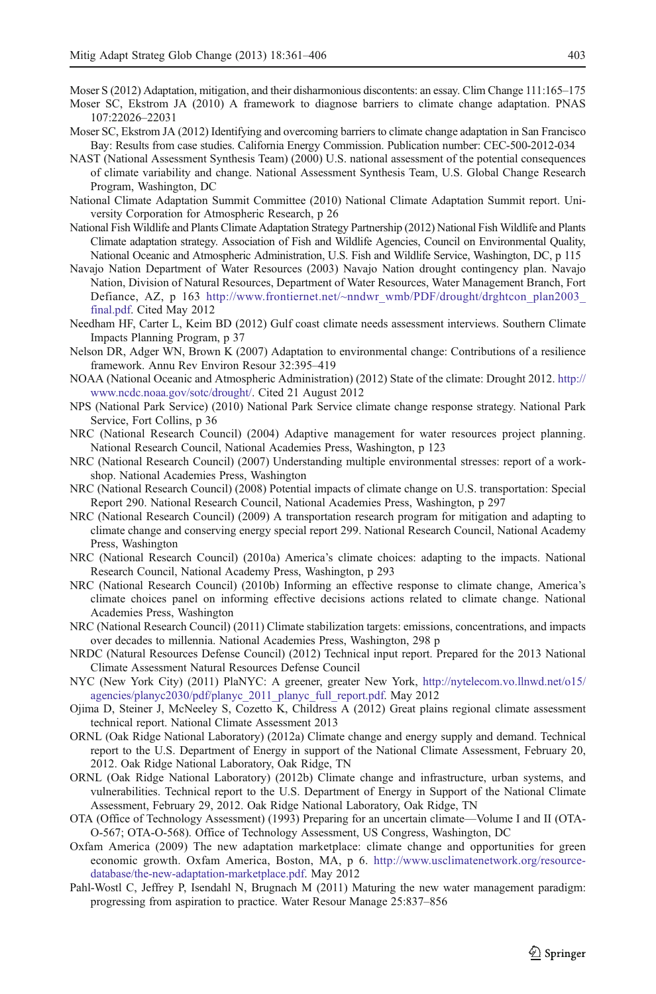<span id="page-42-0"></span>Moser S (2012) Adaptation, mitigation, and their disharmonious discontents: an essay. Clim Change 111:165–175

- Moser SC, Ekstrom JA (2010) A framework to diagnose barriers to climate change adaptation. PNAS 107:22026–22031
- Moser SC, Ekstrom JA (2012) Identifying and overcoming barriers to climate change adaptation in San Francisco Bay: Results from case studies. California Energy Commission. Publication number: CEC-500-2012-034
- NAST (National Assessment Synthesis Team) (2000) U.S. national assessment of the potential consequences of climate variability and change. National Assessment Synthesis Team, U.S. Global Change Research Program, Washington, DC
- National Climate Adaptation Summit Committee (2010) National Climate Adaptation Summit report. University Corporation for Atmospheric Research, p 26
- National Fish Wildlife and Plants Climate Adaptation Strategy Partnership (2012) National Fish Wildlife and Plants Climate adaptation strategy. Association of Fish and Wildlife Agencies, Council on Environmental Quality, National Oceanic and Atmospheric Administration, U.S. Fish and Wildlife Service, Washington, DC, p 115
- Navajo Nation Department of Water Resources (2003) Navajo Nation drought contingency plan. Navajo Nation, Division of Natural Resources, Department of Water Resources, Water Management Branch, Fort Defiance, AZ, p 163 [http://www.frontiernet.net/~nndwr\\_wmb/PDF/drought/drghtcon\\_plan2003\\_](http://www.frontiernet.net/~nndwr_wmb/PDF/drought/drghtcon_plan2003_final.pdf) [final.pdf.](http://www.frontiernet.net/~nndwr_wmb/PDF/drought/drghtcon_plan2003_final.pdf) Cited May 2012
- Needham HF, Carter L, Keim BD (2012) Gulf coast climate needs assessment interviews. Southern Climate Impacts Planning Program, p 37
- Nelson DR, Adger WN, Brown K (2007) Adaptation to environmental change: Contributions of a resilience framework. Annu Rev Environ Resour 32:395–419
- NOAA (National Oceanic and Atmospheric Administration) (2012) State of the climate: Drought 2012. [http://](http://www.ncdc.noaa.gov/sotc/drought/) [www.ncdc.noaa.gov/sotc/drought/.](http://www.ncdc.noaa.gov/sotc/drought/) Cited 21 August 2012
- NPS (National Park Service) (2010) National Park Service climate change response strategy. National Park Service, Fort Collins, p 36
- NRC (National Research Council) (2004) Adaptive management for water resources project planning. National Research Council, National Academies Press, Washington, p 123
- NRC (National Research Council) (2007) Understanding multiple environmental stresses: report of a workshop. National Academies Press, Washington
- NRC (National Research Council) (2008) Potential impacts of climate change on U.S. transportation: Special Report 290. National Research Council, National Academies Press, Washington, p 297
- NRC (National Research Council) (2009) A transportation research program for mitigation and adapting to climate change and conserving energy special report 299. National Research Council, National Academy Press, Washington
- NRC (National Research Council) (2010a) America's climate choices: adapting to the impacts. National Research Council, National Academy Press, Washington, p 293
- NRC (National Research Council) (2010b) Informing an effective response to climate change, America's climate choices panel on informing effective decisions actions related to climate change. National Academies Press, Washington
- NRC (National Research Council) (2011) Climate stabilization targets: emissions, concentrations, and impacts over decades to millennia. National Academies Press, Washington, 298 p
- NRDC (Natural Resources Defense Council) (2012) Technical input report. Prepared for the 2013 National Climate Assessment Natural Resources Defense Council
- NYC (New York City) (2011) PlaNYC: A greener, greater New York, [http://nytelecom.vo.llnwd.net/o15/](http://nytelecom.vo.llnwd.net/o15/agencies/planyc2030/pdf/planyc_2011_planyc_full_report.pdf) [agencies/planyc2030/pdf/planyc\\_2011\\_planyc\\_full\\_report.pdf](http://nytelecom.vo.llnwd.net/o15/agencies/planyc2030/pdf/planyc_2011_planyc_full_report.pdf). May 2012
- Ojima D, Steiner J, McNeeley S, Cozetto K, Childress A (2012) Great plains regional climate assessment technical report. National Climate Assessment 2013
- ORNL (Oak Ridge National Laboratory) (2012a) Climate change and energy supply and demand. Technical report to the U.S. Department of Energy in support of the National Climate Assessment, February 20, 2012. Oak Ridge National Laboratory, Oak Ridge, TN
- ORNL (Oak Ridge National Laboratory) (2012b) Climate change and infrastructure, urban systems, and vulnerabilities. Technical report to the U.S. Department of Energy in Support of the National Climate Assessment, February 29, 2012. Oak Ridge National Laboratory, Oak Ridge, TN
- OTA (Office of Technology Assessment) (1993) Preparing for an uncertain climate—Volume I and II (OTA-O-567; OTA-O-568). Office of Technology Assessment, US Congress, Washington, DC
- Oxfam America (2009) The new adaptation marketplace: climate change and opportunities for green economic growth. Oxfam America, Boston, MA, p 6. [http://www.usclimatenetwork.org/resource](http://www.usclimatenetwork.org/resource-database/the-new-adaptation-marketplace.pdf)[database/the-new-adaptation-marketplace.pdf](http://www.usclimatenetwork.org/resource-database/the-new-adaptation-marketplace.pdf). May 2012
- Pahl-Wostl C, Jeffrey P, Isendahl N, Brugnach M (2011) Maturing the new water management paradigm: progressing from aspiration to practice. Water Resour Manage 25:837–856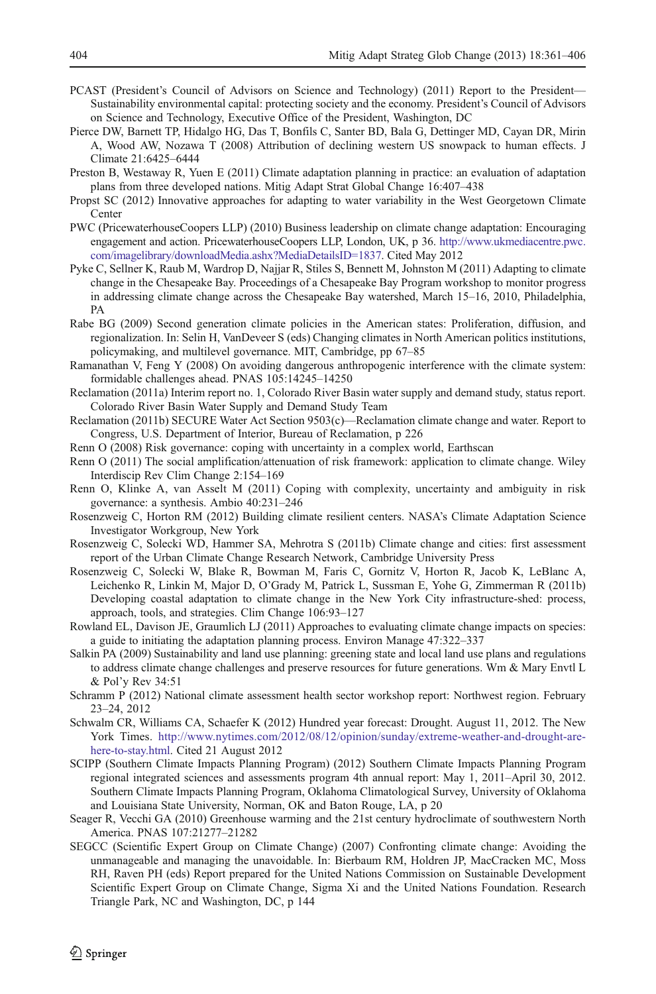- <span id="page-43-0"></span>PCAST (President's Council of Advisors on Science and Technology) (2011) Report to the President— Sustainability environmental capital: protecting society and the economy. President's Council of Advisors on Science and Technology, Executive Office of the President, Washington, DC
- Pierce DW, Barnett TP, Hidalgo HG, Das T, Bonfils C, Santer BD, Bala G, Dettinger MD, Cayan DR, Mirin A, Wood AW, Nozawa T (2008) Attribution of declining western US snowpack to human effects. J Climate 21:6425–6444
- Preston B, Westaway R, Yuen E (2011) Climate adaptation planning in practice: an evaluation of adaptation plans from three developed nations. Mitig Adapt Strat Global Change 16:407–438
- Propst SC (2012) Innovative approaches for adapting to water variability in the West Georgetown Climate Center
- PWC (PricewaterhouseCoopers LLP) (2010) Business leadership on climate change adaptation: Encouraging engagement and action. PricewaterhouseCoopers LLP, London, UK, p 36. [http://www.ukmediacentre.pwc.](http://www.ukmediacentre.pwc.com/imagelibrary/downloadMedia.ashx?MediaDetailsID=1837) [com/imagelibrary/downloadMedia.ashx?MediaDetailsID](http://www.ukmediacentre.pwc.com/imagelibrary/downloadMedia.ashx?MediaDetailsID=1837)=[1837.](http://www.ukmediacentre.pwc.com/imagelibrary/downloadMedia.ashx?MediaDetailsID=1837) Cited May 2012
- Pyke C, Sellner K, Raub M, Wardrop D, Najjar R, Stiles S, Bennett M, Johnston M (2011) Adapting to climate change in the Chesapeake Bay. Proceedings of a Chesapeake Bay Program workshop to monitor progress in addressing climate change across the Chesapeake Bay watershed, March 15–16, 2010, Philadelphia, PA
- Rabe BG (2009) Second generation climate policies in the American states: Proliferation, diffusion, and regionalization. In: Selin H, VanDeveer S (eds) Changing climates in North American politics institutions, policymaking, and multilevel governance. MIT, Cambridge, pp 67–85
- Ramanathan V, Feng Y (2008) On avoiding dangerous anthropogenic interference with the climate system: formidable challenges ahead. PNAS 105:14245–14250
- Reclamation (2011a) Interim report no. 1, Colorado River Basin water supply and demand study, status report. Colorado River Basin Water Supply and Demand Study Team
- Reclamation (2011b) SECURE Water Act Section 9503(c)—Reclamation climate change and water. Report to Congress, U.S. Department of Interior, Bureau of Reclamation, p 226
- Renn O (2008) Risk governance: coping with uncertainty in a complex world, Earthscan
- Renn O (2011) The social amplification/attenuation of risk framework: application to climate change. Wiley Interdiscip Rev Clim Change 2:154–169
- Renn O, Klinke A, van Asselt M (2011) Coping with complexity, uncertainty and ambiguity in risk governance: a synthesis. Ambio 40:231–246
- Rosenzweig C, Horton RM (2012) Building climate resilient centers. NASA's Climate Adaptation Science Investigator Workgroup, New York
- Rosenzweig C, Solecki WD, Hammer SA, Mehrotra S (2011b) Climate change and cities: first assessment report of the Urban Climate Change Research Network, Cambridge University Press
- Rosenzweig C, Solecki W, Blake R, Bowman M, Faris C, Gornitz V, Horton R, Jacob K, LeBlanc A, Leichenko R, Linkin M, Major D, O'Grady M, Patrick L, Sussman E, Yohe G, Zimmerman R (2011b) Developing coastal adaptation to climate change in the New York City infrastructure-shed: process, approach, tools, and strategies. Clim Change 106:93–127
- Rowland EL, Davison JE, Graumlich LJ (2011) Approaches to evaluating climate change impacts on species: a guide to initiating the adaptation planning process. Environ Manage 47:322–337
- Salkin PA (2009) Sustainability and land use planning: greening state and local land use plans and regulations to address climate change challenges and preserve resources for future generations. Wm & Mary Envtl L & Pol'y Rev 34:51
- Schramm P (2012) National climate assessment health sector workshop report: Northwest region. February 23–24, 2012
- Schwalm CR, Williams CA, Schaefer K (2012) Hundred year forecast: Drought. August 11, 2012. The New York Times. [http://www.nytimes.com/2012/08/12/opinion/sunday/extreme-weather-and-drought-are](http://www.nytimes.com/2012/08/12/opinion/sunday/extreme-weather-and-drought-are-here-to-stay.html)[here-to-stay.html](http://www.nytimes.com/2012/08/12/opinion/sunday/extreme-weather-and-drought-are-here-to-stay.html). Cited 21 August 2012
- SCIPP (Southern Climate Impacts Planning Program) (2012) Southern Climate Impacts Planning Program regional integrated sciences and assessments program 4th annual report: May 1, 2011–April 30, 2012. Southern Climate Impacts Planning Program, Oklahoma Climatological Survey, University of Oklahoma and Louisiana State University, Norman, OK and Baton Rouge, LA, p 20
- Seager R, Vecchi GA (2010) Greenhouse warming and the 21st century hydroclimate of southwestern North America. PNAS 107:21277–21282
- SEGCC (Scientific Expert Group on Climate Change) (2007) Confronting climate change: Avoiding the unmanageable and managing the unavoidable. In: Bierbaum RM, Holdren JP, MacCracken MC, Moss RH, Raven PH (eds) Report prepared for the United Nations Commission on Sustainable Development Scientific Expert Group on Climate Change, Sigma Xi and the United Nations Foundation. Research Triangle Park, NC and Washington, DC, p 144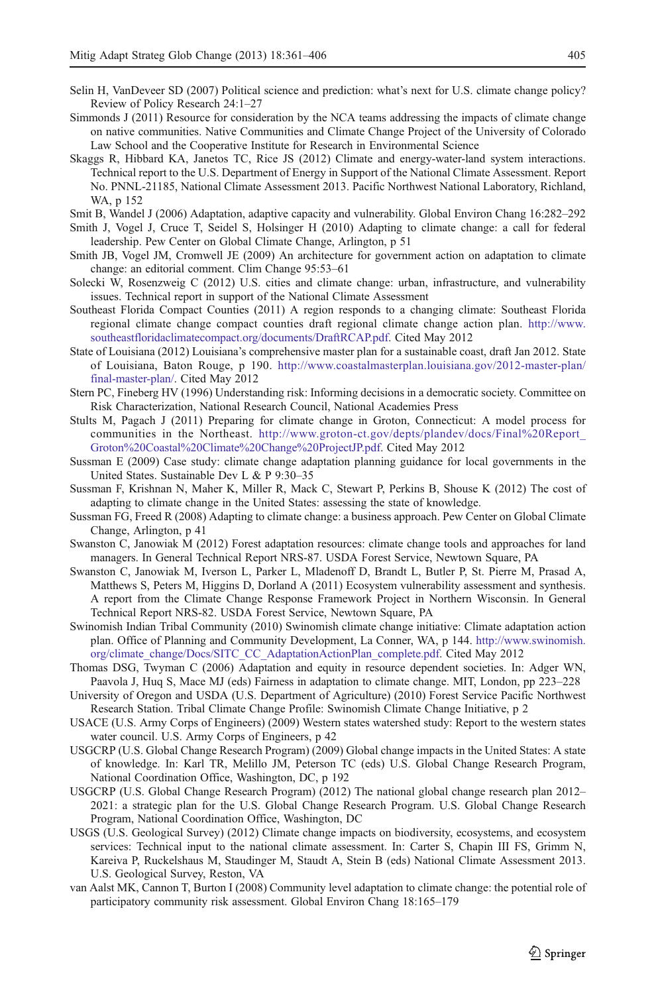- <span id="page-44-0"></span>Selin H, VanDeveer SD (2007) Political science and prediction: what's next for U.S. climate change policy? Review of Policy Research 24:1–27
- Simmonds J (2011) Resource for consideration by the NCA teams addressing the impacts of climate change on native communities. Native Communities and Climate Change Project of the University of Colorado Law School and the Cooperative Institute for Research in Environmental Science
- Skaggs R, Hibbard KA, Janetos TC, Rice JS (2012) Climate and energy-water-land system interactions. Technical report to the U.S. Department of Energy in Support of the National Climate Assessment. Report No. PNNL-21185, National Climate Assessment 2013. Pacific Northwest National Laboratory, Richland, WA, p 152

Smit B, Wandel J (2006) Adaptation, adaptive capacity and vulnerability. Global Environ Chang 16:282–292

- Smith J, Vogel J, Cruce T, Seidel S, Holsinger H (2010) Adapting to climate change: a call for federal leadership. Pew Center on Global Climate Change, Arlington, p 51
- Smith JB, Vogel JM, Cromwell JE (2009) An architecture for government action on adaptation to climate change: an editorial comment. Clim Change 95:53–61
- Solecki W, Rosenzweig C (2012) U.S. cities and climate change: urban, infrastructure, and vulnerability issues. Technical report in support of the National Climate Assessment
- Southeast Florida Compact Counties (2011) A region responds to a changing climate: Southeast Florida regional climate change compact counties draft regional climate change action plan. [http://www.](http://www.southeastfloridaclimatecompact.org/documents/DraftRCAP.pdf) [southeastfloridaclimatecompact.org/documents/DraftRCAP.pdf](http://www.southeastfloridaclimatecompact.org/documents/DraftRCAP.pdf). Cited May 2012
- State of Louisiana (2012) Louisiana's comprehensive master plan for a sustainable coast, draft Jan 2012. State of Louisiana, Baton Rouge, p 190. [http://www.coastalmasterplan.louisiana.gov/2012-master-plan/](http://www.coastalmasterplan.louisiana.gov/2012-master-plan/final-master-plan/) [final-master-plan/.](http://www.coastalmasterplan.louisiana.gov/2012-master-plan/final-master-plan/) Cited May 2012
- Stern PC, Fineberg HV (1996) Understanding risk: Informing decisions in a democratic society. Committee on Risk Characterization, National Research Council, National Academies Press
- Stults M, Pagach J (2011) Preparing for climate change in Groton, Connecticut: A model process for communities in the Northeast. [http://www.groton-ct.gov/depts/plandev/docs/Final%20Report\\_](http://www.groton-ct.gov/depts/plandev/docs/Final%20Report_Groton%20Coastal%20Climate%20Change%20ProjectJP.pdf) [Groton%20Coastal%20Climate%20Change%20ProjectJP.pdf.](http://www.groton-ct.gov/depts/plandev/docs/Final%20Report_Groton%20Coastal%20Climate%20Change%20ProjectJP.pdf) Cited May 2012
- Sussman E (2009) Case study: climate change adaptation planning guidance for local governments in the United States. Sustainable Dev L & P 9:30–35
- Sussman F, Krishnan N, Maher K, Miller R, Mack C, Stewart P, Perkins B, Shouse K (2012) The cost of adapting to climate change in the United States: assessing the state of knowledge.
- Sussman FG, Freed R (2008) Adapting to climate change: a business approach. Pew Center on Global Climate Change, Arlington, p 41
- Swanston C, Janowiak M (2012) Forest adaptation resources: climate change tools and approaches for land managers. In General Technical Report NRS-87. USDA Forest Service, Newtown Square, PA
- Swanston C, Janowiak M, Iverson L, Parker L, Mladenoff D, Brandt L, Butler P, St. Pierre M, Prasad A, Matthews S, Peters M, Higgins D, Dorland A (2011) Ecosystem vulnerability assessment and synthesis. A report from the Climate Change Response Framework Project in Northern Wisconsin. In General Technical Report NRS-82. USDA Forest Service, Newtown Square, PA
- Swinomish Indian Tribal Community (2010) Swinomish climate change initiative: Climate adaptation action plan. Office of Planning and Community Development, La Conner, WA, p 144. [http://www.swinomish.](http://www.swinomish.org/climate_change/Docs/SITC_CC_AdaptationActionPlan_complete.pdf) [org/climate\\_change/Docs/SITC\\_CC\\_AdaptationActionPlan\\_complete.pdf.](http://www.swinomish.org/climate_change/Docs/SITC_CC_AdaptationActionPlan_complete.pdf) Cited May 2012
- Thomas DSG, Twyman C (2006) Adaptation and equity in resource dependent societies. In: Adger WN, Paavola J, Huq S, Mace MJ (eds) Fairness in adaptation to climate change. MIT, London, pp 223–228
- University of Oregon and USDA (U.S. Department of Agriculture) (2010) Forest Service Pacific Northwest Research Station. Tribal Climate Change Profile: Swinomish Climate Change Initiative, p 2
- USACE (U.S. Army Corps of Engineers) (2009) Western states watershed study: Report to the western states water council. U.S. Army Corps of Engineers, p 42
- USGCRP (U.S. Global Change Research Program) (2009) Global change impacts in the United States: A state of knowledge. In: Karl TR, Melillo JM, Peterson TC (eds) U.S. Global Change Research Program, National Coordination Office, Washington, DC, p 192
- USGCRP (U.S. Global Change Research Program) (2012) The national global change research plan 2012– 2021: a strategic plan for the U.S. Global Change Research Program. U.S. Global Change Research Program, National Coordination Office, Washington, DC
- USGS (U.S. Geological Survey) (2012) Climate change impacts on biodiversity, ecosystems, and ecosystem services: Technical input to the national climate assessment. In: Carter S, Chapin III FS, Grimm N, Kareiva P, Ruckelshaus M, Staudinger M, Staudt A, Stein B (eds) National Climate Assessment 2013. U.S. Geological Survey, Reston, VA
- van Aalst MK, Cannon T, Burton I (2008) Community level adaptation to climate change: the potential role of participatory community risk assessment. Global Environ Chang 18:165–179